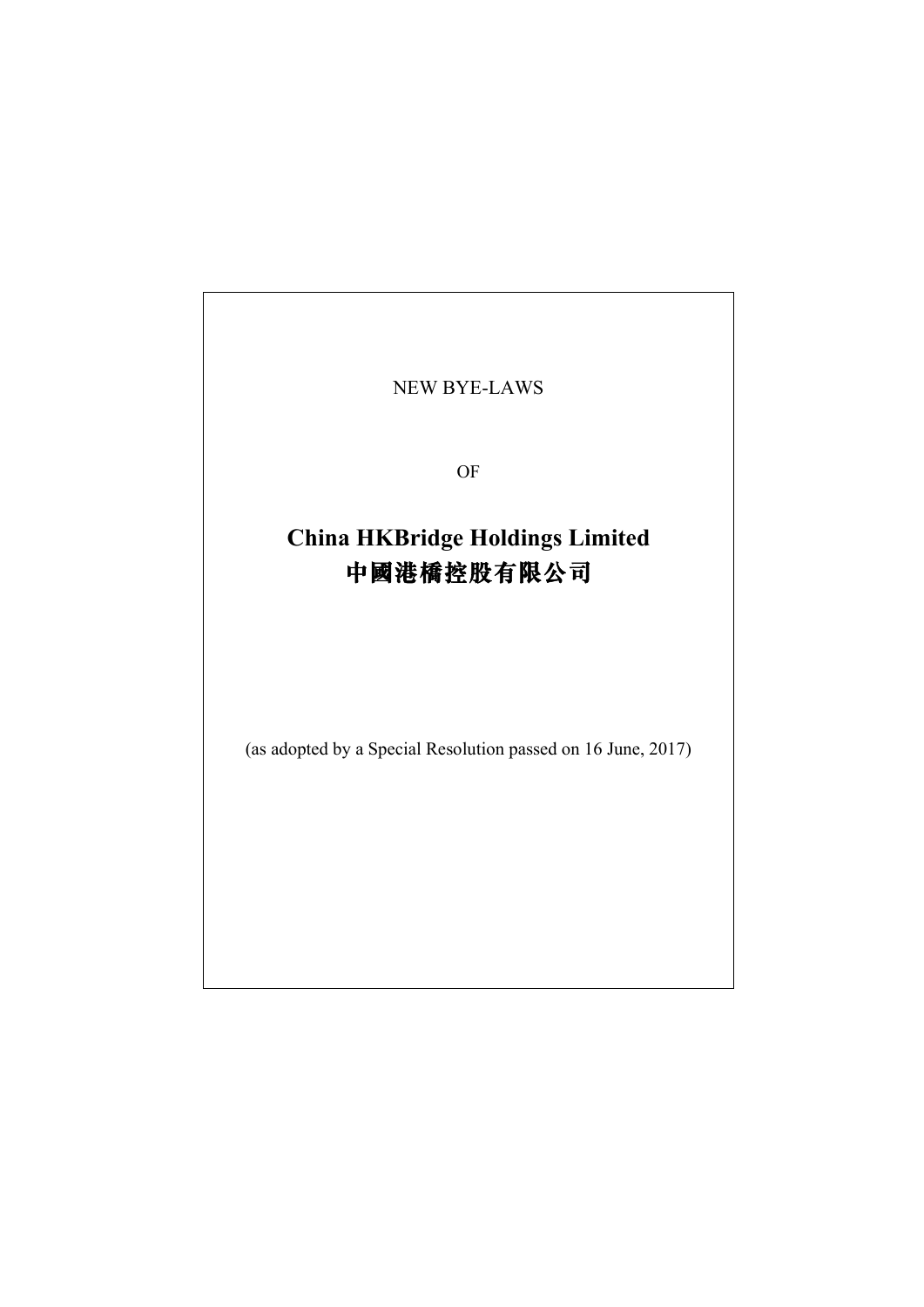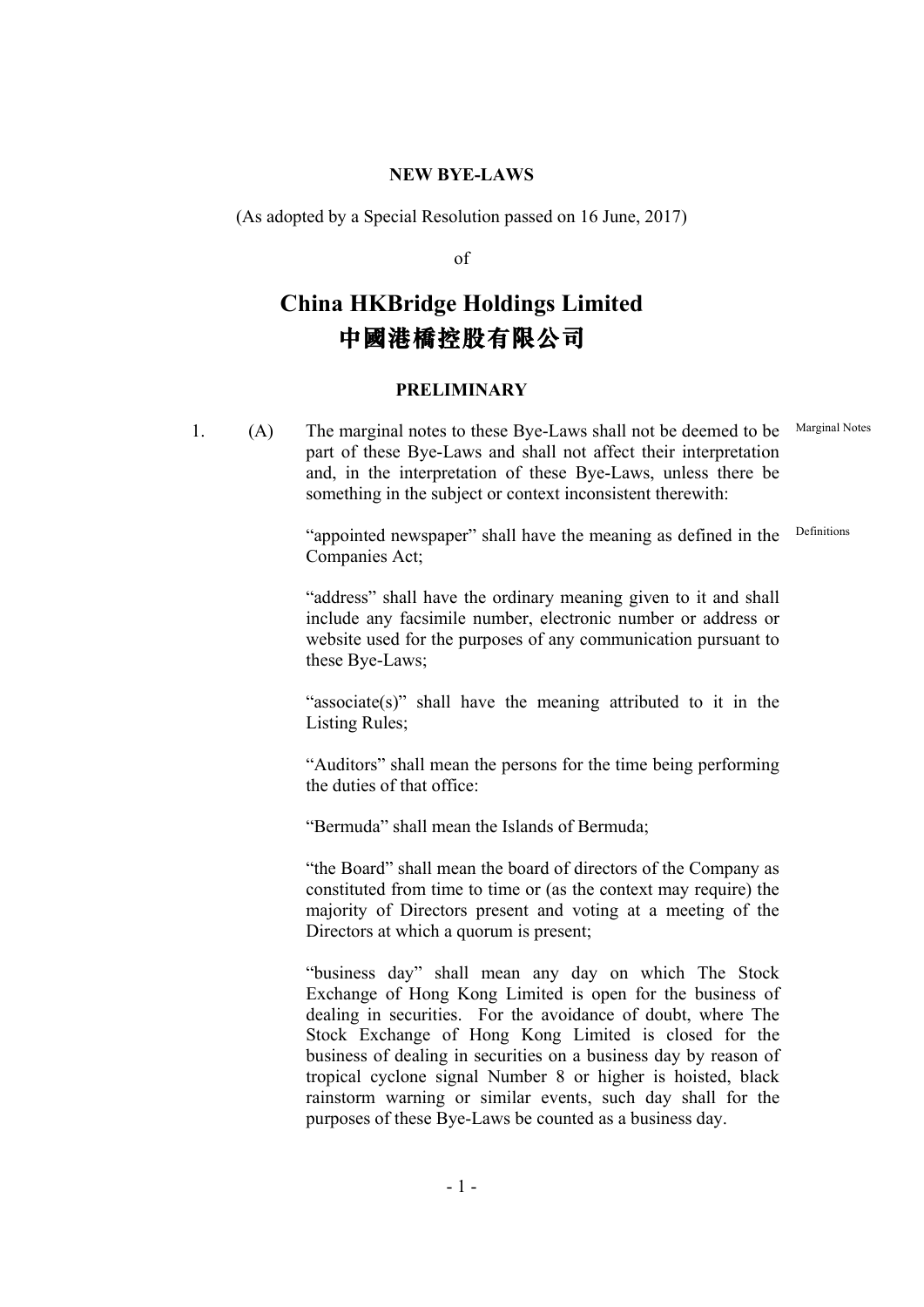## **NEW BYE-LAWS**

(As adopted by a Special Resolution passed on 16 June, 2017)

of

## **China HKBridge Holdings Limited 中國港橋控股有限公司**

## **PRELIMINARY**

1. (A) The marginal notes to these Bye-Laws shall not be deemed to be Marginal Notes part of these Bye-Laws and shall not affect their interpretation and, in the interpretation of these Bye-Laws, unless there be something in the subject or context inconsistent therewith:

> "appointed newspaper" shall have the meaning as defined in the Companies Act; Definitions

 "address" shall have the ordinary meaning given to it and shall include any facsimile number, electronic number or address or website used for the purposes of any communication pursuant to these Bye-Laws;

 "associate(s)" shall have the meaning attributed to it in the Listing Rules;

 "Auditors" shall mean the persons for the time being performing the duties of that office:

"Bermuda" shall mean the Islands of Bermuda;

 "the Board" shall mean the board of directors of the Company as constituted from time to time or (as the context may require) the majority of Directors present and voting at a meeting of the Directors at which a quorum is present;

 "business day" shall mean any day on which The Stock Exchange of Hong Kong Limited is open for the business of dealing in securities. For the avoidance of doubt, where The Stock Exchange of Hong Kong Limited is closed for the business of dealing in securities on a business day by reason of tropical cyclone signal Number 8 or higher is hoisted, black rainstorm warning or similar events, such day shall for the purposes of these Bye-Laws be counted as a business day.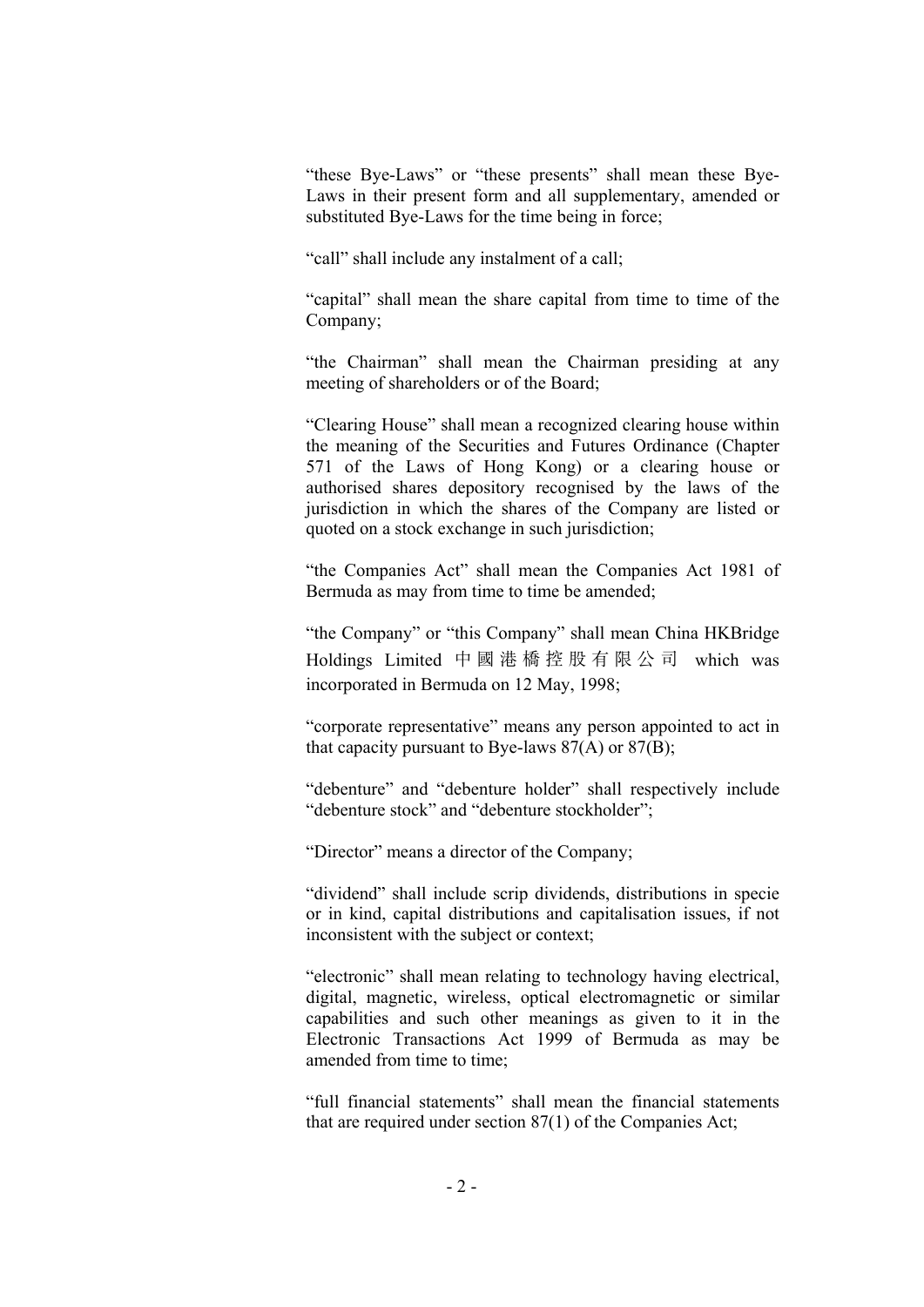"these Bye-Laws" or "these presents" shall mean these Bye-Laws in their present form and all supplementary, amended or substituted Bye-Laws for the time being in force;

"call" shall include any instalment of a call;

 "capital" shall mean the share capital from time to time of the Company;

 "the Chairman" shall mean the Chairman presiding at any meeting of shareholders or of the Board;

 "Clearing House" shall mean a recognized clearing house within the meaning of the Securities and Futures Ordinance (Chapter 571 of the Laws of Hong Kong) or a clearing house or authorised shares depository recognised by the laws of the jurisdiction in which the shares of the Company are listed or quoted on a stock exchange in such jurisdiction;

 "the Companies Act" shall mean the Companies Act 1981 of Bermuda as may from time to time be amended;

 "the Company" or "this Company" shall mean China HKBridge Holdings Limited 中國港橋控股有限公司 which was incorporated in Bermuda on 12 May, 1998;

 "corporate representative" means any person appointed to act in that capacity pursuant to Bye-laws  $87(A)$  or  $87(B)$ ;

 "debenture" and "debenture holder" shall respectively include "debenture stock" and "debenture stockholder";

"Director" means a director of the Company;

 "dividend" shall include scrip dividends, distributions in specie or in kind, capital distributions and capitalisation issues, if not inconsistent with the subject or context;

 "electronic" shall mean relating to technology having electrical, digital, magnetic, wireless, optical electromagnetic or similar capabilities and such other meanings as given to it in the Electronic Transactions Act 1999 of Bermuda as may be amended from time to time:

 "full financial statements" shall mean the financial statements that are required under section 87(1) of the Companies Act;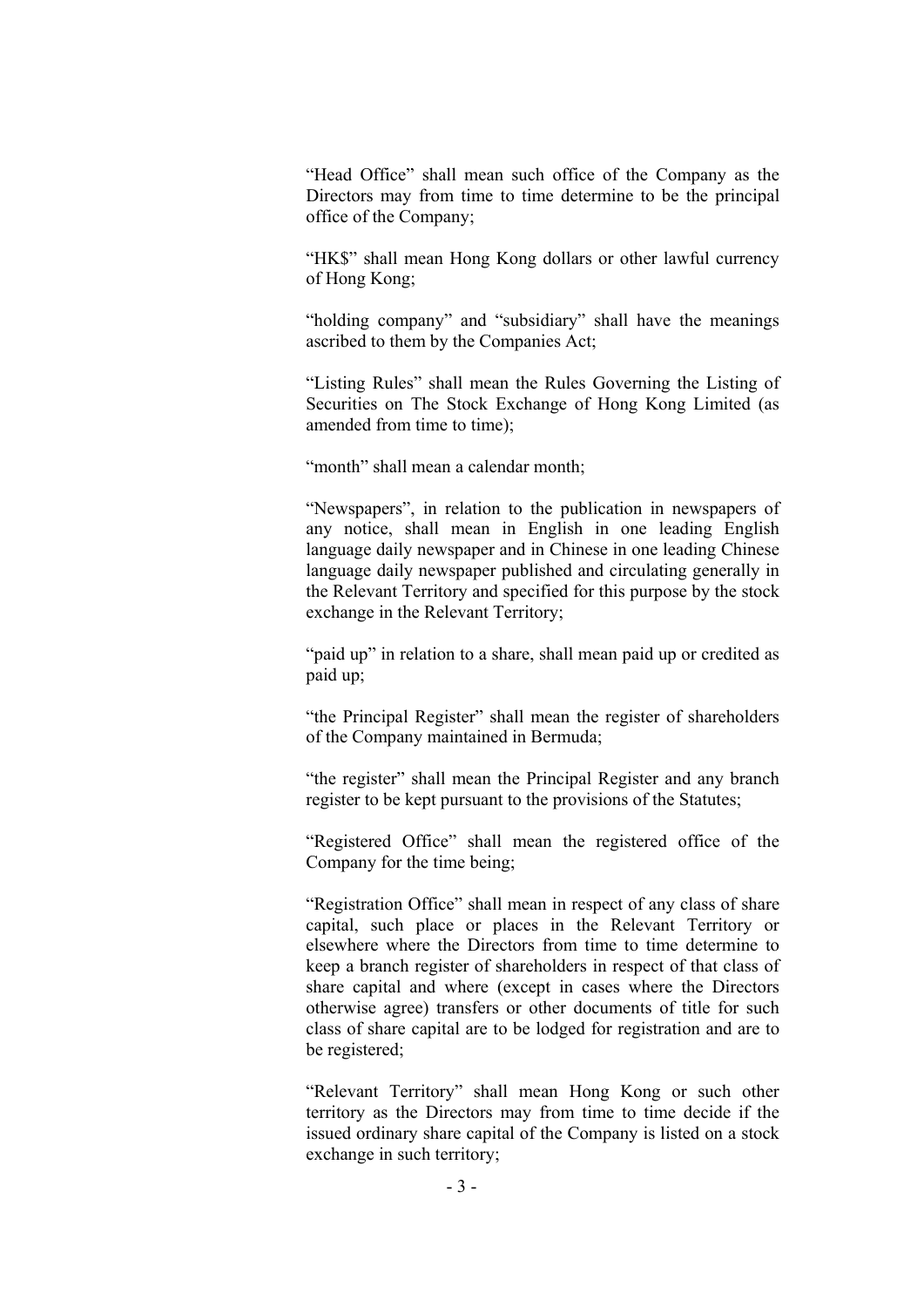"Head Office" shall mean such office of the Company as the Directors may from time to time determine to be the principal office of the Company;

"HK\$" shall mean Hong Kong dollars or other lawful currency of Hong Kong;

 "holding company" and "subsidiary" shall have the meanings ascribed to them by the Companies Act;

 "Listing Rules" shall mean the Rules Governing the Listing of Securities on The Stock Exchange of Hong Kong Limited (as amended from time to time);

"month" shall mean a calendar month;

 "Newspapers", in relation to the publication in newspapers of any notice, shall mean in English in one leading English language daily newspaper and in Chinese in one leading Chinese language daily newspaper published and circulating generally in the Relevant Territory and specified for this purpose by the stock exchange in the Relevant Territory;

"paid up" in relation to a share, shall mean paid up or credited as paid up;

 "the Principal Register" shall mean the register of shareholders of the Company maintained in Bermuda;

 "the register" shall mean the Principal Register and any branch register to be kept pursuant to the provisions of the Statutes;

 "Registered Office" shall mean the registered office of the Company for the time being;

 "Registration Office" shall mean in respect of any class of share capital, such place or places in the Relevant Territory or elsewhere where the Directors from time to time determine to keep a branch register of shareholders in respect of that class of share capital and where (except in cases where the Directors otherwise agree) transfers or other documents of title for such class of share capital are to be lodged for registration and are to be registered;

 "Relevant Territory" shall mean Hong Kong or such other territory as the Directors may from time to time decide if the issued ordinary share capital of the Company is listed on a stock exchange in such territory;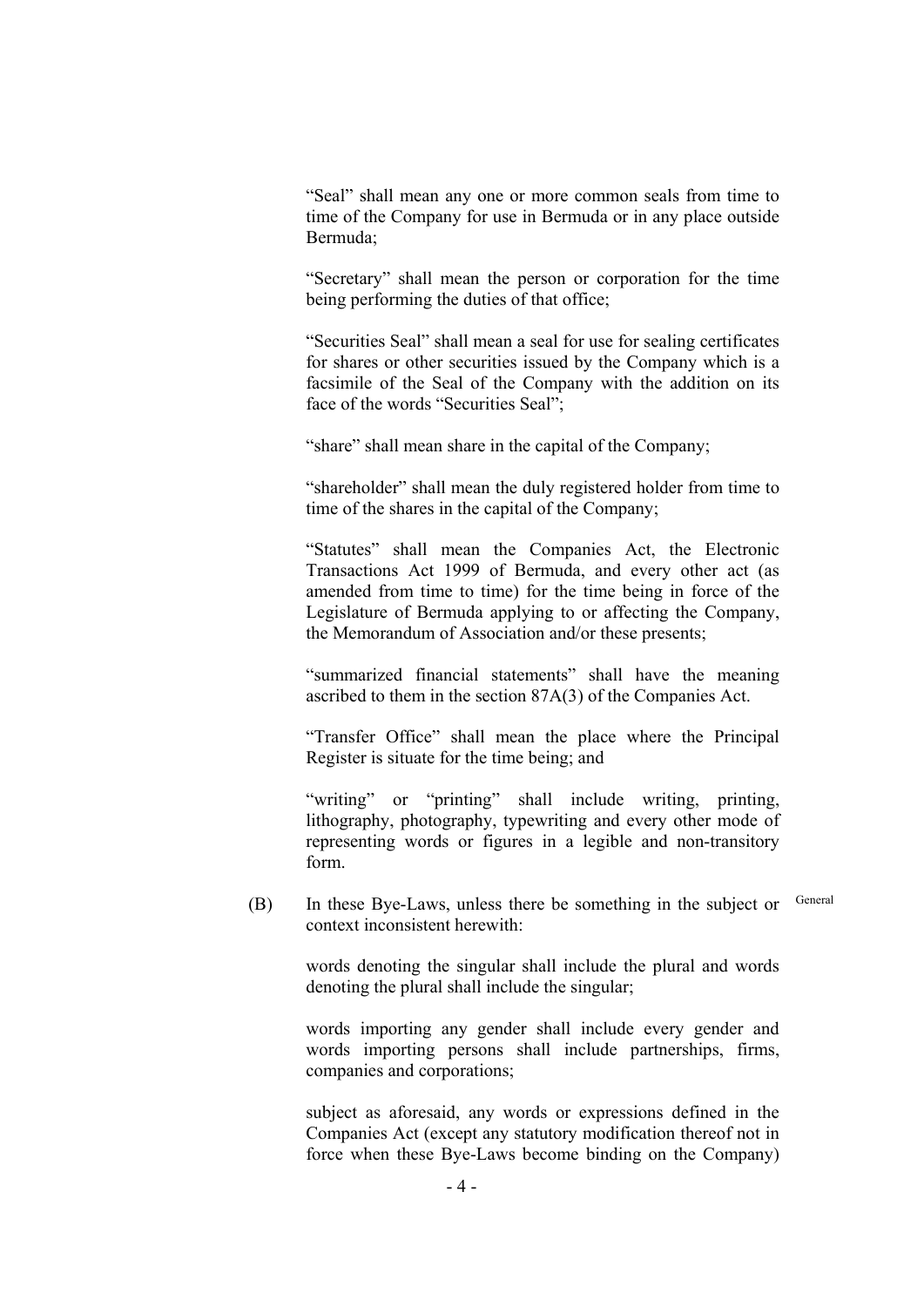"Seal" shall mean any one or more common seals from time to time of the Company for use in Bermuda or in any place outside Bermuda;

 "Secretary" shall mean the person or corporation for the time being performing the duties of that office;

 "Securities Seal" shall mean a seal for use for sealing certificates for shares or other securities issued by the Company which is a facsimile of the Seal of the Company with the addition on its face of the words "Securities Seal";

"share" shall mean share in the capital of the Company;

 "shareholder" shall mean the duly registered holder from time to time of the shares in the capital of the Company;

 "Statutes" shall mean the Companies Act, the Electronic Transactions Act 1999 of Bermuda, and every other act (as amended from time to time) for the time being in force of the Legislature of Bermuda applying to or affecting the Company, the Memorandum of Association and/or these presents;

 "summarized financial statements" shall have the meaning ascribed to them in the section 87A(3) of the Companies Act.

 "Transfer Office" shall mean the place where the Principal Register is situate for the time being; and

 "writing" or "printing" shall include writing, printing, lithography, photography, typewriting and every other mode of representing words or figures in a legible and non-transitory form.

 (B) In these Bye-Laws, unless there be something in the subject or General context inconsistent herewith:

> words denoting the singular shall include the plural and words denoting the plural shall include the singular;

> words importing any gender shall include every gender and words importing persons shall include partnerships, firms, companies and corporations;

> subject as aforesaid, any words or expressions defined in the Companies Act (except any statutory modification thereof not in force when these Bye-Laws become binding on the Company)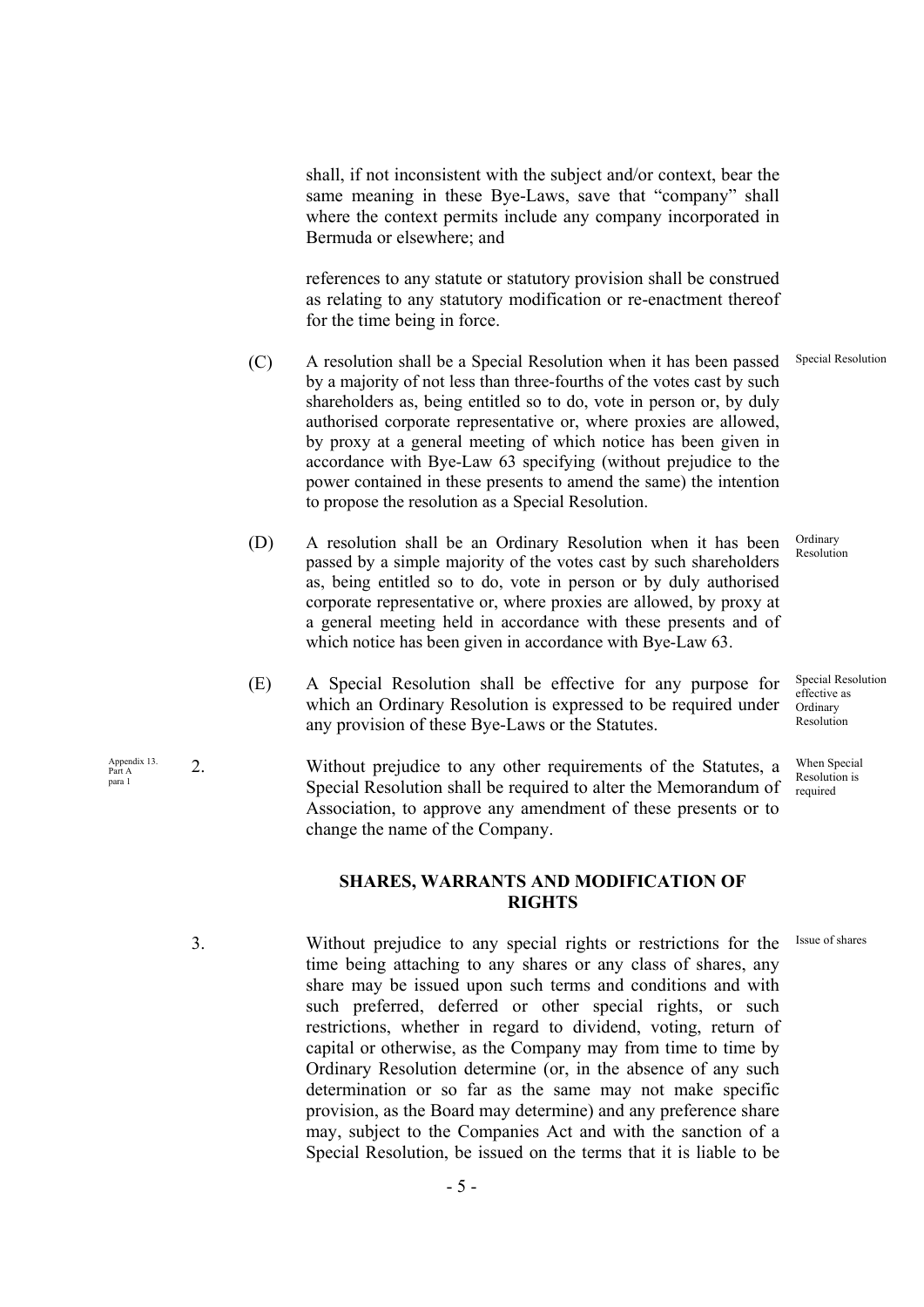shall, if not inconsistent with the subject and/or context, bear the same meaning in these Bye-Laws, save that "company" shall where the context permits include any company incorporated in Bermuda or elsewhere; and

 references to any statute or statutory provision shall be construed as relating to any statutory modification or re-enactment thereof for the time being in force.

- (C) A resolution shall be a Special Resolution when it has been passed by a majority of not less than three-fourths of the votes cast by such shareholders as, being entitled so to do, vote in person or, by duly authorised corporate representative or, where proxies are allowed, by proxy at a general meeting of which notice has been given in accordance with Bye-Law 63 specifying (without prejudice to the power contained in these presents to amend the same) the intention to propose the resolution as a Special Resolution. Special Resolution
- (D) A resolution shall be an Ordinary Resolution when it has been passed by a simple majority of the votes cast by such shareholders as, being entitled so to do, vote in person or by duly authorised corporate representative or, where proxies are allowed, by proxy at a general meeting held in accordance with these presents and of which notice has been given in accordance with Bye-Law 63. Resolution
- (E) A Special Resolution shall be effective for any purpose for which an Ordinary Resolution is expressed to be required under any provision of these Bye-Laws or the Statutes.
- Appendix 13.  $2 \cdot$ 2. Without prejudice to any other requirements of the Statutes, a Special Resolution shall be required to alter the Memorandum of Association, to approve any amendment of these presents or to change the name of the Company.

## **SHARES, WARRANTS AND MODIFICATION OF RIGHTS**

Part A para 1

> 3. Without prejudice to any special rights or restrictions for the time being attaching to any shares or any class of shares, any share may be issued upon such terms and conditions and with such preferred, deferred or other special rights, or such restrictions, whether in regard to dividend, voting, return of capital or otherwise, as the Company may from time to time by Ordinary Resolution determine (or, in the absence of any such determination or so far as the same may not make specific provision, as the Board may determine) and any preference share may, subject to the Companies Act and with the sanction of a Special Resolution, be issued on the terms that it is liable to be

**Ordinary** 

Special Resolution effective as **Ordinary** Resolution

When Special Resolution is required

Issue of shares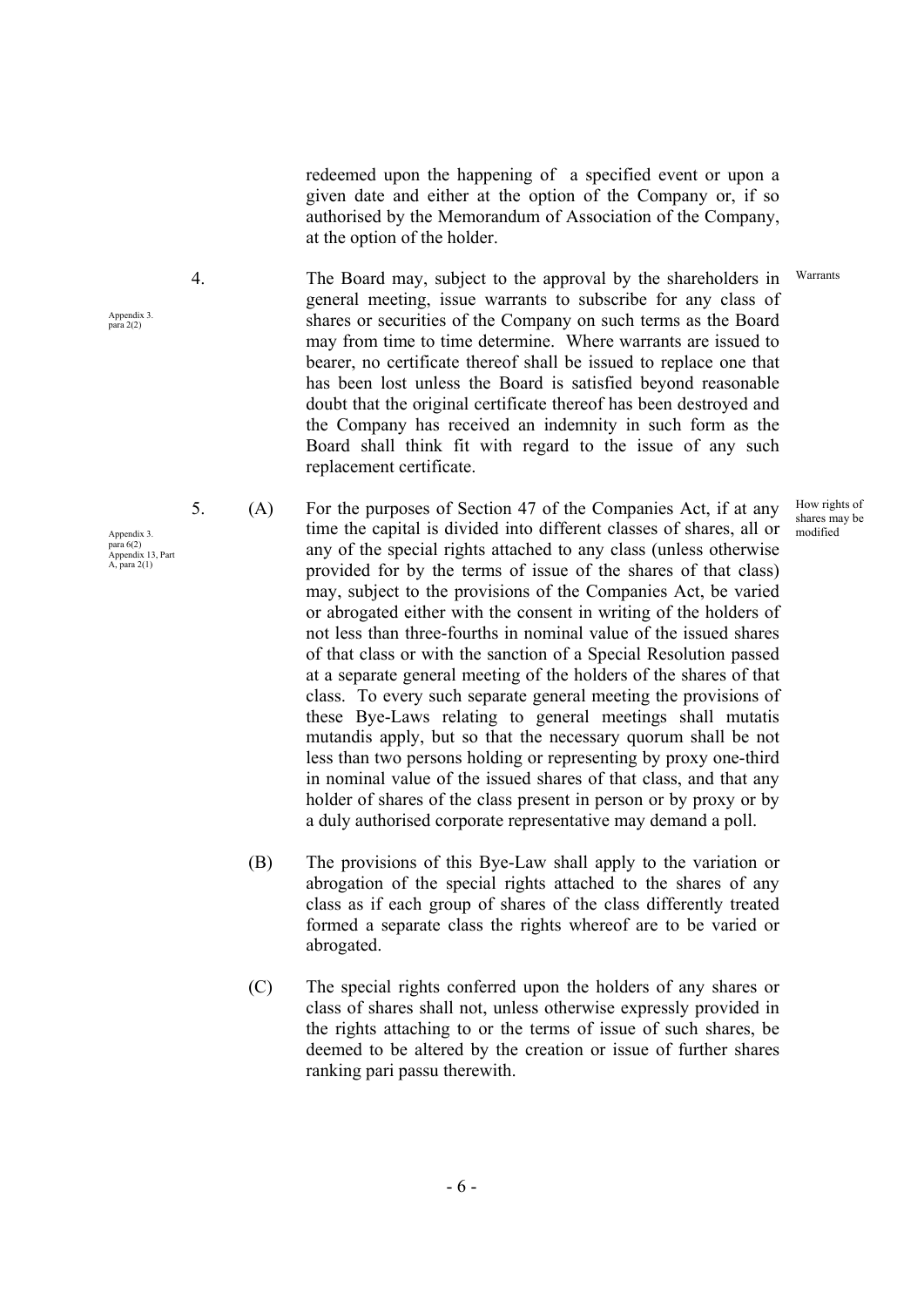redeemed upon the happening of a specified event or upon a given date and either at the option of the Company or, if so authorised by the Memorandum of Association of the Company, at the option of the holder.

4. The Board may, subject to the approval by the shareholders in general meeting, issue warrants to subscribe for any class of shares or securities of the Company on such terms as the Board may from time to time determine. Where warrants are issued to bearer, no certificate thereof shall be issued to replace one that has been lost unless the Board is satisfied beyond reasonable doubt that the original certificate thereof has been destroyed and the Company has received an indemnity in such form as the Board shall think fit with regard to the issue of any such replacement certificate. Warrants

5. (A) For the purposes of Section 47 of the Companies Act, if at any time the capital is divided into different classes of shares, all or any of the special rights attached to any class (unless otherwise provided for by the terms of issue of the shares of that class) may, subject to the provisions of the Companies Act, be varied or abrogated either with the consent in writing of the holders of not less than three-fourths in nominal value of the issued shares of that class or with the sanction of a Special Resolution passed at a separate general meeting of the holders of the shares of that class. To every such separate general meeting the provisions of these Bye-Laws relating to general meetings shall mutatis mutandis apply, but so that the necessary quorum shall be not less than two persons holding or representing by proxy one-third in nominal value of the issued shares of that class, and that any holder of shares of the class present in person or by proxy or by a duly authorised corporate representative may demand a poll. How rights of shares may be modified

- (B) The provisions of this Bye-Law shall apply to the variation or abrogation of the special rights attached to the shares of any class as if each group of shares of the class differently treated formed a separate class the rights whereof are to be varied or abrogated.
- (C) The special rights conferred upon the holders of any shares or class of shares shall not, unless otherwise expressly provided in the rights attaching to or the terms of issue of such shares, be deemed to be altered by the creation or issue of further shares ranking pari passu therewith.

Appendix 3. para  $6(2)$ Appendix 13, Part A, para  $2(1)$ 

Appendix 3.  $para 2(2)$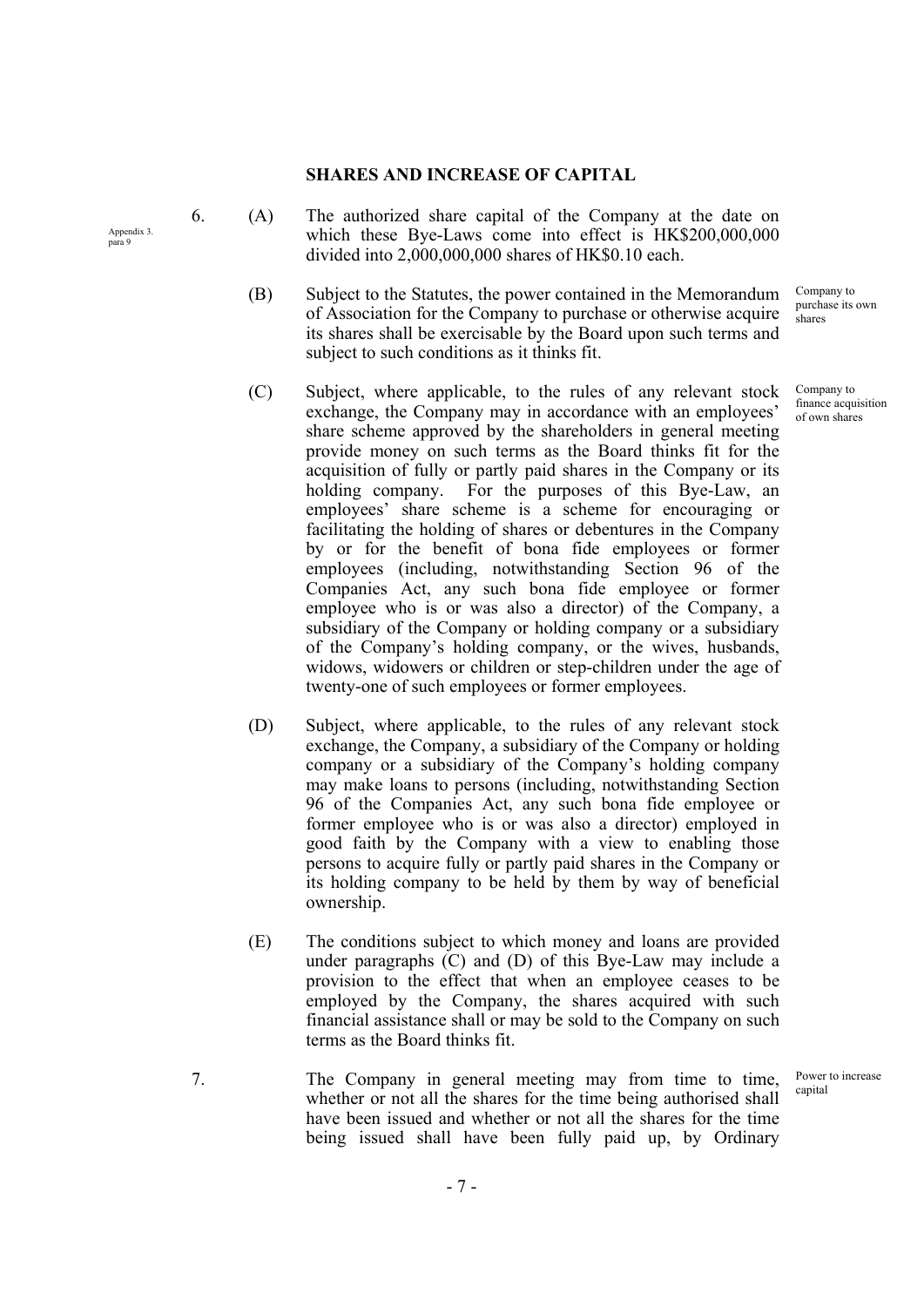#### **SHARES AND INCREASE OF CAPITAL**

Appendix 3. para 9

- 6. (A) The authorized share capital of the Company at the date on which these Bye-Laws come into effect is HK\$200,000,000 divided into 2,000,000,000 shares of HK\$0.10 each.
	- (B) Subject to the Statutes, the power contained in the Memorandum of Association for the Company to purchase or otherwise acquire its shares shall be exercisable by the Board upon such terms and subject to such conditions as it thinks fit.
	- (C) Subject, where applicable, to the rules of any relevant stock exchange, the Company may in accordance with an employees' share scheme approved by the shareholders in general meeting provide money on such terms as the Board thinks fit for the acquisition of fully or partly paid shares in the Company or its holding company. For the purposes of this Bye-Law, an employees' share scheme is a scheme for encouraging or facilitating the holding of shares or debentures in the Company by or for the benefit of bona fide employees or former employees (including, notwithstanding Section 96 of the Companies Act, any such bona fide employee or former employee who is or was also a director) of the Company, a subsidiary of the Company or holding company or a subsidiary of the Company's holding company, or the wives, husbands, widows, widowers or children or step-children under the age of twenty-one of such employees or former employees.
	- (D) Subject, where applicable, to the rules of any relevant stock exchange, the Company, a subsidiary of the Company or holding company or a subsidiary of the Company's holding company may make loans to persons (including, notwithstanding Section 96 of the Companies Act, any such bona fide employee or former employee who is or was also a director) employed in good faith by the Company with a view to enabling those persons to acquire fully or partly paid shares in the Company or its holding company to be held by them by way of beneficial ownership.
	- (E) The conditions subject to which money and loans are provided under paragraphs (C) and (D) of this Bye-Law may include a provision to the effect that when an employee ceases to be employed by the Company, the shares acquired with such financial assistance shall or may be sold to the Company on such terms as the Board thinks fit.
- 7. The Company in general meeting may from time to time, whether or not all the shares for the time being authorised shall have been issued and whether or not all the shares for the time being issued shall have been fully paid up, by Ordinary Power to increase capital

Company to purchase its own shares

Company to finance acquisition of own shares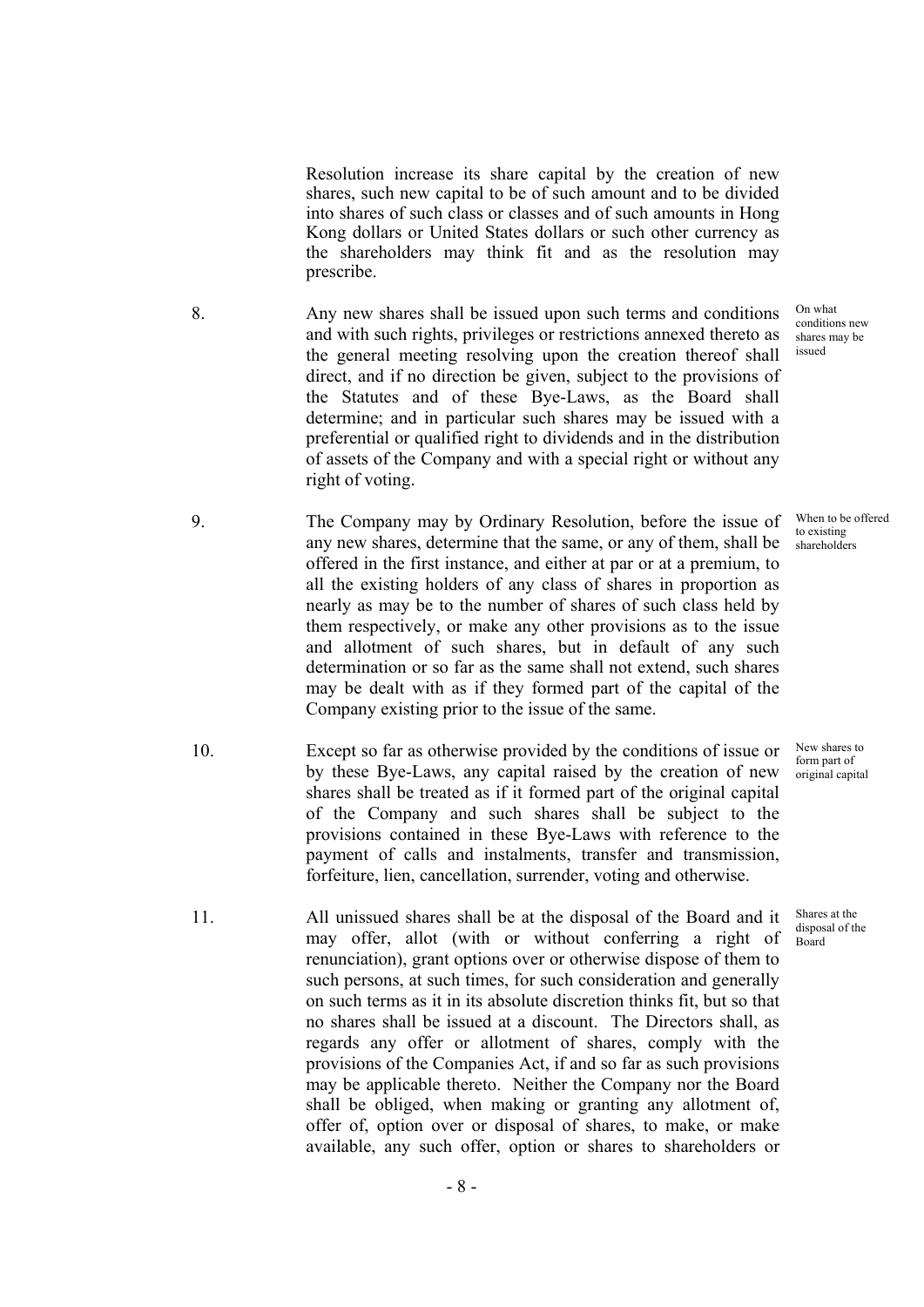Resolution increase its share capital by the creation of new shares, such new capital to be of such amount and to be divided into shares of such class or classes and of such amounts in Hong Kong dollars or United States dollars or such other currency as the shareholders may think fit and as the resolution may prescribe.

- 8. Any new shares shall be issued upon such terms and conditions and with such rights, privileges or restrictions annexed thereto as the general meeting resolving upon the creation thereof shall direct, and if no direction be given, subject to the provisions of the Statutes and of these Bye-Laws, as the Board shall determine; and in particular such shares may be issued with a preferential or qualified right to dividends and in the distribution of assets of the Company and with a special right or without any right of voting.
- 9. The Company may by Ordinary Resolution, before the issue of any new shares, determine that the same, or any of them, shall be offered in the first instance, and either at par or at a premium, to all the existing holders of any class of shares in proportion as nearly as may be to the number of shares of such class held by them respectively, or make any other provisions as to the issue and allotment of such shares, but in default of any such determination or so far as the same shall not extend, such shares may be dealt with as if they formed part of the capital of the Company existing prior to the issue of the same.
- 10. Except so far as otherwise provided by the conditions of issue or by these Bye-Laws, any capital raised by the creation of new shares shall be treated as if it formed part of the original capital of the Company and such shares shall be subject to the provisions contained in these Bye-Laws with reference to the payment of calls and instalments, transfer and transmission, forfeiture, lien, cancellation, surrender, voting and otherwise.
- 11. All unissued shares shall be at the disposal of the Board and it may offer, allot (with or without conferring a right of renunciation), grant options over or otherwise dispose of them to such persons, at such times, for such consideration and generally on such terms as it in its absolute discretion thinks fit, but so that no shares shall be issued at a discount. The Directors shall, as regards any offer or allotment of shares, comply with the provisions of the Companies Act, if and so far as such provisions may be applicable thereto. Neither the Company nor the Board shall be obliged, when making or granting any allotment of, offer of, option over or disposal of shares, to make, or make available, any such offer, option or shares to shareholders or

On what conditions new shares may be issued

When to be offered to existing shareholders

New shares to form part of original capital

Shares at the disposal of the Board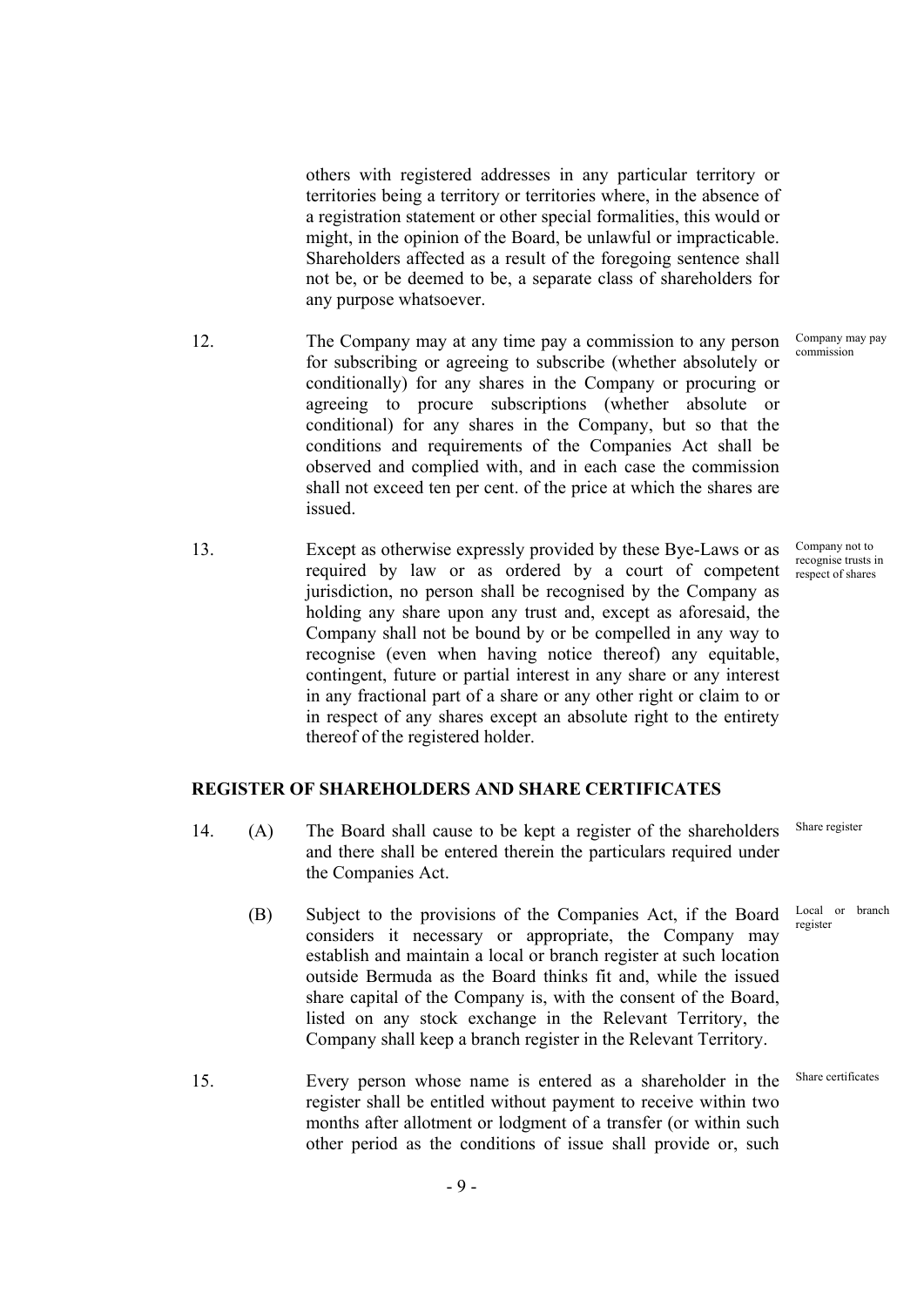others with registered addresses in any particular territory or territories being a territory or territories where, in the absence of a registration statement or other special formalities, this would or might, in the opinion of the Board, be unlawful or impracticable. Shareholders affected as a result of the foregoing sentence shall not be, or be deemed to be, a separate class of shareholders for any purpose whatsoever.

- 12. The Company may at any time pay a commission to any person for subscribing or agreeing to subscribe (whether absolutely or conditionally) for any shares in the Company or procuring or agreeing to procure subscriptions (whether absolute or conditional) for any shares in the Company, but so that the conditions and requirements of the Companies Act shall be observed and complied with, and in each case the commission shall not exceed ten per cent. of the price at which the shares are issued.
- 13. Except as otherwise expressly provided by these Bye-Laws or as required by law or as ordered by a court of competent jurisdiction, no person shall be recognised by the Company as holding any share upon any trust and, except as aforesaid, the Company shall not be bound by or be compelled in any way to recognise (even when having notice thereof) any equitable, contingent, future or partial interest in any share or any interest in any fractional part of a share or any other right or claim to or in respect of any shares except an absolute right to the entirety thereof of the registered holder.

## **REGISTER OF SHAREHOLDERS AND SHARE CERTIFICATES**

- 14. (A) The Board shall cause to be kept a register of the shareholders and there shall be entered therein the particulars required under the Companies Act.
	- (B) Subject to the provisions of the Companies Act, if the Board considers it necessary or appropriate, the Company may establish and maintain a local or branch register at such location outside Bermuda as the Board thinks fit and, while the issued share capital of the Company is, with the consent of the Board, listed on any stock exchange in the Relevant Territory, the Company shall keep a branch register in the Relevant Territory.
- 15. Every person whose name is entered as a shareholder in the register shall be entitled without payment to receive within two months after allotment or lodgment of a transfer (or within such other period as the conditions of issue shall provide or, such Share certificates

- 9 -

Company may pay commission

Company not to recognise trusts in respect of shares

Share register

Local or branch register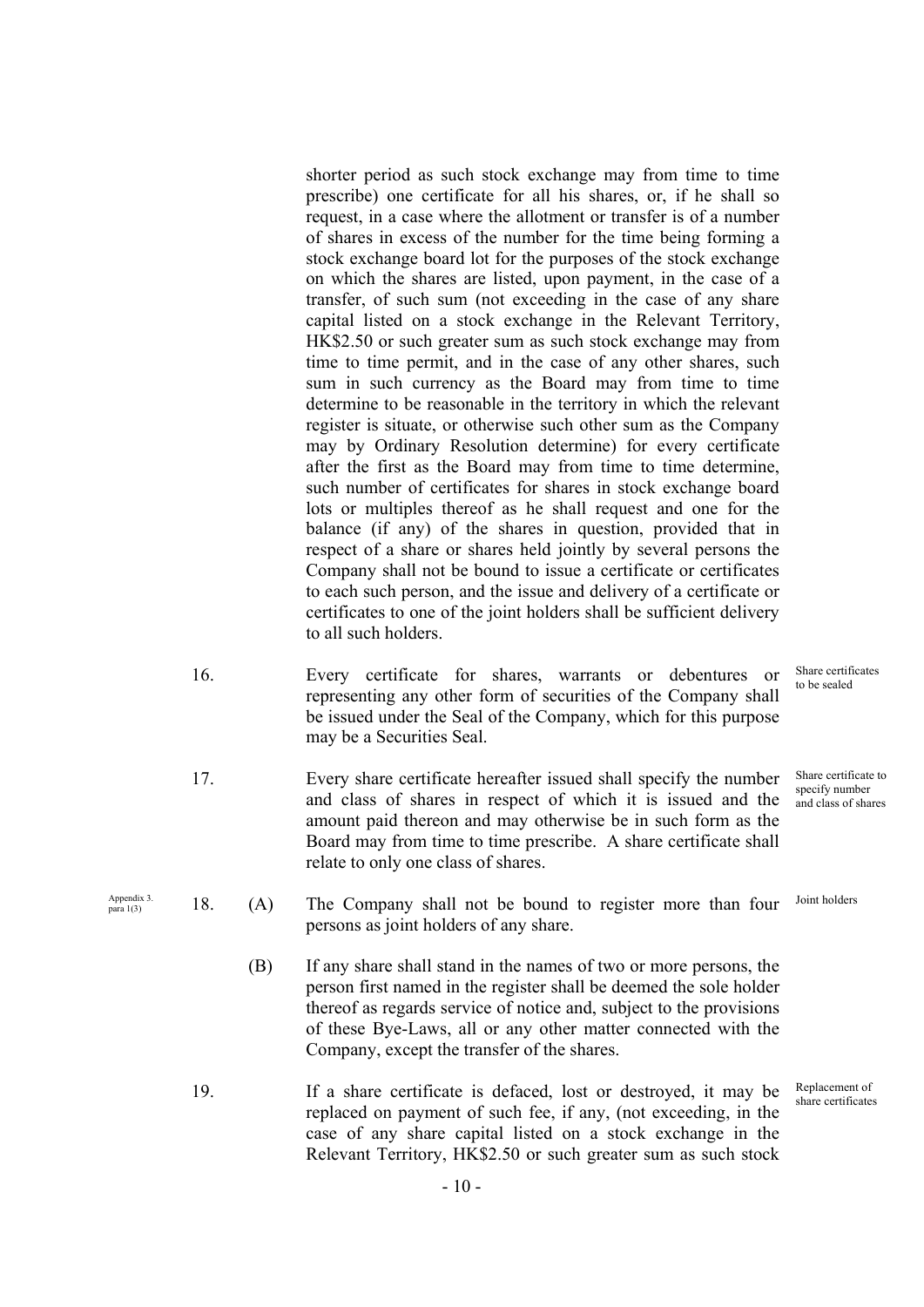shorter period as such stock exchange may from time to time prescribe) one certificate for all his shares, or, if he shall so request, in a case where the allotment or transfer is of a number of shares in excess of the number for the time being forming a stock exchange board lot for the purposes of the stock exchange on which the shares are listed, upon payment, in the case of a transfer, of such sum (not exceeding in the case of any share capital listed on a stock exchange in the Relevant Territory, HK\$2.50 or such greater sum as such stock exchange may from time to time permit, and in the case of any other shares, such sum in such currency as the Board may from time to time determine to be reasonable in the territory in which the relevant register is situate, or otherwise such other sum as the Company may by Ordinary Resolution determine) for every certificate after the first as the Board may from time to time determine, such number of certificates for shares in stock exchange board lots or multiples thereof as he shall request and one for the balance (if any) of the shares in question, provided that in respect of a share or shares held jointly by several persons the Company shall not be bound to issue a certificate or certificates to each such person, and the issue and delivery of a certificate or certificates to one of the joint holders shall be sufficient delivery to all such holders.

- 16. Every certificate for shares, warrants or debentures or representing any other form of securities of the Company shall be issued under the Seal of the Company, which for this purpose may be a Securities Seal. Share certificates to be sealed
- 17. Every share certificate hereafter issued shall specify the number and class of shares in respect of which it is issued and the amount paid thereon and may otherwise be in such form as the Board may from time to time prescribe. A share certificate shall relate to only one class of shares.
	- (A) The Company shall not be bound to register more than four persons as joint holders of any share.
	- (B) If any share shall stand in the names of two or more persons, the person first named in the register shall be deemed the sole holder thereof as regards service of notice and, subject to the provisions of these Bye-Laws, all or any other matter connected with the Company, except the transfer of the shares.
- 19. If a share certificate is defaced, lost or destroyed, it may be replaced on payment of such fee, if any, (not exceeding, in the case of any share capital listed on a stock exchange in the Relevant Territory, HK\$2.50 or such greater sum as such stock

Appendix 3.  $18$ .

Share certificate to specify number and class of shares

Joint holders

Replacement of share certificates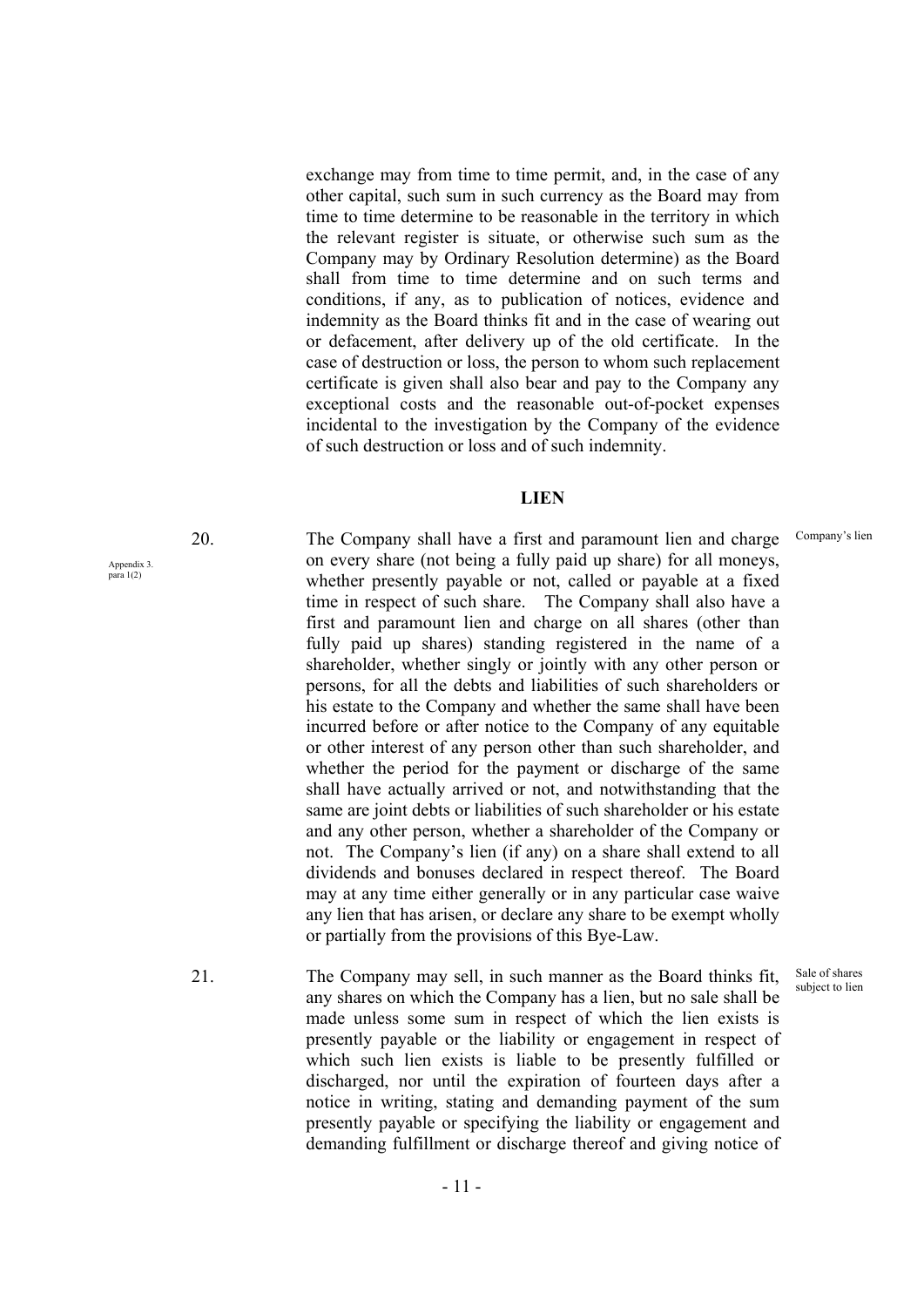exchange may from time to time permit, and, in the case of any other capital, such sum in such currency as the Board may from time to time determine to be reasonable in the territory in which the relevant register is situate, or otherwise such sum as the Company may by Ordinary Resolution determine) as the Board shall from time to time determine and on such terms and conditions, if any, as to publication of notices, evidence and indemnity as the Board thinks fit and in the case of wearing out or defacement, after delivery up of the old certificate. In the case of destruction or loss, the person to whom such replacement certificate is given shall also bear and pay to the Company any exceptional costs and the reasonable out-of-pocket expenses incidental to the investigation by the Company of the evidence of such destruction or loss and of such indemnity.

#### **LIEN**

Company's lien

20. The Company shall have a first and paramount lien and charge on every share (not being a fully paid up share) for all moneys, whether presently payable or not, called or payable at a fixed time in respect of such share. The Company shall also have a first and paramount lien and charge on all shares (other than fully paid up shares) standing registered in the name of a shareholder, whether singly or jointly with any other person or persons, for all the debts and liabilities of such shareholders or his estate to the Company and whether the same shall have been incurred before or after notice to the Company of any equitable or other interest of any person other than such shareholder, and whether the period for the payment or discharge of the same shall have actually arrived or not, and notwithstanding that the same are joint debts or liabilities of such shareholder or his estate and any other person, whether a shareholder of the Company or not. The Company's lien (if any) on a share shall extend to all dividends and bonuses declared in respect thereof. The Board may at any time either generally or in any particular case waive any lien that has arisen, or declare any share to be exempt wholly or partially from the provisions of this Bye-Law.

21. The Company may sell, in such manner as the Board thinks fit, any shares on which the Company has a lien, but no sale shall be made unless some sum in respect of which the lien exists is presently payable or the liability or engagement in respect of which such lien exists is liable to be presently fulfilled or discharged, nor until the expiration of fourteen days after a notice in writing, stating and demanding payment of the sum presently payable or specifying the liability or engagement and demanding fulfillment or discharge thereof and giving notice of Sale of shares subject to lien

Appendix 3. para 1(2)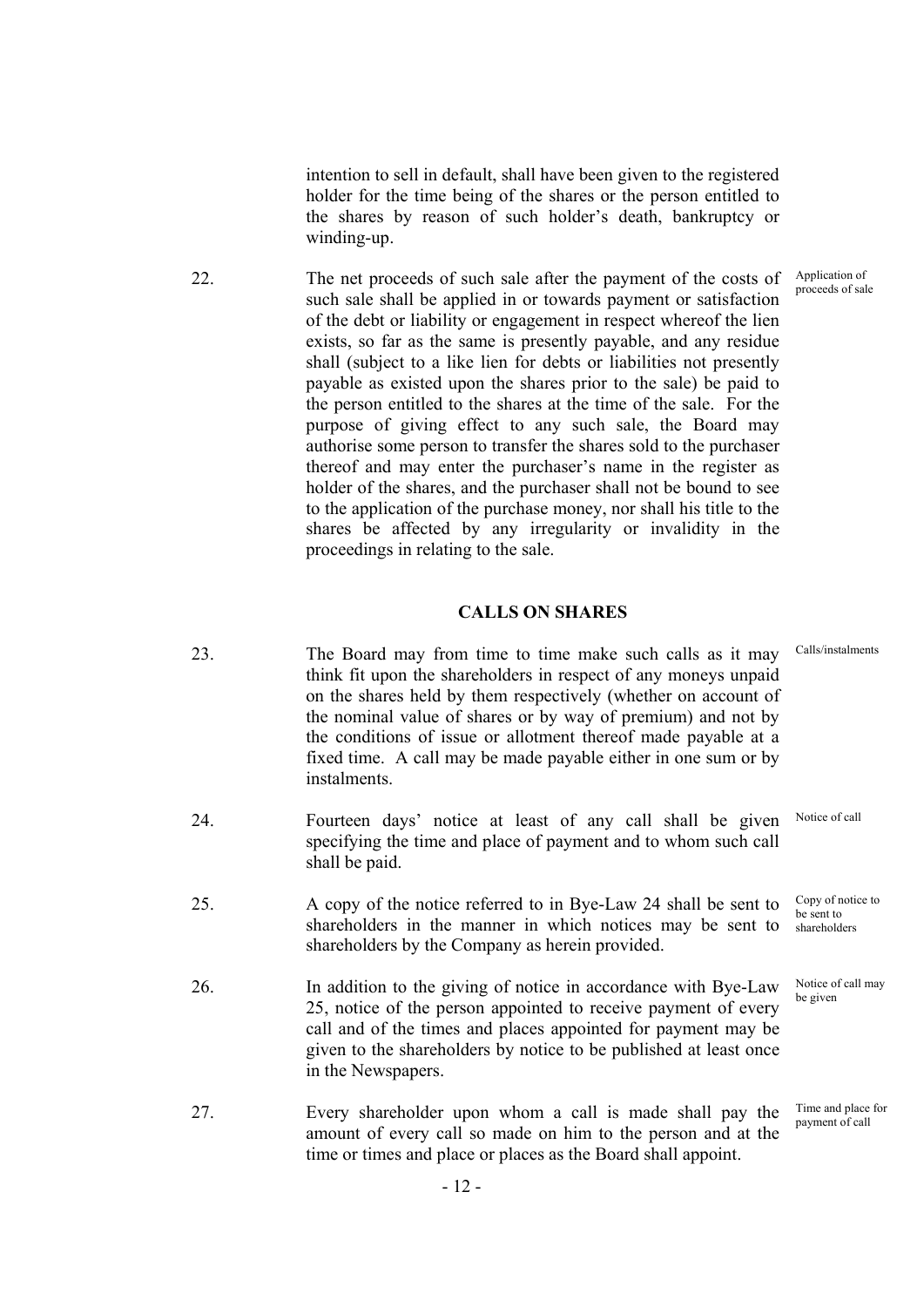intention to sell in default, shall have been given to the registered holder for the time being of the shares or the person entitled to the shares by reason of such holder's death, bankruptcy or winding-up.

22. The net proceeds of such sale after the payment of the costs of such sale shall be applied in or towards payment or satisfaction of the debt or liability or engagement in respect whereof the lien exists, so far as the same is presently payable, and any residue shall (subject to a like lien for debts or liabilities not presently payable as existed upon the shares prior to the sale) be paid to the person entitled to the shares at the time of the sale. For the purpose of giving effect to any such sale, the Board may authorise some person to transfer the shares sold to the purchaser thereof and may enter the purchaser's name in the register as holder of the shares, and the purchaser shall not be bound to see to the application of the purchase money, nor shall his title to the shares be affected by any irregularity or invalidity in the proceedings in relating to the sale.

## **CALLS ON SHARES**

| 23. | The Board may from time to time make such calls as it may<br>think fit upon the shareholders in respect of any moneys unpaid<br>on the shares held by them respectively (whether on account of<br>the nominal value of shares or by way of premium) and not by<br>the conditions of issue or allotment thereof made payable at a<br>fixed time. A call may be made payable either in one sum or by<br>instalments. | Calls/instalments                               |
|-----|--------------------------------------------------------------------------------------------------------------------------------------------------------------------------------------------------------------------------------------------------------------------------------------------------------------------------------------------------------------------------------------------------------------------|-------------------------------------------------|
| 24. | Fourteen days' notice at least of any call shall be given<br>specifying the time and place of payment and to whom such call<br>shall be paid.                                                                                                                                                                                                                                                                      | Notice of call                                  |
| 25. | A copy of the notice referred to in Bye-Law 24 shall be sent to<br>shareholders in the manner in which notices may be sent to<br>shareholders by the Company as herein provided.                                                                                                                                                                                                                                   | Copy of notice to<br>be sent to<br>shareholders |
| 26. | In addition to the giving of notice in accordance with Bye-Law<br>25, notice of the person appointed to receive payment of every<br>call and of the times and places appointed for payment may be<br>given to the shareholders by notice to be published at least once<br>in the Newspapers.                                                                                                                       | Notice of call may<br>be given                  |
| 27. | Every shareholder upon whom a call is made shall pay the<br>amount of every call so made on him to the person and at the<br>time or times and place or places as the Board shall appoint.                                                                                                                                                                                                                          | Time and place for<br>payment of call           |

- 12 -

Application of proceeds of sale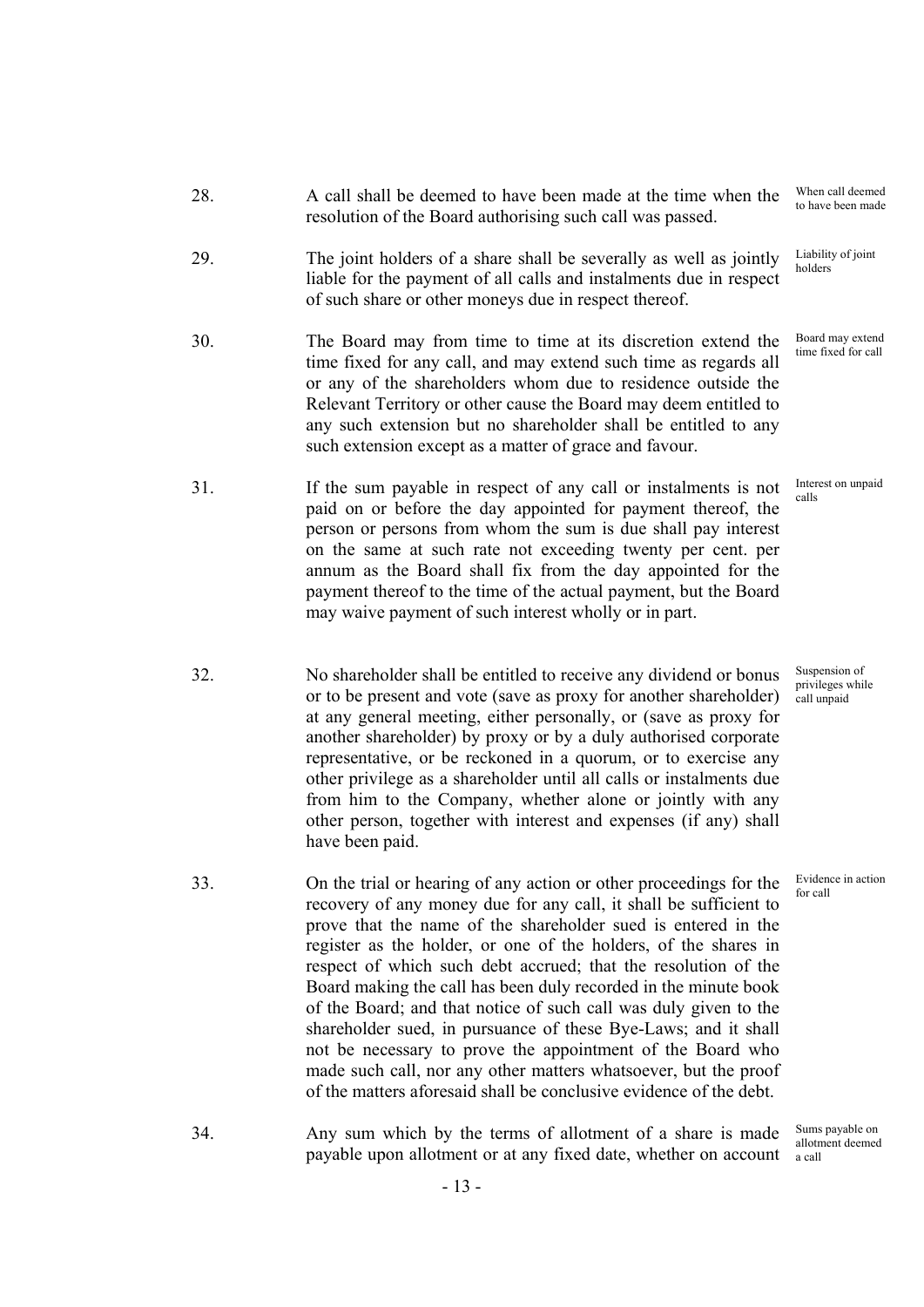| 28. | A call shall be deemed to have been made at the time when the<br>resolution of the Board authorising such call was passed.                                                                                                                                                                                                                                                                                                                                  | When call deemed<br>to have been made            |
|-----|-------------------------------------------------------------------------------------------------------------------------------------------------------------------------------------------------------------------------------------------------------------------------------------------------------------------------------------------------------------------------------------------------------------------------------------------------------------|--------------------------------------------------|
| 29. | The joint holders of a share shall be severally as well as jointly<br>liable for the payment of all calls and instalments due in respect<br>of such share or other moneys due in respect thereof.                                                                                                                                                                                                                                                           | Liability of joint<br>holders                    |
| 30. | The Board may from time to time at its discretion extend the<br>time fixed for any call, and may extend such time as regards all<br>or any of the shareholders whom due to residence outside the<br>Relevant Territory or other cause the Board may deem entitled to<br>any such extension but no shareholder shall be entitled to any<br>such extension except as a matter of grace and favour.                                                            | Board may extend<br>time fixed for call          |
| 31. | If the sum payable in respect of any call or instalments is not<br>paid on or before the day appointed for payment thereof, the<br>person or persons from whom the sum is due shall pay interest<br>on the same at such rate not exceeding twenty per cent. per<br>annum as the Board shall fix from the day appointed for the<br>payment thereof to the time of the actual payment, but the Board<br>may waive payment of such interest wholly or in part. | Interest on unpaid<br>calls                      |
| 32. | No shareholder shall be entitled to receive any dividend or bonus<br>or to be present and vote (save as proxy for another shareholder)<br>at any general meeting, either personally, or (save as proxy for<br>another shareholder) by proxy or by a duly authorised corporate<br>representative, or be reckoned in a quorum, or to exercise any<br>other privilege as a shareholder until all calls or instalments due                                      | Suspension of<br>privileges while<br>call unpaid |

from him to the Company, whether alone or jointly with any other person, together with interest and expenses (if any) shall

> Evidence in action for call

Sums payable on allotment deemed

33. On the trial or hearing of any action or other proceedings for the recovery of any money due for any call, it shall be sufficient to prove that the name of the shareholder sued is entered in the register as the holder, or one of the holders, of the shares in respect of which such debt accrued; that the resolution of the Board making the call has been duly recorded in the minute book of the Board; and that notice of such call was duly given to the shareholder sued, in pursuance of these Bye-Laws; and it shall not be necessary to prove the appointment of the Board who made such call, nor any other matters whatsoever, but the proof of the matters aforesaid shall be conclusive evidence of the debt.

have been paid.

34. Any sum which by the terms of allotment of a share is made payable upon allotment or at any fixed date, whether on account a call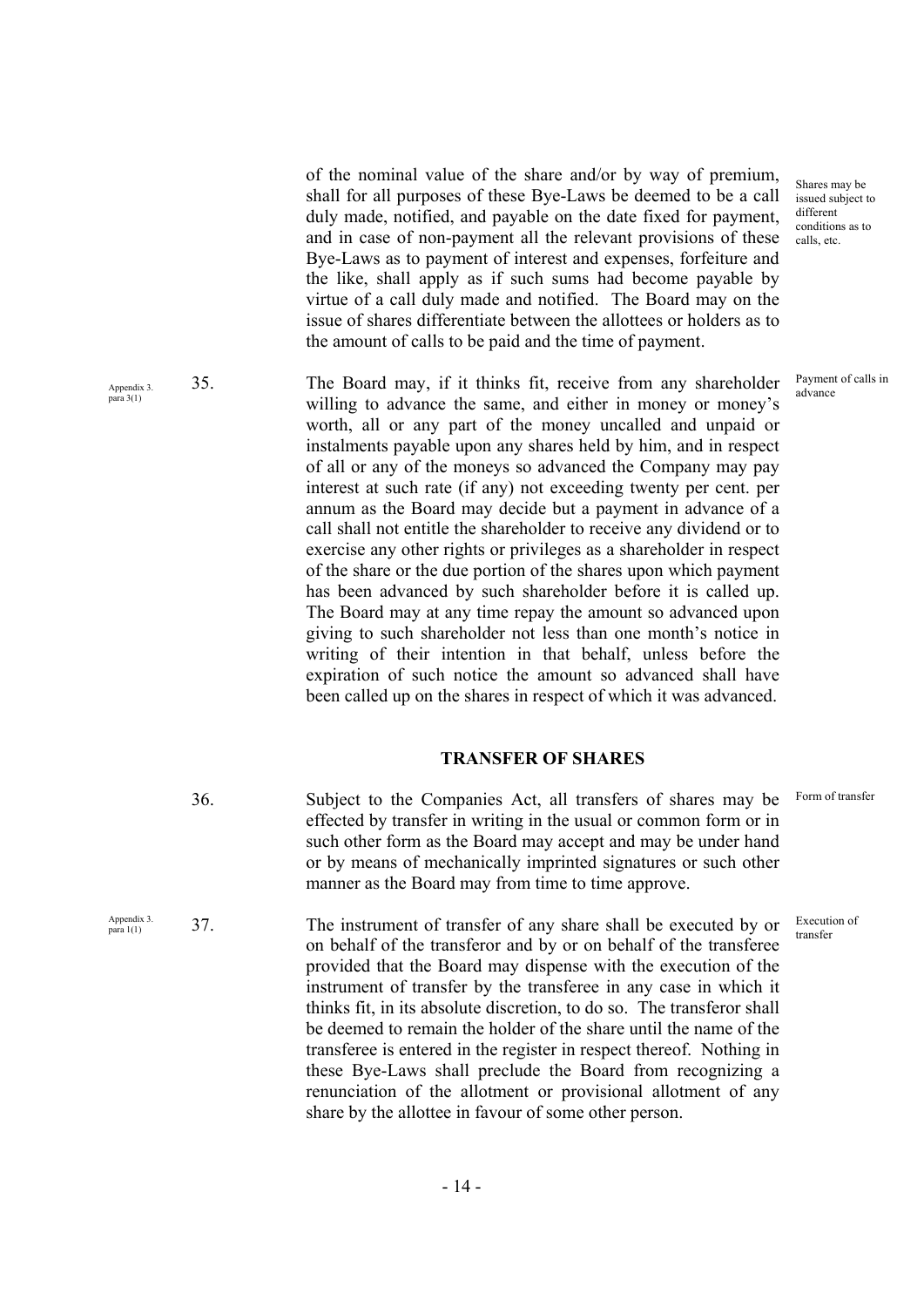of the nominal value of the share and/or by way of premium, shall for all purposes of these Bye-Laws be deemed to be a call duly made, notified, and payable on the date fixed for payment, and in case of non-payment all the relevant provisions of these Bye-Laws as to payment of interest and expenses, forfeiture and the like, shall apply as if such sums had become payable by virtue of a call duly made and notified. The Board may on the issue of shares differentiate between the allottees or holders as to the amount of calls to be paid and the time of payment.

Appendix 3. para 3(1) 35. The Board may, if it thinks fit, receive from any shareholder willing to advance the same, and either in money or money's worth, all or any part of the money uncalled and unpaid or instalments payable upon any shares held by him, and in respect of all or any of the moneys so advanced the Company may pay interest at such rate (if any) not exceeding twenty per cent. per annum as the Board may decide but a payment in advance of a call shall not entitle the shareholder to receive any dividend or to exercise any other rights or privileges as a shareholder in respect of the share or the due portion of the shares upon which payment has been advanced by such shareholder before it is called up. The Board may at any time repay the amount so advanced upon giving to such shareholder not less than one month's notice in writing of their intention in that behalf, unless before the expiration of such notice the amount so advanced shall have been called up on the shares in respect of which it was advanced.

#### **TRANSFER OF SHARES**

36. Subject to the Companies Act, all transfers of shares may be effected by transfer in writing in the usual or common form or in such other form as the Board may accept and may be under hand or by means of mechanically imprinted signatures or such other manner as the Board may from time to time approve.

Appendix 3.  $37.$ The instrument of transfer of any share shall be executed by or on behalf of the transferor and by or on behalf of the transferee provided that the Board may dispense with the execution of the instrument of transfer by the transferee in any case in which it thinks fit, in its absolute discretion, to do so. The transferor shall be deemed to remain the holder of the share until the name of the transferee is entered in the register in respect thereof. Nothing in these Bye-Laws shall preclude the Board from recognizing a renunciation of the allotment or provisional allotment of any share by the allottee in favour of some other person.

Shares may be issued subject to different conditions as to calls, etc.

Payment of calls in advance

Form of transfer

Execution of transfer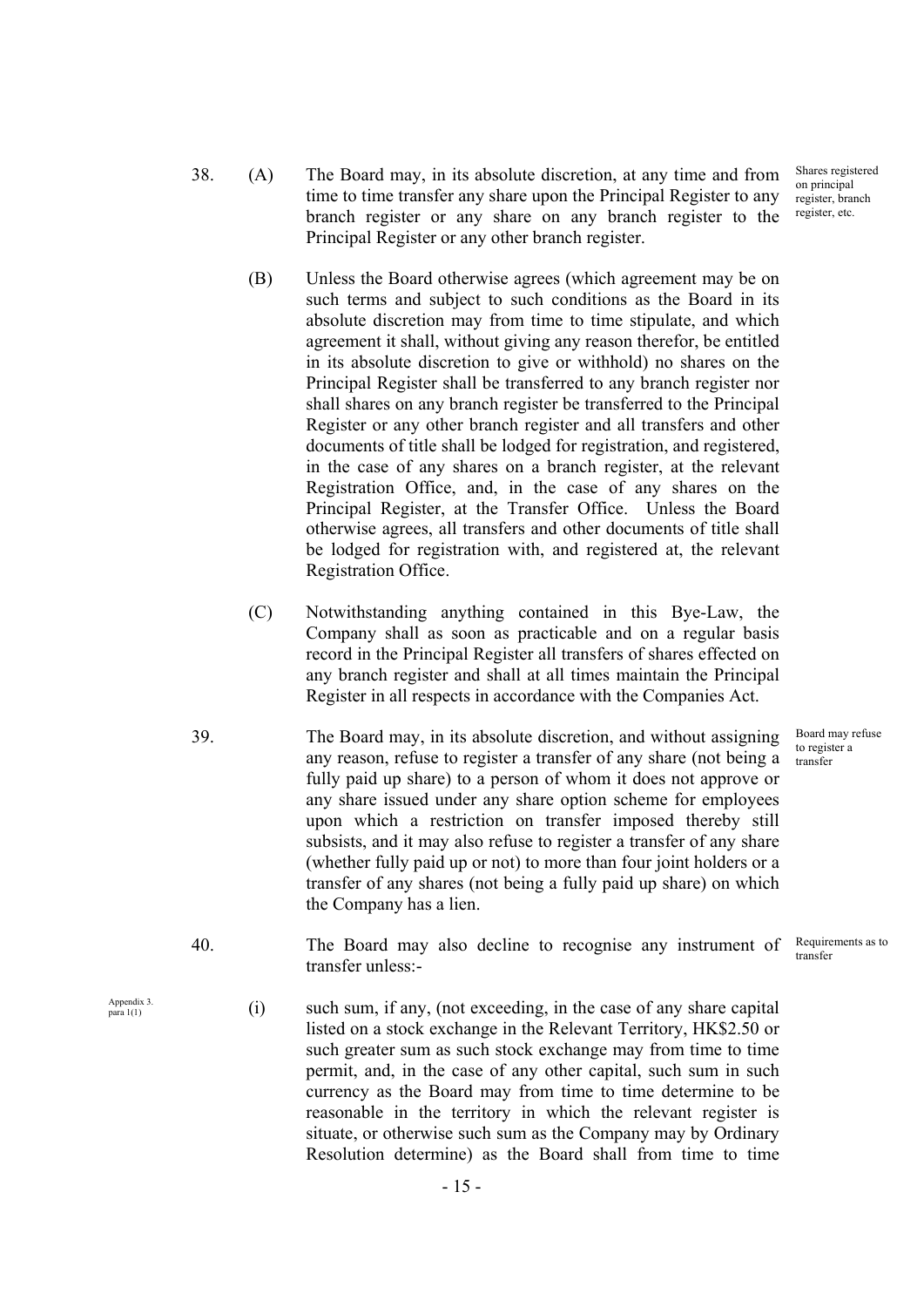Shares registered on principal register, branch register, etc.

- 38. (A) The Board may, in its absolute discretion, at any time and from time to time transfer any share upon the Principal Register to any branch register or any share on any branch register to the Principal Register or any other branch register.
	- (B) Unless the Board otherwise agrees (which agreement may be on such terms and subject to such conditions as the Board in its absolute discretion may from time to time stipulate, and which agreement it shall, without giving any reason therefor, be entitled in its absolute discretion to give or withhold) no shares on the Principal Register shall be transferred to any branch register nor shall shares on any branch register be transferred to the Principal Register or any other branch register and all transfers and other documents of title shall be lodged for registration, and registered, in the case of any shares on a branch register, at the relevant Registration Office, and, in the case of any shares on the Principal Register, at the Transfer Office. Unless the Board otherwise agrees, all transfers and other documents of title shall be lodged for registration with, and registered at, the relevant Registration Office.
	- (C) Notwithstanding anything contained in this Bye-Law, the Company shall as soon as practicable and on a regular basis record in the Principal Register all transfers of shares effected on any branch register and shall at all times maintain the Principal Register in all respects in accordance with the Companies Act.
- 39. The Board may, in its absolute discretion, and without assigning any reason, refuse to register a transfer of any share (not being a fully paid up share) to a person of whom it does not approve or any share issued under any share option scheme for employees upon which a restriction on transfer imposed thereby still subsists, and it may also refuse to register a transfer of any share (whether fully paid up or not) to more than four joint holders or a transfer of any shares (not being a fully paid up share) on which the Company has a lien.
- 40. The Board may also decline to recognise any instrument of transfer unless: transfer
	- $(i)$  such sum, if any, (not exceeding, in the case of any share capital listed on a stock exchange in the Relevant Territory, HK\$2.50 or such greater sum as such stock exchange may from time to time permit, and, in the case of any other capital, such sum in such currency as the Board may from time to time determine to be reasonable in the territory in which the relevant register is situate, or otherwise such sum as the Company may by Ordinary Resolution determine) as the Board shall from time to time

Appendix 3.<br>para 1(1)

Board may refuse to register a transfer

Requirements as to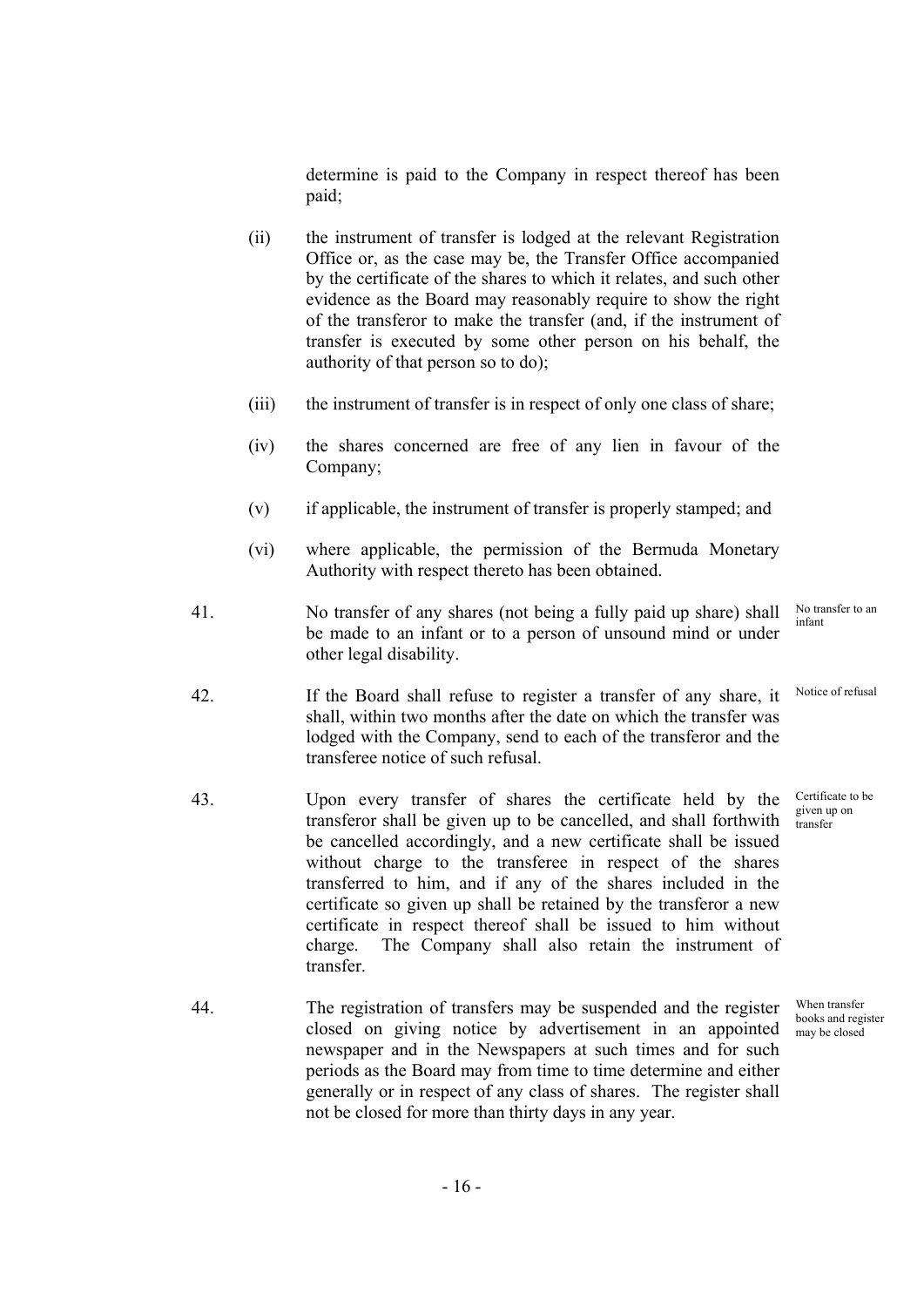determine is paid to the Company in respect thereof has been paid;

- (ii) the instrument of transfer is lodged at the relevant Registration Office or, as the case may be, the Transfer Office accompanied by the certificate of the shares to which it relates, and such other evidence as the Board may reasonably require to show the right of the transferor to make the transfer (and, if the instrument of transfer is executed by some other person on his behalf, the authority of that person so to do);
- (iii) the instrument of transfer is in respect of only one class of share;
- (iv) the shares concerned are free of any lien in favour of the Company;
- (v) if applicable, the instrument of transfer is properly stamped; and
- (vi) where applicable, the permission of the Bermuda Monetary Authority with respect thereto has been obtained.
- 41. No transfer of any shares (not being a fully paid up share) shall be made to an infant or to a person of unsound mind or under other legal disability. No transfer to an infant
- 42. If the Board shall refuse to register a transfer of any share, it shall, within two months after the date on which the transfer was lodged with the Company, send to each of the transferor and the transferee notice of such refusal. Notice of refusal
- 43. Upon every transfer of shares the certificate held by the transferor shall be given up to be cancelled, and shall forthwith be cancelled accordingly, and a new certificate shall be issued without charge to the transferee in respect of the shares transferred to him, and if any of the shares included in the certificate so given up shall be retained by the transferor a new certificate in respect thereof shall be issued to him without charge. The Company shall also retain the instrument of transfer. Certificate to be given up on transfer
- 44. The registration of transfers may be suspended and the register closed on giving notice by advertisement in an appointed newspaper and in the Newspapers at such times and for such periods as the Board may from time to time determine and either generally or in respect of any class of shares. The register shall not be closed for more than thirty days in any year.

When transfer books and register may be closed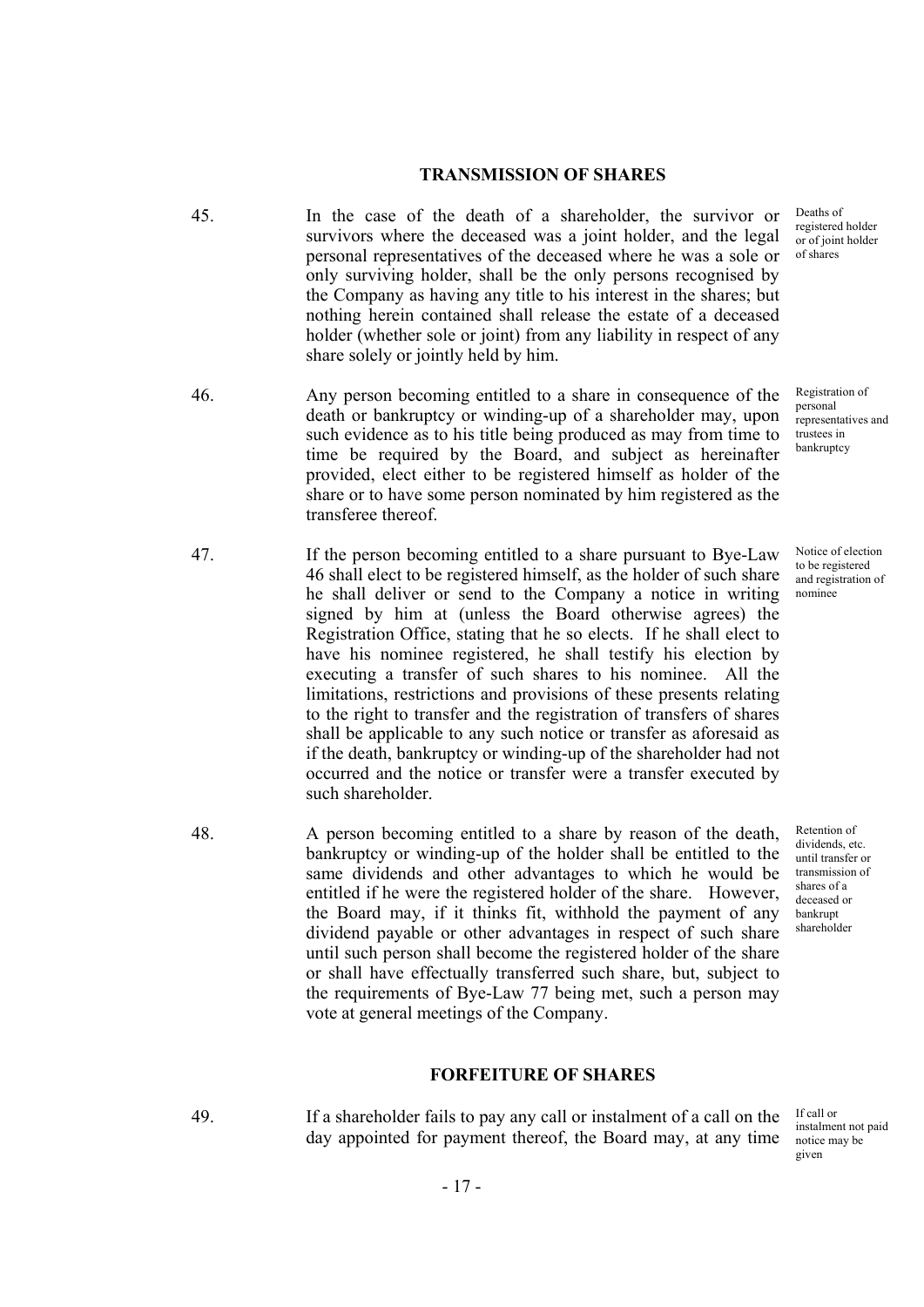#### **TRANSMISSION OF SHARES**

- 45. In the case of the death of a shareholder, the survivor or survivors where the deceased was a joint holder, and the legal personal representatives of the deceased where he was a sole or only surviving holder, shall be the only persons recognised by the Company as having any title to his interest in the shares; but nothing herein contained shall release the estate of a deceased holder (whether sole or joint) from any liability in respect of any share solely or jointly held by him. Deaths of registered holder or of joint holder of shares
- 46. Any person becoming entitled to a share in consequence of the death or bankruptcy or winding-up of a shareholder may, upon such evidence as to his title being produced as may from time to time be required by the Board, and subject as hereinafter provided, elect either to be registered himself as holder of the share or to have some person nominated by him registered as the transferee thereof. trustees in bankruptcy
- 47. If the person becoming entitled to a share pursuant to Bye-Law 46 shall elect to be registered himself, as the holder of such share he shall deliver or send to the Company a notice in writing signed by him at (unless the Board otherwise agrees) the Registration Office, stating that he so elects. If he shall elect to have his nominee registered, he shall testify his election by executing a transfer of such shares to his nominee. All the limitations, restrictions and provisions of these presents relating to the right to transfer and the registration of transfers of shares shall be applicable to any such notice or transfer as aforesaid as if the death, bankruptcy or winding-up of the shareholder had not occurred and the notice or transfer were a transfer executed by such shareholder.
- 48. A person becoming entitled to a share by reason of the death, bankruptcy or winding-up of the holder shall be entitled to the same dividends and other advantages to which he would be entitled if he were the registered holder of the share. However, the Board may, if it thinks fit, withhold the payment of any dividend payable or other advantages in respect of such share until such person shall become the registered holder of the share or shall have effectually transferred such share, but, subject to the requirements of Bye-Law 77 being met, such a person may vote at general meetings of the Company.

# Registration of personal representatives and

Notice of election to be registered and registration of nominee

Retention of dividends, etc. until transfer or transmission of shares of a deceased or bankrupt shareholder

#### **FORFEITURE OF SHARES**

49. If a shareholder fails to pay any call or instalment of a call on the day appointed for payment thereof, the Board may, at any time

If call or instalment not paid notice may be given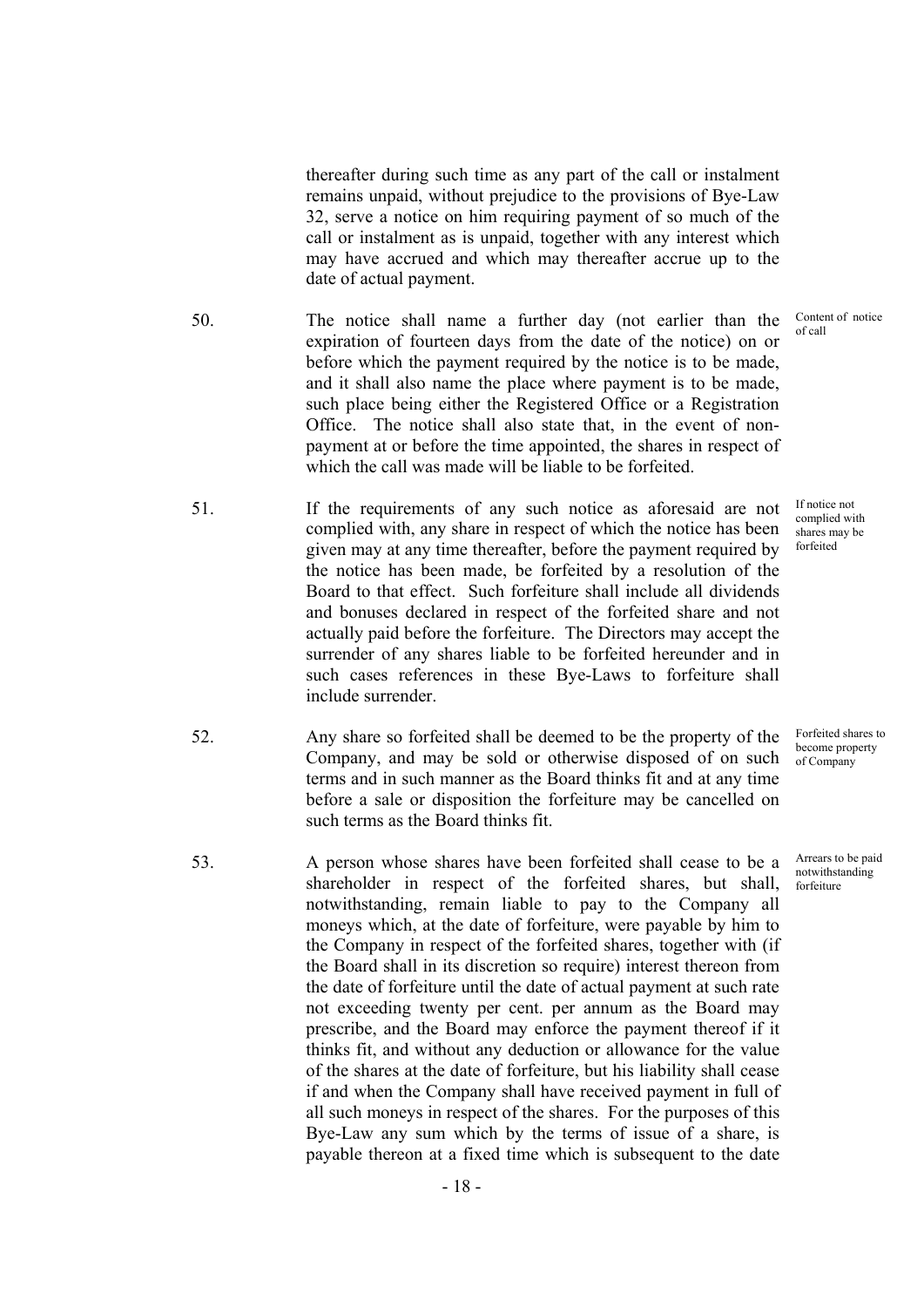thereafter during such time as any part of the call or instalment remains unpaid, without prejudice to the provisions of Bye-Law 32, serve a notice on him requiring payment of so much of the call or instalment as is unpaid, together with any interest which may have accrued and which may thereafter accrue up to the date of actual payment.

- 50. The notice shall name a further day (not earlier than the expiration of fourteen days from the date of the notice) on or before which the payment required by the notice is to be made, and it shall also name the place where payment is to be made, such place being either the Registered Office or a Registration Office. The notice shall also state that, in the event of nonpayment at or before the time appointed, the shares in respect of which the call was made will be liable to be forfeited. of call
- 51. If the requirements of any such notice as aforesaid are not complied with, any share in respect of which the notice has been given may at any time thereafter, before the payment required by the notice has been made, be forfeited by a resolution of the Board to that effect. Such forfeiture shall include all dividends and bonuses declared in respect of the forfeited share and not actually paid before the forfeiture. The Directors may accept the surrender of any shares liable to be forfeited hereunder and in such cases references in these Bye-Laws to forfeiture shall include surrender.
- 52. Any share so forfeited shall be deemed to be the property of the Company, and may be sold or otherwise disposed of on such terms and in such manner as the Board thinks fit and at any time before a sale or disposition the forfeiture may be cancelled on such terms as the Board thinks fit.
- 53. A person whose shares have been forfeited shall cease to be a shareholder in respect of the forfeited shares, but shall, notwithstanding, remain liable to pay to the Company all moneys which, at the date of forfeiture, were payable by him to the Company in respect of the forfeited shares, together with (if the Board shall in its discretion so require) interest thereon from the date of forfeiture until the date of actual payment at such rate not exceeding twenty per cent. per annum as the Board may prescribe, and the Board may enforce the payment thereof if it thinks fit, and without any deduction or allowance for the value of the shares at the date of forfeiture, but his liability shall cease if and when the Company shall have received payment in full of all such moneys in respect of the shares. For the purposes of this Bye-Law any sum which by the terms of issue of a share, is payable thereon at a fixed time which is subsequent to the date

Content of notice

If notice not complied with shares may be forfeited

Forfeited shares to become property of Company

Arrears to be paid notwithstanding forfeiture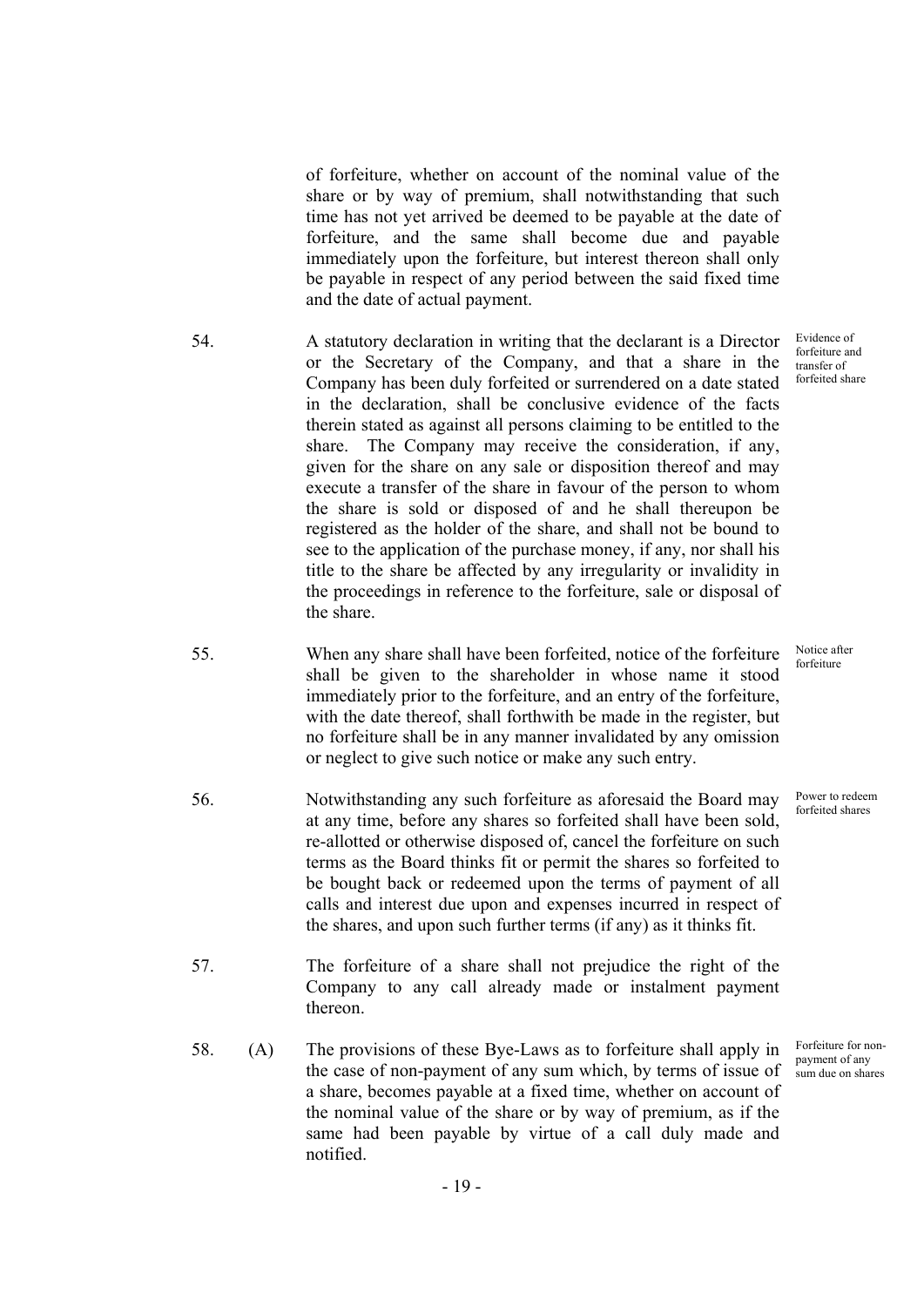of forfeiture, whether on account of the nominal value of the share or by way of premium, shall notwithstanding that such time has not yet arrived be deemed to be payable at the date of forfeiture, and the same shall become due and payable immediately upon the forfeiture, but interest thereon shall only be payable in respect of any period between the said fixed time and the date of actual payment.

- 54. A statutory declaration in writing that the declarant is a Director or the Secretary of the Company, and that a share in the Company has been duly forfeited or surrendered on a date stated in the declaration, shall be conclusive evidence of the facts therein stated as against all persons claiming to be entitled to the share. The Company may receive the consideration, if any, given for the share on any sale or disposition thereof and may execute a transfer of the share in favour of the person to whom the share is sold or disposed of and he shall thereupon be registered as the holder of the share, and shall not be bound to see to the application of the purchase money, if any, nor shall his title to the share be affected by any irregularity or invalidity in the proceedings in reference to the forfeiture, sale or disposal of the share.
	- 55. When any share shall have been forfeited, notice of the forfeiture shall be given to the shareholder in whose name it stood immediately prior to the forfeiture, and an entry of the forfeiture, with the date thereof, shall forthwith be made in the register, but no forfeiture shall be in any manner invalidated by any omission or neglect to give such notice or make any such entry.
	- 56. Notwithstanding any such forfeiture as aforesaid the Board may at any time, before any shares so forfeited shall have been sold, re-allotted or otherwise disposed of, cancel the forfeiture on such terms as the Board thinks fit or permit the shares so forfeited to be bought back or redeemed upon the terms of payment of all calls and interest due upon and expenses incurred in respect of the shares, and upon such further terms (if any) as it thinks fit.
	- 57. The forfeiture of a share shall not prejudice the right of the Company to any call already made or instalment payment thereon.
	- 58. (A) The provisions of these Bye-Laws as to forfeiture shall apply in the case of non-payment of any sum which, by terms of issue of a share, becomes payable at a fixed time, whether on account of the nominal value of the share or by way of premium, as if the same had been payable by virtue of a call duly made and notified.

Evidence of forfeiture and transfer of forfeited share

Notice after forfeiture

Power to redeem forfeited shares

Forfeiture for nonpayment of any sum due on shares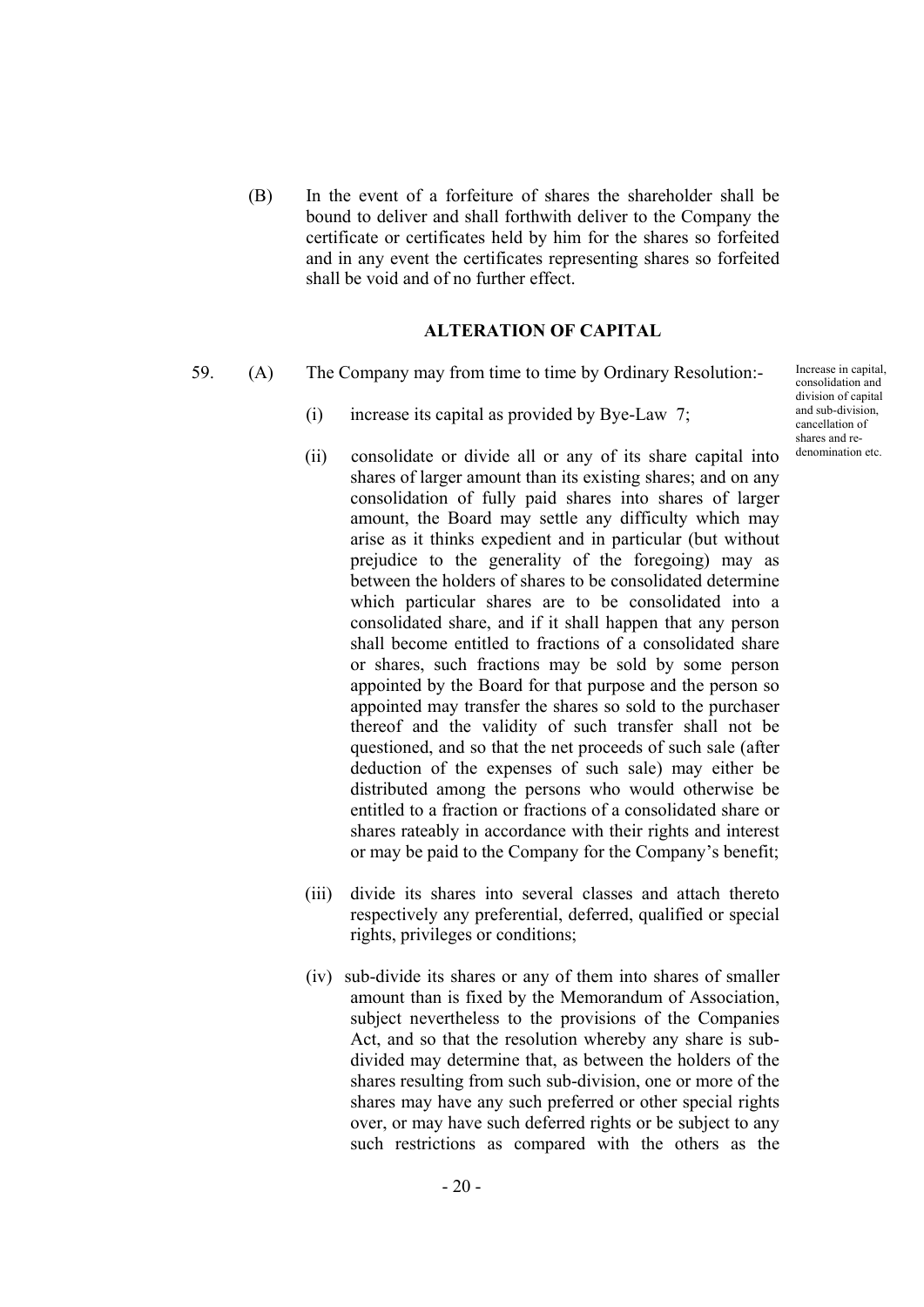(B) In the event of a forfeiture of shares the shareholder shall be bound to deliver and shall forthwith deliver to the Company the certificate or certificates held by him for the shares so forfeited and in any event the certificates representing shares so forfeited shall be void and of no further effect.

#### **ALTERATION OF CAPITAL**

- 59. (A) The Company may from time to time by Ordinary Resolution:-
	- (i) increase its capital as provided by Bye-Law 7;
	- (ii) consolidate or divide all or any of its share capital into shares of larger amount than its existing shares; and on any consolidation of fully paid shares into shares of larger amount, the Board may settle any difficulty which may arise as it thinks expedient and in particular (but without prejudice to the generality of the foregoing) may as between the holders of shares to be consolidated determine which particular shares are to be consolidated into a consolidated share, and if it shall happen that any person shall become entitled to fractions of a consolidated share or shares, such fractions may be sold by some person appointed by the Board for that purpose and the person so appointed may transfer the shares so sold to the purchaser thereof and the validity of such transfer shall not be questioned, and so that the net proceeds of such sale (after deduction of the expenses of such sale) may either be distributed among the persons who would otherwise be entitled to a fraction or fractions of a consolidated share or shares rateably in accordance with their rights and interest or may be paid to the Company for the Company's benefit;
	- (iii) divide its shares into several classes and attach thereto respectively any preferential, deferred, qualified or special rights, privileges or conditions;
	- (iv) sub-divide its shares or any of them into shares of smaller amount than is fixed by the Memorandum of Association, subject nevertheless to the provisions of the Companies Act, and so that the resolution whereby any share is subdivided may determine that, as between the holders of the shares resulting from such sub-division, one or more of the shares may have any such preferred or other special rights over, or may have such deferred rights or be subject to any such restrictions as compared with the others as the

Increase in capital, consolidation and division of capital and sub-division, cancellation of shares and redenomination etc.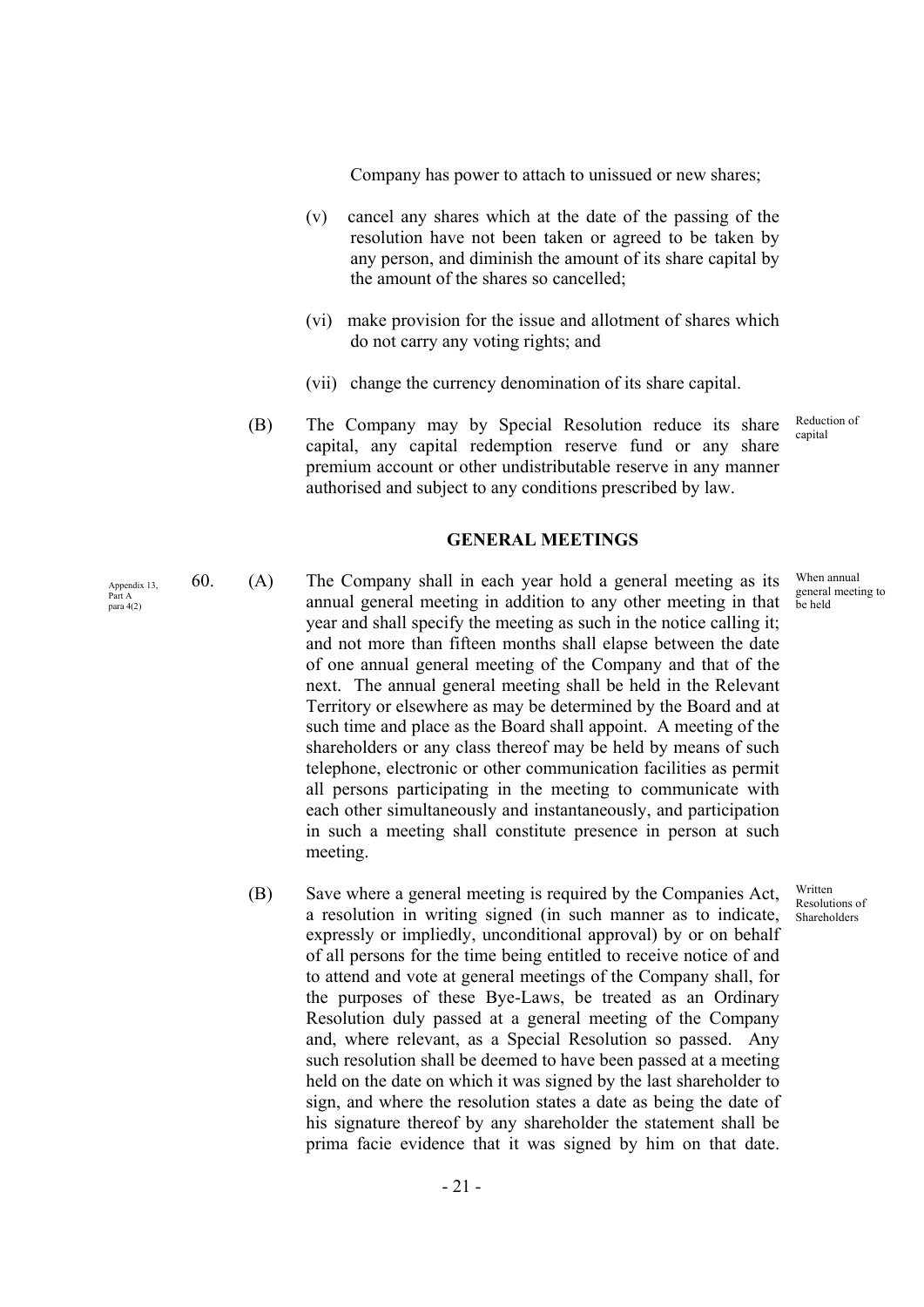Company has power to attach to unissued or new shares;

- (v) cancel any shares which at the date of the passing of the resolution have not been taken or agreed to be taken by any person, and diminish the amount of its share capital by the amount of the shares so cancelled;
- (vi) make provision for the issue and allotment of shares which do not carry any voting rights; and
- (vii) change the currency denomination of its share capital.
- (B) The Company may by Special Resolution reduce its share capital, any capital redemption reserve fund or any share premium account or other undistributable reserve in any manner authorised and subject to any conditions prescribed by law. Reduction of capital

## **GENERAL MEETINGS**

- 60. (A) The Company shall in each year hold a general meeting as its annual general meeting in addition to any other meeting in that year and shall specify the meeting as such in the notice calling it; and not more than fifteen months shall elapse between the date of one annual general meeting of the Company and that of the next. The annual general meeting shall be held in the Relevant Territory or elsewhere as may be determined by the Board and at such time and place as the Board shall appoint. A meeting of the shareholders or any class thereof may be held by means of such telephone, electronic or other communication facilities as permit all persons participating in the meeting to communicate with each other simultaneously and instantaneously, and participation in such a meeting shall constitute presence in person at such meeting. be held
	- (B) Save where a general meeting is required by the Companies Act, a resolution in writing signed (in such manner as to indicate, expressly or impliedly, unconditional approval) by or on behalf of all persons for the time being entitled to receive notice of and to attend and vote at general meetings of the Company shall, for the purposes of these Bye-Laws, be treated as an Ordinary Resolution duly passed at a general meeting of the Company and, where relevant, as a Special Resolution so passed. Any such resolution shall be deemed to have been passed at a meeting held on the date on which it was signed by the last shareholder to sign, and where the resolution states a date as being the date of his signature thereof by any shareholder the statement shall be prima facie evidence that it was signed by him on that date.

Appendix 13, Part A para 4(2)

When annual general meeting to

Written Resolutions of Shareholders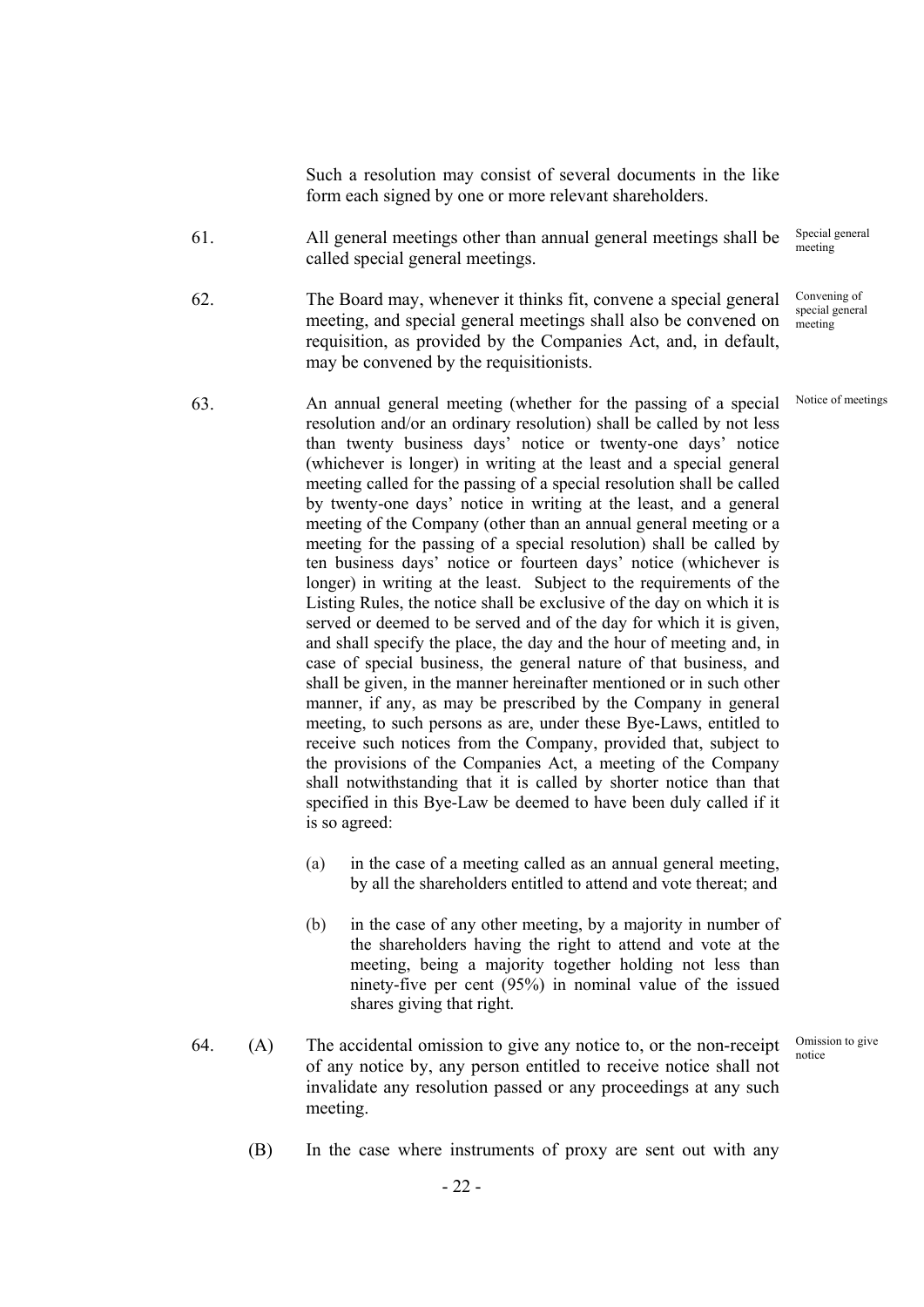Such a resolution may consist of several documents in the like form each signed by one or more relevant shareholders.

- 61. All general meetings other than annual general meetings shall be called special general meetings. Special general meeting
- 62. The Board may, whenever it thinks fit, convene a special general meeting, and special general meetings shall also be convened on requisition, as provided by the Companies Act, and, in default, may be convened by the requisitionists. Convening of special general meeting
- 63. An annual general meeting (whether for the passing of a special resolution and/or an ordinary resolution) shall be called by not less than twenty business days' notice or twenty-one days' notice (whichever is longer) in writing at the least and a special general meeting called for the passing of a special resolution shall be called by twenty-one days' notice in writing at the least, and a general meeting of the Company (other than an annual general meeting or a meeting for the passing of a special resolution) shall be called by ten business days' notice or fourteen days' notice (whichever is longer) in writing at the least. Subject to the requirements of the Listing Rules, the notice shall be exclusive of the day on which it is served or deemed to be served and of the day for which it is given, and shall specify the place, the day and the hour of meeting and, in case of special business, the general nature of that business, and shall be given, in the manner hereinafter mentioned or in such other manner, if any, as may be prescribed by the Company in general meeting, to such persons as are, under these Bye-Laws, entitled to receive such notices from the Company, provided that, subject to the provisions of the Companies Act, a meeting of the Company shall notwithstanding that it is called by shorter notice than that specified in this Bye-Law be deemed to have been duly called if it is so agreed: Notice of meetings
	- (a) in the case of a meeting called as an annual general meeting, by all the shareholders entitled to attend and vote thereat; and
	- (b) in the case of any other meeting, by a majority in number of the shareholders having the right to attend and vote at the meeting, being a majority together holding not less than ninety-five per cent (95%) in nominal value of the issued shares giving that right.
- 64. (A) The accidental omission to give any notice to, or the non-receipt of any notice by, any person entitled to receive notice shall not invalidate any resolution passed or any proceedings at any such meeting. notice

Omission to give

(B) In the case where instruments of proxy are sent out with any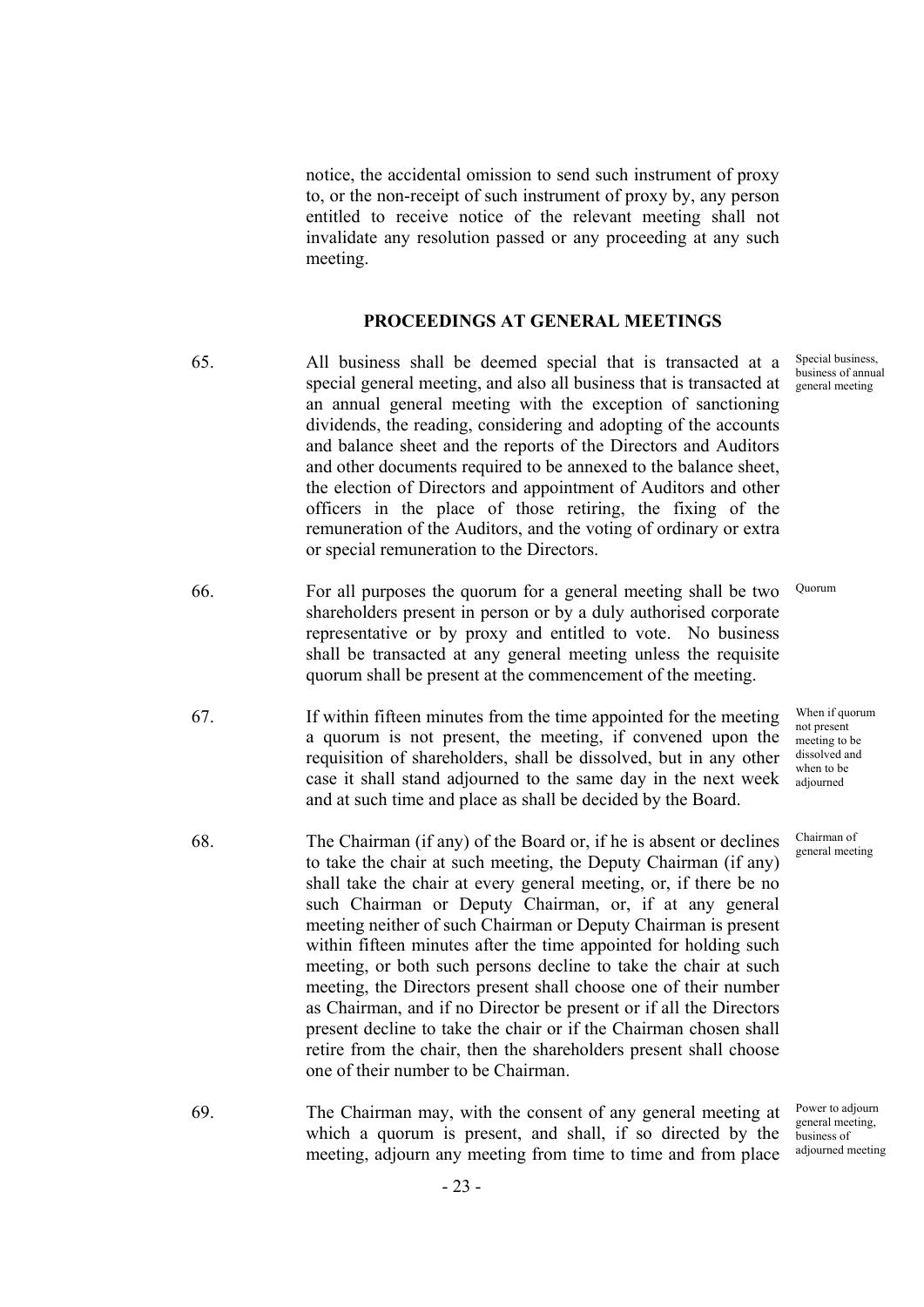notice, the accidental omission to send such instrument of proxy to, or the non-receipt of such instrument of proxy by, any person entitled to receive notice of the relevant meeting shall not invalidate any resolution passed or any proceeding at any such meeting.

#### **PROCEEDINGS AT GENERAL MEETINGS**

- 65. All business shall be deemed special that is transacted at a special general meeting, and also all business that is transacted at an annual general meeting with the exception of sanctioning dividends, the reading, considering and adopting of the accounts and balance sheet and the reports of the Directors and Auditors and other documents required to be annexed to the balance sheet, the election of Directors and appointment of Auditors and other officers in the place of those retiring, the fixing of the remuneration of the Auditors, and the voting of ordinary or extra or special remuneration to the Directors.
- 66. For all purposes the quorum for a general meeting shall be two shareholders present in person or by a duly authorised corporate representative or by proxy and entitled to vote. No business shall be transacted at any general meeting unless the requisite quorum shall be present at the commencement of the meeting.
- 67. If within fifteen minutes from the time appointed for the meeting a quorum is not present, the meeting, if convened upon the requisition of shareholders, shall be dissolved, but in any other case it shall stand adjourned to the same day in the next week and at such time and place as shall be decided by the Board.
- 68. The Chairman (if any) of the Board or, if he is absent or declines to take the chair at such meeting, the Deputy Chairman (if any) shall take the chair at every general meeting, or, if there be no such Chairman or Deputy Chairman, or, if at any general meeting neither of such Chairman or Deputy Chairman is present within fifteen minutes after the time appointed for holding such meeting, or both such persons decline to take the chair at such meeting, the Directors present shall choose one of their number as Chairman, and if no Director be present or if all the Directors present decline to take the chair or if the Chairman chosen shall retire from the chair, then the shareholders present shall choose one of their number to be Chairman.
- 69. The Chairman may, with the consent of any general meeting at which a quorum is present, and shall, if so directed by the meeting, adjourn any meeting from time to time and from place

Special business, business of annual general meeting

Quorum

When if quorum not present meeting to be dissolved and when to be adjourned

Chairman of general meeting

Power to adjourn general meeting, business of adjourned meeting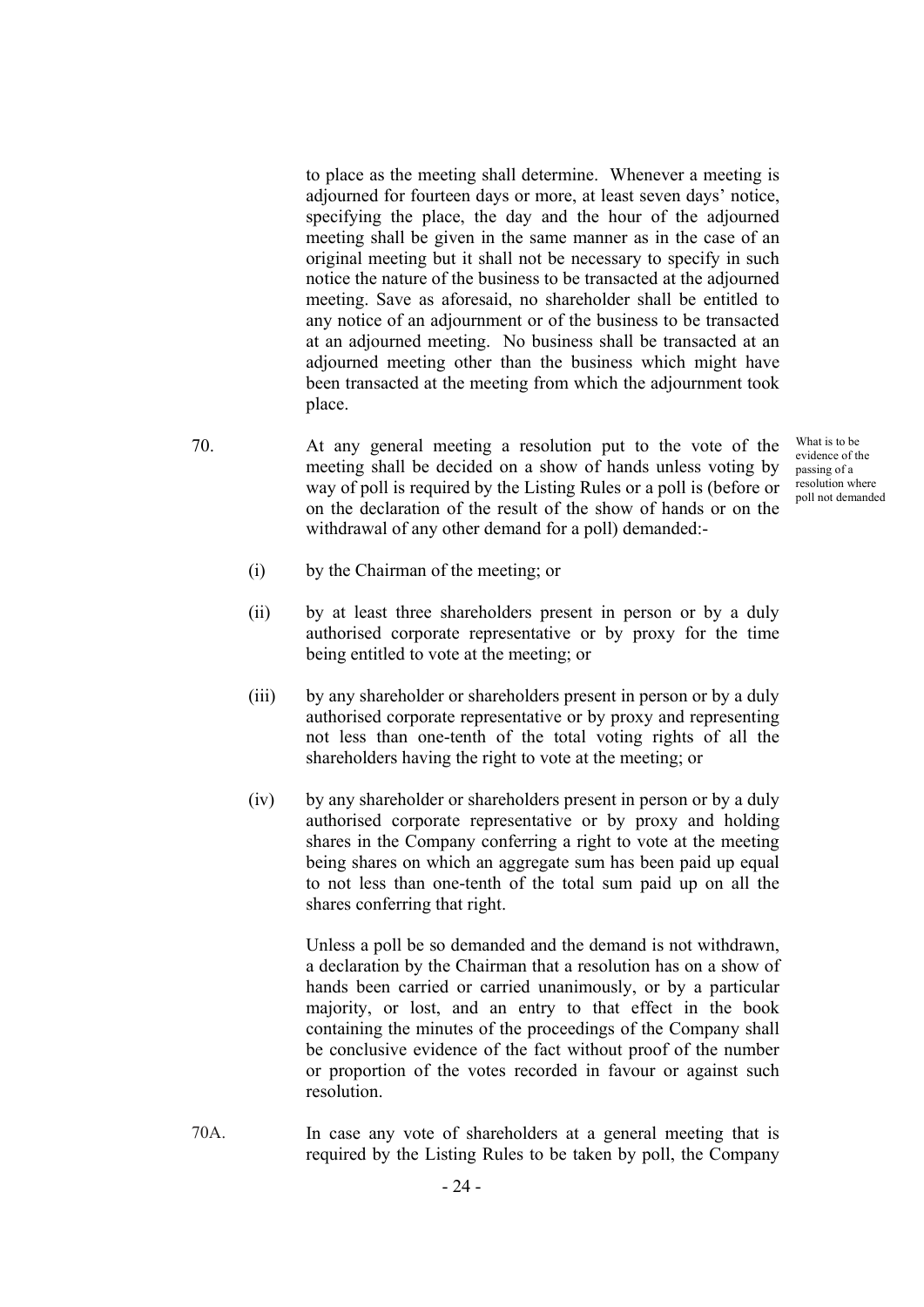to place as the meeting shall determine. Whenever a meeting is adjourned for fourteen days or more, at least seven days' notice, specifying the place, the day and the hour of the adjourned meeting shall be given in the same manner as in the case of an original meeting but it shall not be necessary to specify in such notice the nature of the business to be transacted at the adjourned meeting. Save as aforesaid, no shareholder shall be entitled to any notice of an adjournment or of the business to be transacted at an adjourned meeting. No business shall be transacted at an adjourned meeting other than the business which might have been transacted at the meeting from which the adjournment took place.

70. At any general meeting a resolution put to the vote of the meeting shall be decided on a show of hands unless voting by way of poll is required by the Listing Rules or a poll is (before or on the declaration of the result of the show of hands or on the withdrawal of any other demand for a poll) demanded:-

What is to be evidence of the passing of a resolution where poll not demanded

- (i) by the Chairman of the meeting; or
- (ii) by at least three shareholders present in person or by a duly authorised corporate representative or by proxy for the time being entitled to vote at the meeting; or
- (iii) by any shareholder or shareholders present in person or by a duly authorised corporate representative or by proxy and representing not less than one-tenth of the total voting rights of all the shareholders having the right to vote at the meeting; or
- (iv) by any shareholder or shareholders present in person or by a duly authorised corporate representative or by proxy and holding shares in the Company conferring a right to vote at the meeting being shares on which an aggregate sum has been paid up equal to not less than one-tenth of the total sum paid up on all the shares conferring that right.

 Unless a poll be so demanded and the demand is not withdrawn, a declaration by the Chairman that a resolution has on a show of hands been carried or carried unanimously, or by a particular majority, or lost, and an entry to that effect in the book containing the minutes of the proceedings of the Company shall be conclusive evidence of the fact without proof of the number or proportion of the votes recorded in favour or against such resolution.

70A. In case any vote of shareholders at a general meeting that is required by the Listing Rules to be taken by poll, the Company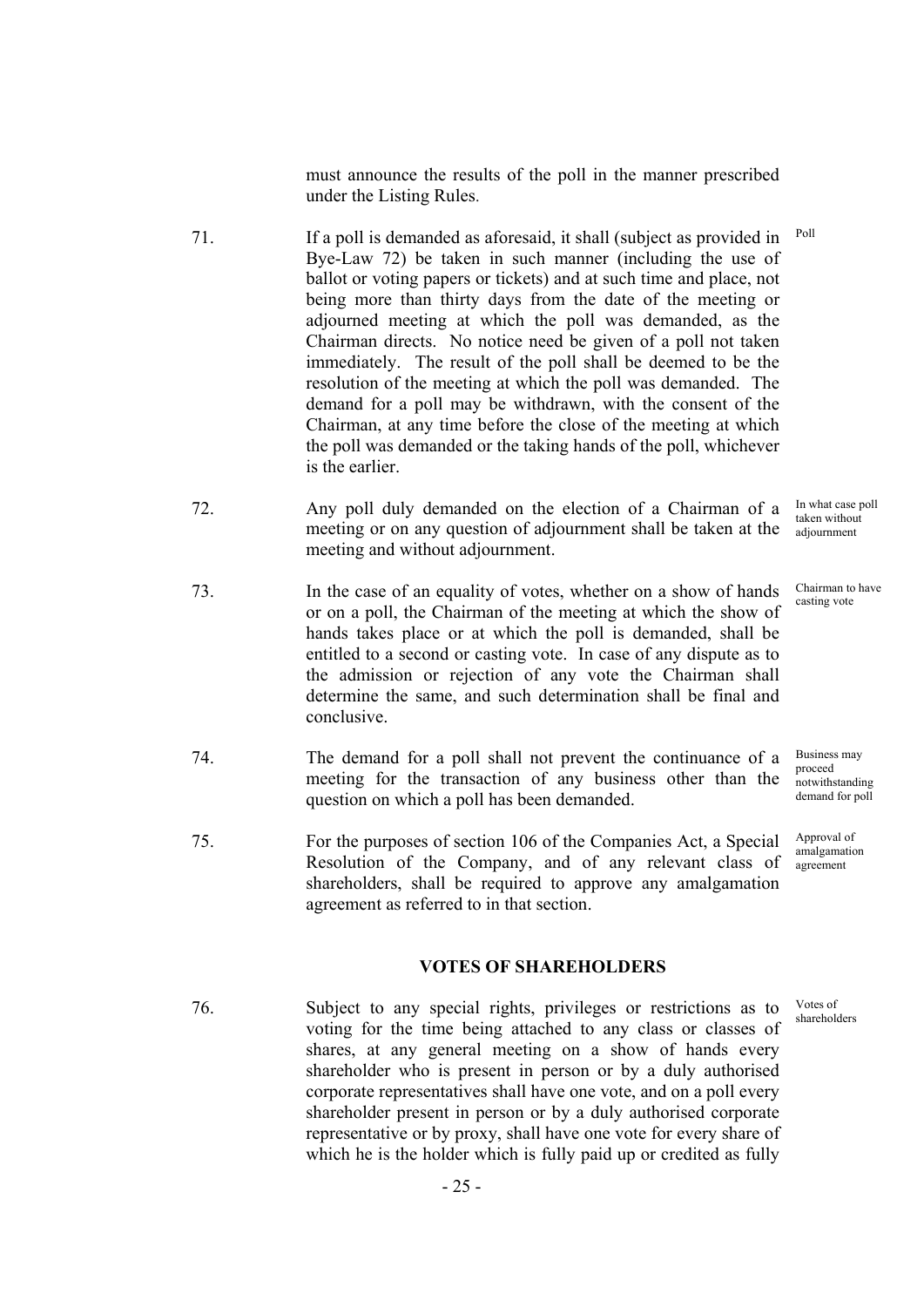must announce the results of the poll in the manner prescribed under the Listing Rules.

- 71. If a poll is demanded as aforesaid, it shall (subject as provided in Bye-Law 72) be taken in such manner (including the use of ballot or voting papers or tickets) and at such time and place, not being more than thirty days from the date of the meeting or adjourned meeting at which the poll was demanded, as the Chairman directs. No notice need be given of a poll not taken immediately. The result of the poll shall be deemed to be the resolution of the meeting at which the poll was demanded. The demand for a poll may be withdrawn, with the consent of the Chairman, at any time before the close of the meeting at which the poll was demanded or the taking hands of the poll, whichever is the earlier. Poll
- 72. Any poll duly demanded on the election of a Chairman of a meeting or on any question of adjournment shall be taken at the meeting and without adjournment.
- 73. In the case of an equality of votes, whether on a show of hands or on a poll, the Chairman of the meeting at which the show of hands takes place or at which the poll is demanded, shall be entitled to a second or casting vote. In case of any dispute as to the admission or rejection of any vote the Chairman shall determine the same, and such determination shall be final and conclusive.
- 74. The demand for a poll shall not prevent the continuance of a meeting for the transaction of any business other than the question on which a poll has been demanded.
- 75. For the purposes of section 106 of the Companies Act, a Special Resolution of the Company, and of any relevant class of shareholders, shall be required to approve any amalgamation agreement as referred to in that section.

## **VOTES OF SHAREHOLDERS**

76. Subject to any special rights, privileges or restrictions as to voting for the time being attached to any class or classes of shares, at any general meeting on a show of hands every shareholder who is present in person or by a duly authorised corporate representatives shall have one vote, and on a poll every shareholder present in person or by a duly authorised corporate representative or by proxy, shall have one vote for every share of which he is the holder which is fully paid up or credited as fully

Chairman to have casting vote

Business may proceed notwithstanding demand for poll

Approval of amalgamation agreement

Votes of shareholders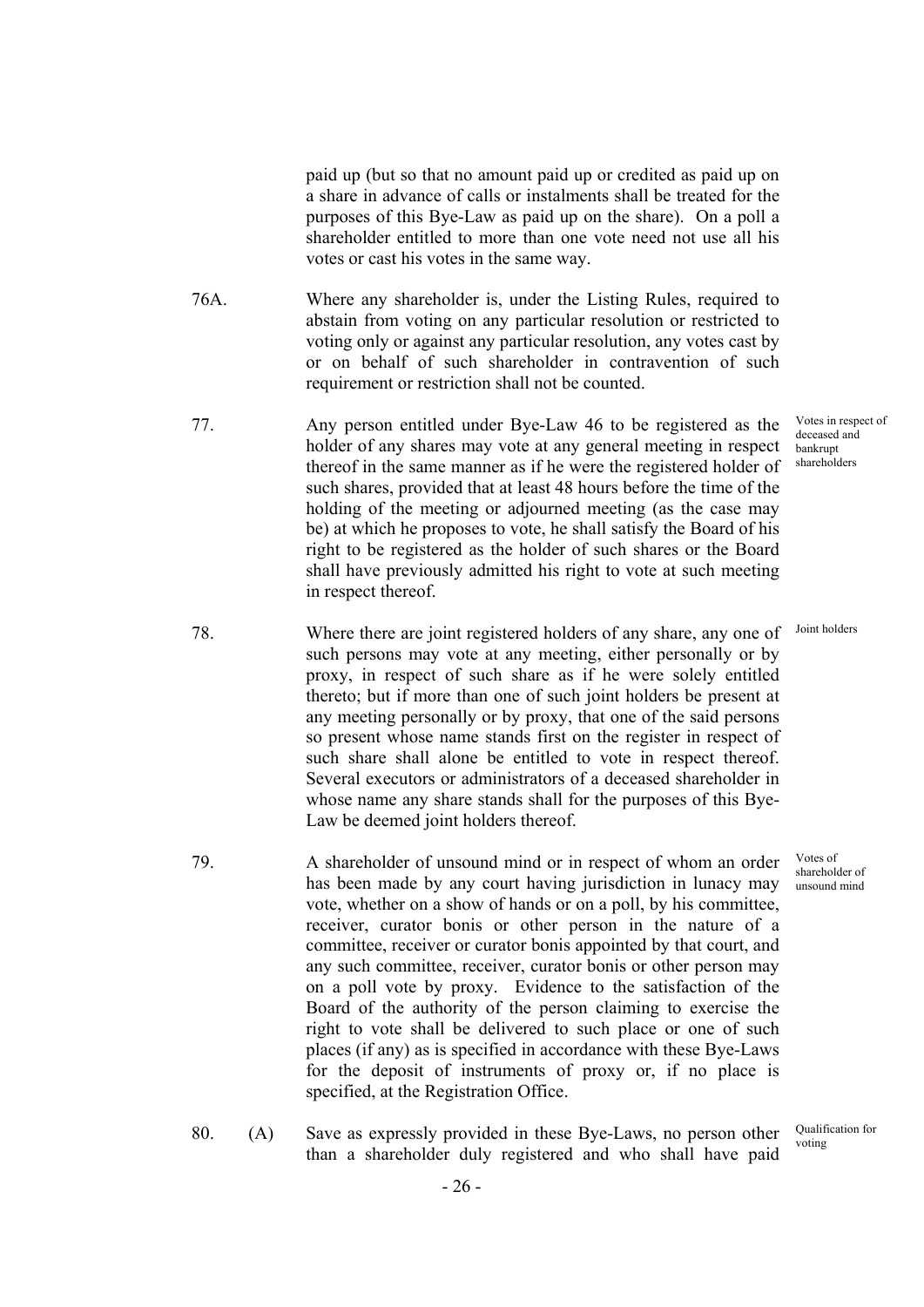paid up (but so that no amount paid up or credited as paid up on a share in advance of calls or instalments shall be treated for the purposes of this Bye-Law as paid up on the share). On a poll a shareholder entitled to more than one vote need not use all his votes or cast his votes in the same way.

- 76A. Where any shareholder is, under the Listing Rules, required to abstain from voting on any particular resolution or restricted to voting only or against any particular resolution, any votes cast by or on behalf of such shareholder in contravention of such requirement or restriction shall not be counted.
- 77. Any person entitled under Bye-Law 46 to be registered as the holder of any shares may vote at any general meeting in respect thereof in the same manner as if he were the registered holder of such shares, provided that at least 48 hours before the time of the holding of the meeting or adjourned meeting (as the case may be) at which he proposes to vote, he shall satisfy the Board of his right to be registered as the holder of such shares or the Board shall have previously admitted his right to vote at such meeting in respect thereof.
- 78. Where there are joint registered holders of any share, any one of such persons may vote at any meeting, either personally or by proxy, in respect of such share as if he were solely entitled thereto; but if more than one of such joint holders be present at any meeting personally or by proxy, that one of the said persons so present whose name stands first on the register in respect of such share shall alone be entitled to vote in respect thereof. Several executors or administrators of a deceased shareholder in whose name any share stands shall for the purposes of this Bye-Law be deemed joint holders thereof.
- 79. A shareholder of unsound mind or in respect of whom an order has been made by any court having jurisdiction in lunacy may vote, whether on a show of hands or on a poll, by his committee, receiver, curator bonis or other person in the nature of a committee, receiver or curator bonis appointed by that court, and any such committee, receiver, curator bonis or other person may on a poll vote by proxy. Evidence to the satisfaction of the Board of the authority of the person claiming to exercise the right to vote shall be delivered to such place or one of such places (if any) as is specified in accordance with these Bye-Laws for the deposit of instruments of proxy or, if no place is specified, at the Registration Office.
- 80. (A) Save as expressly provided in these Bye-Laws, no person other than a shareholder duly registered and who shall have paid Qualification for voting

Votes in respect of deceased and bankrupt shareholders

Joint holders

Votes of shareholder of unsound mind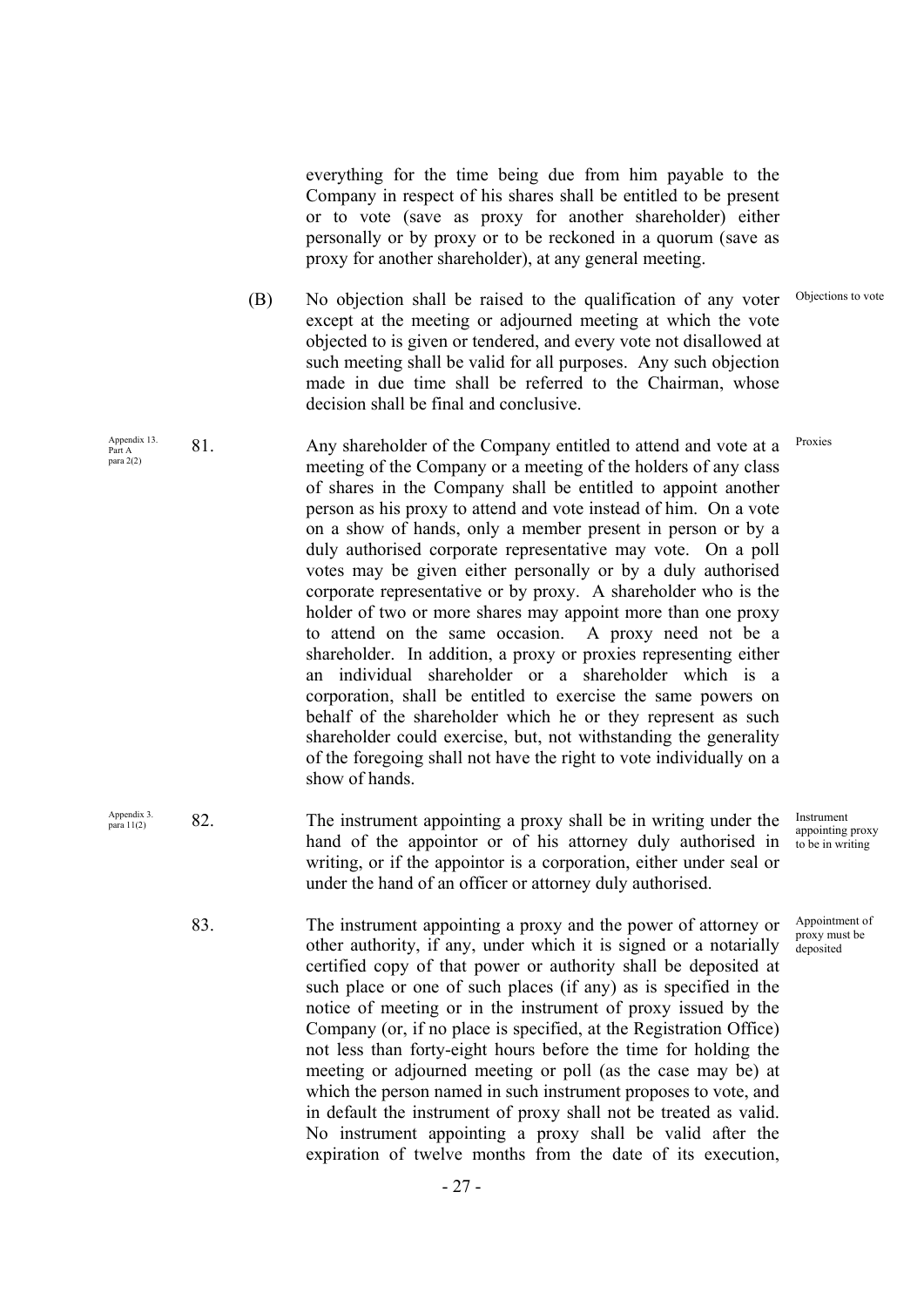everything for the time being due from him payable to the Company in respect of his shares shall be entitled to be present or to vote (save as proxy for another shareholder) either personally or by proxy or to be reckoned in a quorum (save as proxy for another shareholder), at any general meeting.

 (B) No objection shall be raised to the qualification of any voter except at the meeting or adjourned meeting at which the vote objected to is given or tendered, and every vote not disallowed at such meeting shall be valid for all purposes. Any such objection made in due time shall be referred to the Chairman, whose decision shall be final and conclusive. Objections to vote

- Appendix 13.  $81.$ Part A para 2(2) Any shareholder of the Company entitled to attend and vote at a meeting of the Company or a meeting of the holders of any class of shares in the Company shall be entitled to appoint another person as his proxy to attend and vote instead of him. On a vote on a show of hands, only a member present in person or by a duly authorised corporate representative may vote. On a poll votes may be given either personally or by a duly authorised corporate representative or by proxy. A shareholder who is the holder of two or more shares may appoint more than one proxy to attend on the same occasion. A proxy need not be a shareholder. In addition, a proxy or proxies representing either an individual shareholder or a shareholder which is a corporation, shall be entitled to exercise the same powers on behalf of the shareholder which he or they represent as such shareholder could exercise, but, not withstanding the generality of the foregoing shall not have the right to vote individually on a show of hands. Proxies
- Appendix 3.  $82.$ The instrument appointing a proxy shall be in writing under the hand of the appointor or of his attorney duly authorised in writing, or if the appointor is a corporation, either under seal or under the hand of an officer or attorney duly authorised. Instrument appointing proxy to be in writing
	- 83. The instrument appointing a proxy and the power of attorney or other authority, if any, under which it is signed or a notarially certified copy of that power or authority shall be deposited at such place or one of such places (if any) as is specified in the notice of meeting or in the instrument of proxy issued by the Company (or, if no place is specified, at the Registration Office) not less than forty-eight hours before the time for holding the meeting or adjourned meeting or poll (as the case may be) at which the person named in such instrument proposes to vote, and in default the instrument of proxy shall not be treated as valid. No instrument appointing a proxy shall be valid after the expiration of twelve months from the date of its execution, Appointment of proxy must be deposited

- 
-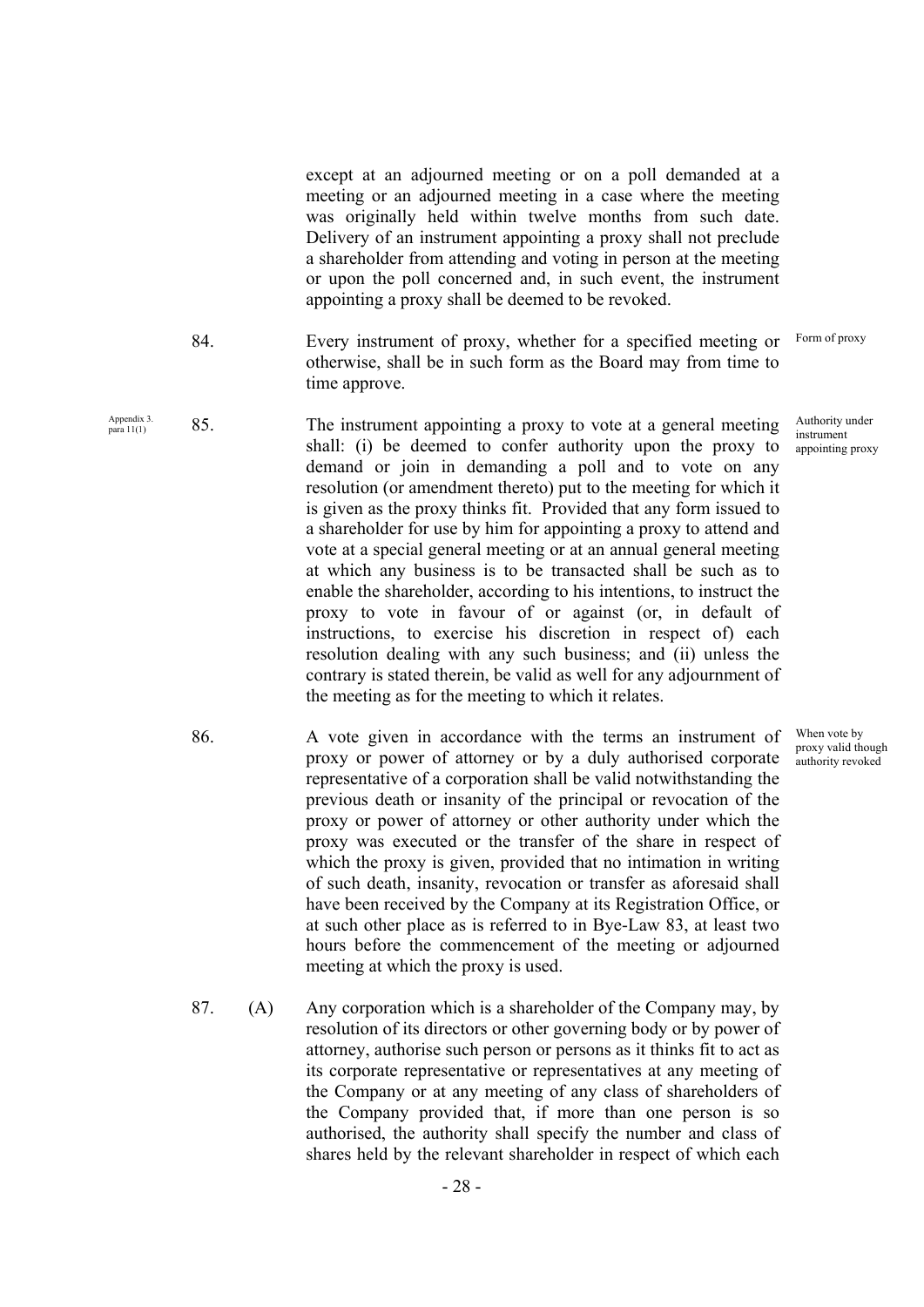except at an adjourned meeting or on a poll demanded at a meeting or an adjourned meeting in a case where the meeting was originally held within twelve months from such date. Delivery of an instrument appointing a proxy shall not preclude a shareholder from attending and voting in person at the meeting or upon the poll concerned and, in such event, the instrument appointing a proxy shall be deemed to be revoked.

- 84. Every instrument of proxy, whether for a specified meeting or otherwise, shall be in such form as the Board may from time to time approve. Form of proxy
- Appendix 3.  $85.$ The instrument appointing a proxy to vote at a general meeting shall: (i) be deemed to confer authority upon the proxy to demand or join in demanding a poll and to vote on any resolution (or amendment thereto) put to the meeting for which it is given as the proxy thinks fit. Provided that any form issued to a shareholder for use by him for appointing a proxy to attend and vote at a special general meeting or at an annual general meeting at which any business is to be transacted shall be such as to enable the shareholder, according to his intentions, to instruct the proxy to vote in favour of or against (or, in default of instructions, to exercise his discretion in respect of) each resolution dealing with any such business; and (ii) unless the contrary is stated therein, be valid as well for any adjournment of the meeting as for the meeting to which it relates.
	- 86. A vote given in accordance with the terms an instrument of proxy or power of attorney or by a duly authorised corporate representative of a corporation shall be valid notwithstanding the previous death or insanity of the principal or revocation of the proxy or power of attorney or other authority under which the proxy was executed or the transfer of the share in respect of which the proxy is given, provided that no intimation in writing of such death, insanity, revocation or transfer as aforesaid shall have been received by the Company at its Registration Office, or at such other place as is referred to in Bye-Law 83, at least two hours before the commencement of the meeting or adjourned meeting at which the proxy is used.
	- 87. (A) Any corporation which is a shareholder of the Company may, by resolution of its directors or other governing body or by power of attorney, authorise such person or persons as it thinks fit to act as its corporate representative or representatives at any meeting of the Company or at any meeting of any class of shareholders of the Company provided that, if more than one person is so authorised, the authority shall specify the number and class of shares held by the relevant shareholder in respect of which each

Authority under instrument appointing proxy

When vote by proxy valid though authority revoked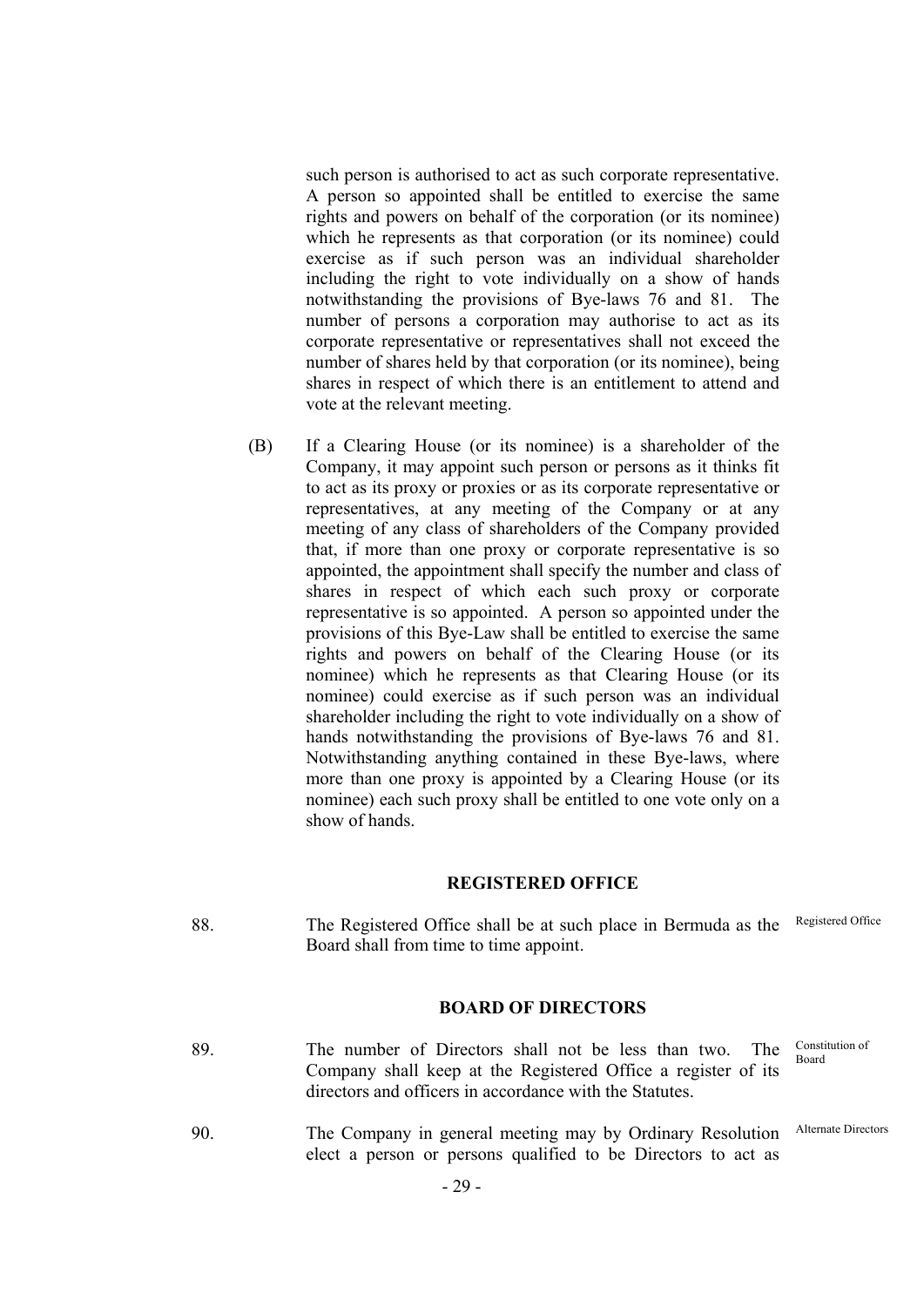such person is authorised to act as such corporate representative. A person so appointed shall be entitled to exercise the same rights and powers on behalf of the corporation (or its nominee) which he represents as that corporation (or its nominee) could exercise as if such person was an individual shareholder including the right to vote individually on a show of hands notwithstanding the provisions of Bye-laws 76 and 81. The number of persons a corporation may authorise to act as its corporate representative or representatives shall not exceed the number of shares held by that corporation (or its nominee), being shares in respect of which there is an entitlement to attend and vote at the relevant meeting.

 (B) If a Clearing House (or its nominee) is a shareholder of the Company, it may appoint such person or persons as it thinks fit to act as its proxy or proxies or as its corporate representative or representatives, at any meeting of the Company or at any meeting of any class of shareholders of the Company provided that, if more than one proxy or corporate representative is so appointed, the appointment shall specify the number and class of shares in respect of which each such proxy or corporate representative is so appointed. A person so appointed under the provisions of this Bye-Law shall be entitled to exercise the same rights and powers on behalf of the Clearing House (or its nominee) which he represents as that Clearing House (or its nominee) could exercise as if such person was an individual shareholder including the right to vote individually on a show of hands notwithstanding the provisions of Bye-laws 76 and 81. Notwithstanding anything contained in these Bye-laws, where more than one proxy is appointed by a Clearing House (or its nominee) each such proxy shall be entitled to one vote only on a show of hands.

#### **REGISTERED OFFICE**

88. The Registered Office shall be at such place in Bermuda as the Board shall from time to time appoint. Registered Office

#### **BOARD OF DIRECTORS**

- 89. The number of Directors shall not be less than two. The Company shall keep at the Registered Office a register of its directors and officers in accordance with the Statutes. Constitution of Board
- 90. The Company in general meeting may by Ordinary Resolution elect a person or persons qualified to be Directors to act as Alternate Directors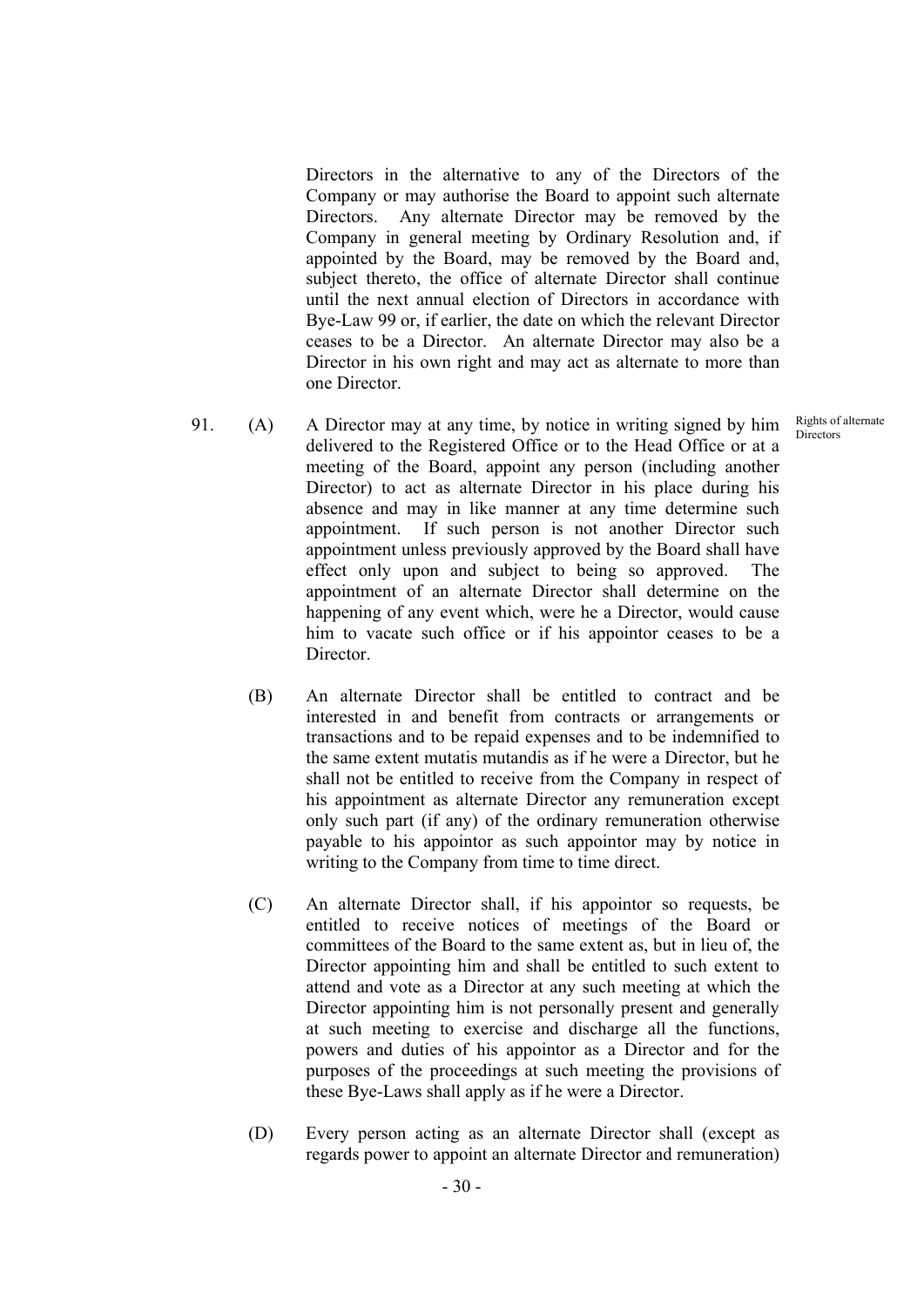Directors in the alternative to any of the Directors of the Company or may authorise the Board to appoint such alternate Directors. Any alternate Director may be removed by the Company in general meeting by Ordinary Resolution and, if appointed by the Board, may be removed by the Board and, subject thereto, the office of alternate Director shall continue until the next annual election of Directors in accordance with Bye-Law 99 or, if earlier, the date on which the relevant Director ceases to be a Director. An alternate Director may also be a Director in his own right and may act as alternate to more than one Director.

- 91. (A) A Director may at any time, by notice in writing signed by him delivered to the Registered Office or to the Head Office or at a meeting of the Board, appoint any person (including another Director) to act as alternate Director in his place during his absence and may in like manner at any time determine such appointment. If such person is not another Director such appointment unless previously approved by the Board shall have effect only upon and subject to being so approved. The appointment of an alternate Director shall determine on the happening of any event which, were he a Director, would cause him to vacate such office or if his appointor ceases to be a Director.
	- (B) An alternate Director shall be entitled to contract and be interested in and benefit from contracts or arrangements or transactions and to be repaid expenses and to be indemnified to the same extent mutatis mutandis as if he were a Director, but he shall not be entitled to receive from the Company in respect of his appointment as alternate Director any remuneration except only such part (if any) of the ordinary remuneration otherwise payable to his appointor as such appointor may by notice in writing to the Company from time to time direct.
	- (C) An alternate Director shall, if his appointor so requests, be entitled to receive notices of meetings of the Board or committees of the Board to the same extent as, but in lieu of, the Director appointing him and shall be entitled to such extent to attend and vote as a Director at any such meeting at which the Director appointing him is not personally present and generally at such meeting to exercise and discharge all the functions, powers and duties of his appointor as a Director and for the purposes of the proceedings at such meeting the provisions of these Bye-Laws shall apply as if he were a Director.
	- (D) Every person acting as an alternate Director shall (except as regards power to appoint an alternate Director and remuneration)

Rights of alternate **Directors**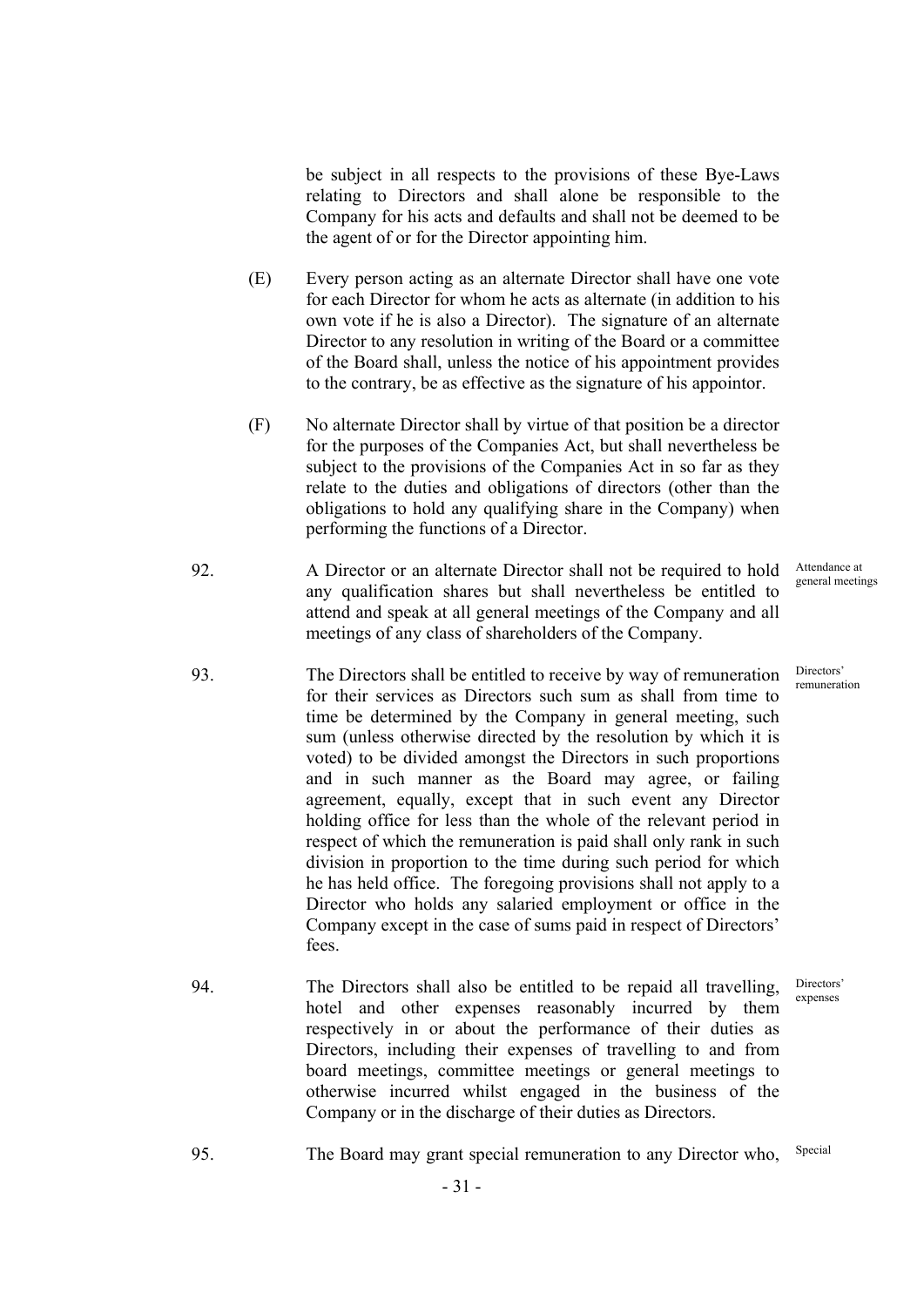be subject in all respects to the provisions of these Bye-Laws relating to Directors and shall alone be responsible to the Company for his acts and defaults and shall not be deemed to be the agent of or for the Director appointing him.

- (E) Every person acting as an alternate Director shall have one vote for each Director for whom he acts as alternate (in addition to his own vote if he is also a Director). The signature of an alternate Director to any resolution in writing of the Board or a committee of the Board shall, unless the notice of his appointment provides to the contrary, be as effective as the signature of his appointor.
- (F) No alternate Director shall by virtue of that position be a director for the purposes of the Companies Act, but shall nevertheless be subject to the provisions of the Companies Act in so far as they relate to the duties and obligations of directors (other than the obligations to hold any qualifying share in the Company) when performing the functions of a Director.
- 92. A Director or an alternate Director shall not be required to hold any qualification shares but shall nevertheless be entitled to attend and speak at all general meetings of the Company and all meetings of any class of shareholders of the Company.
- 93. The Directors shall be entitled to receive by way of remuneration for their services as Directors such sum as shall from time to time be determined by the Company in general meeting, such sum (unless otherwise directed by the resolution by which it is voted) to be divided amongst the Directors in such proportions and in such manner as the Board may agree, or failing agreement, equally, except that in such event any Director holding office for less than the whole of the relevant period in respect of which the remuneration is paid shall only rank in such division in proportion to the time during such period for which he has held office. The foregoing provisions shall not apply to a Director who holds any salaried employment or office in the Company except in the case of sums paid in respect of Directors' fees.
- 94. The Directors shall also be entitled to be repaid all travelling, hotel and other expenses reasonably incurred by them respectively in or about the performance of their duties as Directors, including their expenses of travelling to and from board meetings, committee meetings or general meetings to otherwise incurred whilst engaged in the business of the Company or in the discharge of their duties as Directors.
- 95. The Board may grant special remuneration to any Director who, Special

Attendance at general meetings

Directors' remuneration

Directors' expenses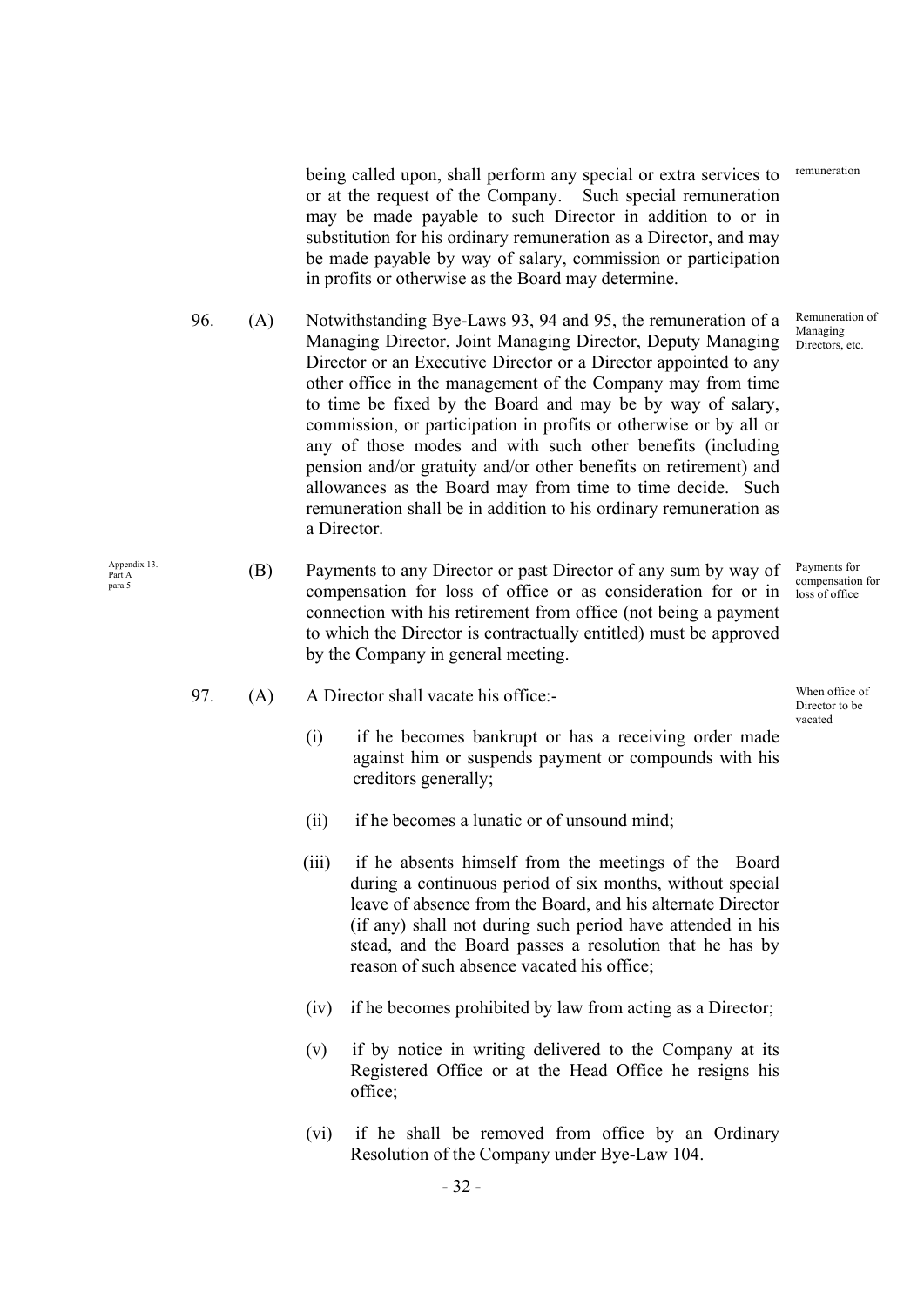being called upon, shall perform any special or extra services to or at the request of the Company. Such special remuneration may be made payable to such Director in addition to or in substitution for his ordinary remuneration as a Director, and may be made payable by way of salary, commission or participation in profits or otherwise as the Board may determine. remuneration

- 96. (A) Notwithstanding Bye-Laws 93, 94 and 95, the remuneration of a Managing Director, Joint Managing Director, Deputy Managing Director or an Executive Director or a Director appointed to any other office in the management of the Company may from time to time be fixed by the Board and may be by way of salary, commission, or participation in profits or otherwise or by all or any of those modes and with such other benefits (including pension and/or gratuity and/or other benefits on retirement) and allowances as the Board may from time to time decide. Such remuneration shall be in addition to his ordinary remuneration as a Director.
- (B) Payments to any Director or past Director of any sum by way of compensation for loss of office or as consideration for or in connection with his retirement from office (not being a payment to which the Director is contractually entitled) must be approved by the Company in general meeting. Payments for compensation for loss of office
- 97. (A) A Director shall vacate his office:- When office of
	- (i) if he becomes bankrupt or has a receiving order made against him or suspends payment or compounds with his creditors generally;
	- (ii) if he becomes a lunatic or of unsound mind;
	- (iii) if he absents himself from the meetings of the Board during a continuous period of six months, without special leave of absence from the Board, and his alternate Director (if any) shall not during such period have attended in his stead, and the Board passes a resolution that he has by reason of such absence vacated his office;
	- (iv) if he becomes prohibited by law from acting as a Director;
	- (v) if by notice in writing delivered to the Company at its Registered Office or at the Head Office he resigns his office;
	- (vi) if he shall be removed from office by an Ordinary Resolution of the Company under Bye-Law 104.

 Appendix 13. Part A para 5

Remuneration of

Managing Directors, etc.

Director to be vacated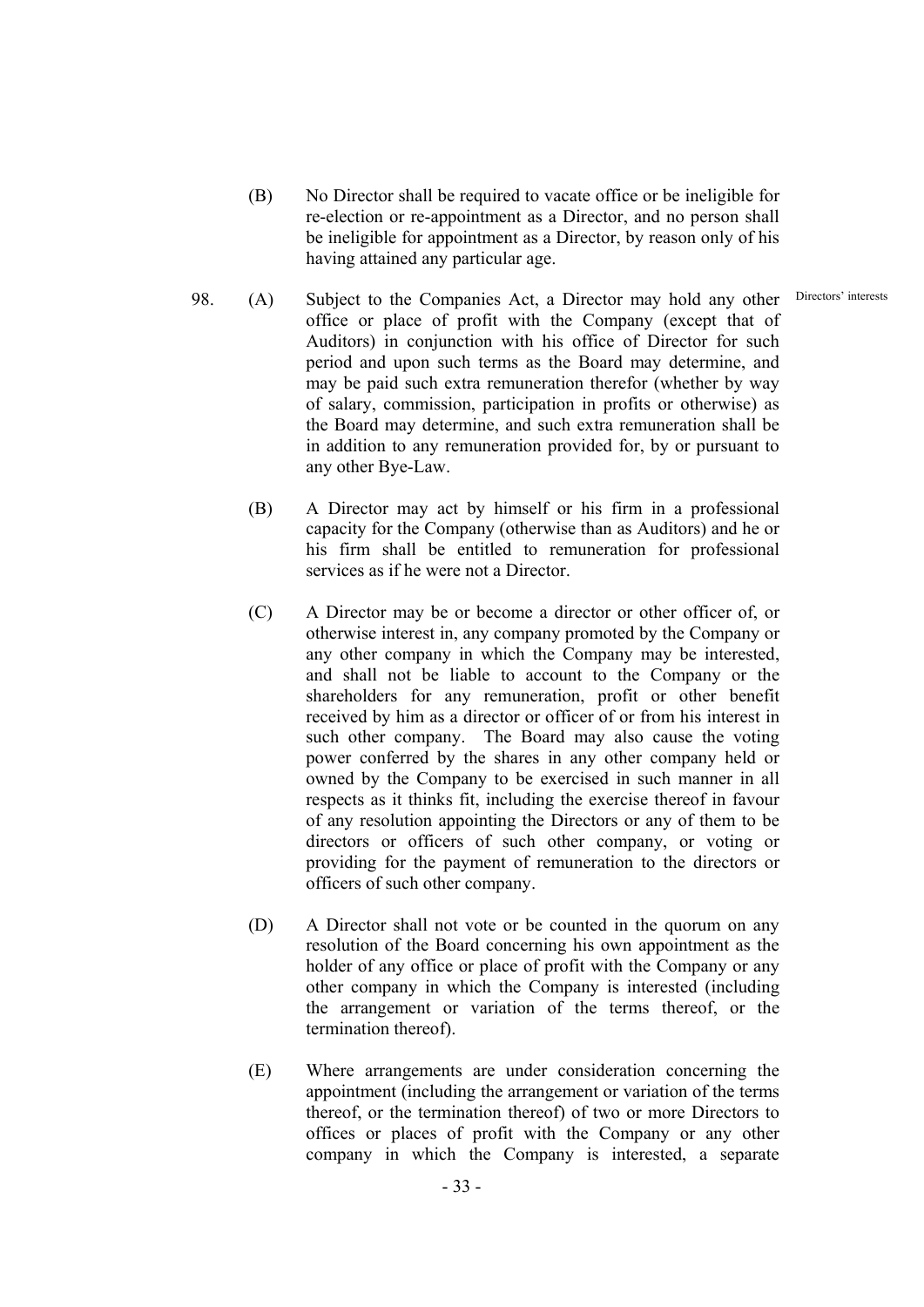- (B) No Director shall be required to vacate office or be ineligible for re-election or re-appointment as a Director, and no person shall be ineligible for appointment as a Director, by reason only of his having attained any particular age.
- 98. (A) Subject to the Companies Act, a Director may hold any other office or place of profit with the Company (except that of Auditors) in conjunction with his office of Director for such period and upon such terms as the Board may determine, and may be paid such extra remuneration therefor (whether by way of salary, commission, participation in profits or otherwise) as the Board may determine, and such extra remuneration shall be in addition to any remuneration provided for, by or pursuant to any other Bye-Law. Directors' interests
	- (B) A Director may act by himself or his firm in a professional capacity for the Company (otherwise than as Auditors) and he or his firm shall be entitled to remuneration for professional services as if he were not a Director.
	- (C) A Director may be or become a director or other officer of, or otherwise interest in, any company promoted by the Company or any other company in which the Company may be interested, and shall not be liable to account to the Company or the shareholders for any remuneration, profit or other benefit received by him as a director or officer of or from his interest in such other company. The Board may also cause the voting power conferred by the shares in any other company held or owned by the Company to be exercised in such manner in all respects as it thinks fit, including the exercise thereof in favour of any resolution appointing the Directors or any of them to be directors or officers of such other company, or voting or providing for the payment of remuneration to the directors or officers of such other company.
	- (D) A Director shall not vote or be counted in the quorum on any resolution of the Board concerning his own appointment as the holder of any office or place of profit with the Company or any other company in which the Company is interested (including the arrangement or variation of the terms thereof, or the termination thereof).
	- (E) Where arrangements are under consideration concerning the appointment (including the arrangement or variation of the terms thereof, or the termination thereof) of two or more Directors to offices or places of profit with the Company or any other company in which the Company is interested, a separate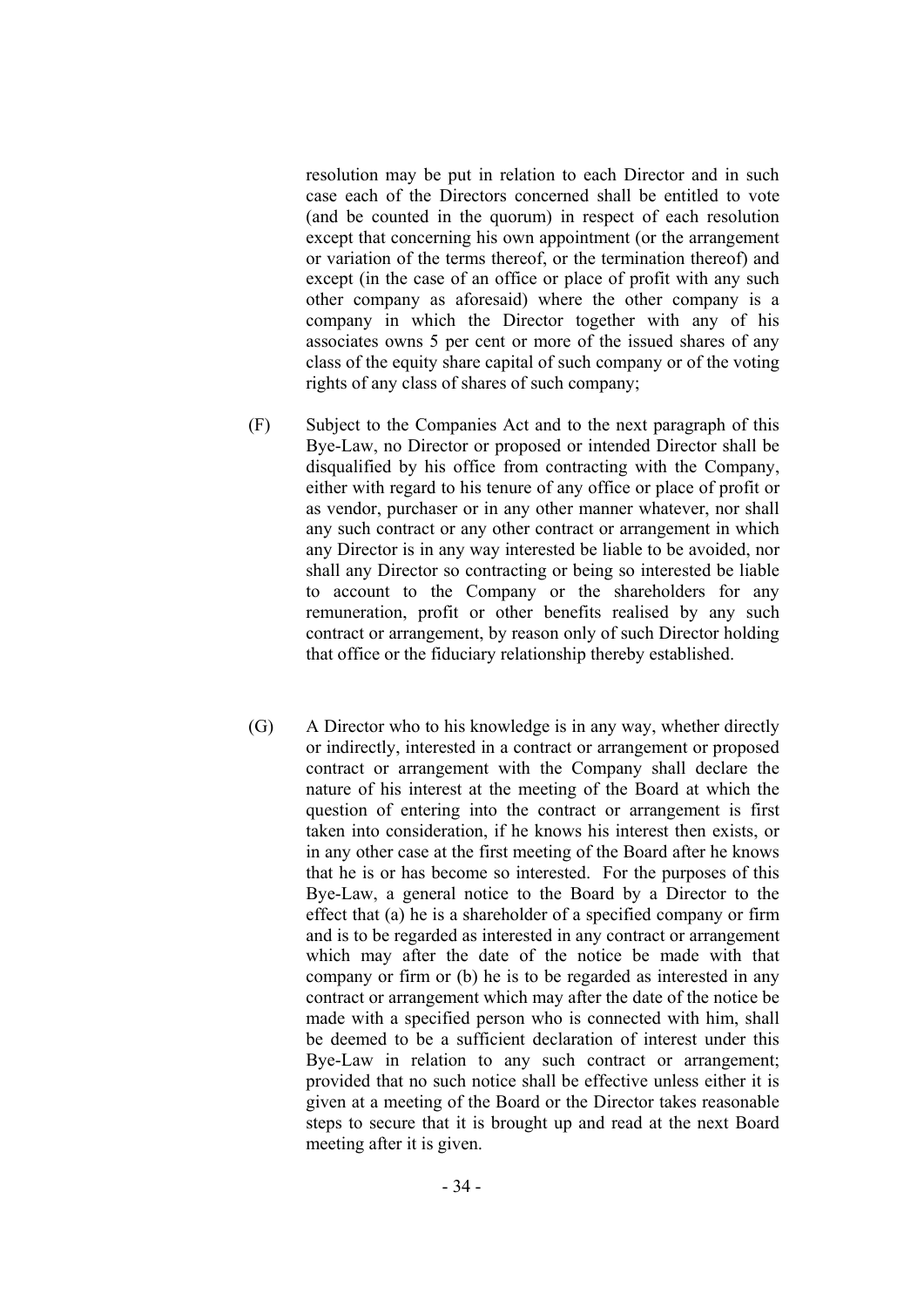resolution may be put in relation to each Director and in such case each of the Directors concerned shall be entitled to vote (and be counted in the quorum) in respect of each resolution except that concerning his own appointment (or the arrangement or variation of the terms thereof, or the termination thereof) and except (in the case of an office or place of profit with any such other company as aforesaid) where the other company is a company in which the Director together with any of his associates owns 5 per cent or more of the issued shares of any class of the equity share capital of such company or of the voting rights of any class of shares of such company;

- (F) Subject to the Companies Act and to the next paragraph of this Bye-Law, no Director or proposed or intended Director shall be disqualified by his office from contracting with the Company, either with regard to his tenure of any office or place of profit or as vendor, purchaser or in any other manner whatever, nor shall any such contract or any other contract or arrangement in which any Director is in any way interested be liable to be avoided, nor shall any Director so contracting or being so interested be liable to account to the Company or the shareholders for any remuneration, profit or other benefits realised by any such contract or arrangement, by reason only of such Director holding that office or the fiduciary relationship thereby established.
- (G) A Director who to his knowledge is in any way, whether directly or indirectly, interested in a contract or arrangement or proposed contract or arrangement with the Company shall declare the nature of his interest at the meeting of the Board at which the question of entering into the contract or arrangement is first taken into consideration, if he knows his interest then exists, or in any other case at the first meeting of the Board after he knows that he is or has become so interested. For the purposes of this Bye-Law, a general notice to the Board by a Director to the effect that (a) he is a shareholder of a specified company or firm and is to be regarded as interested in any contract or arrangement which may after the date of the notice be made with that company or firm or (b) he is to be regarded as interested in any contract or arrangement which may after the date of the notice be made with a specified person who is connected with him, shall be deemed to be a sufficient declaration of interest under this Bye-Law in relation to any such contract or arrangement; provided that no such notice shall be effective unless either it is given at a meeting of the Board or the Director takes reasonable steps to secure that it is brought up and read at the next Board meeting after it is given.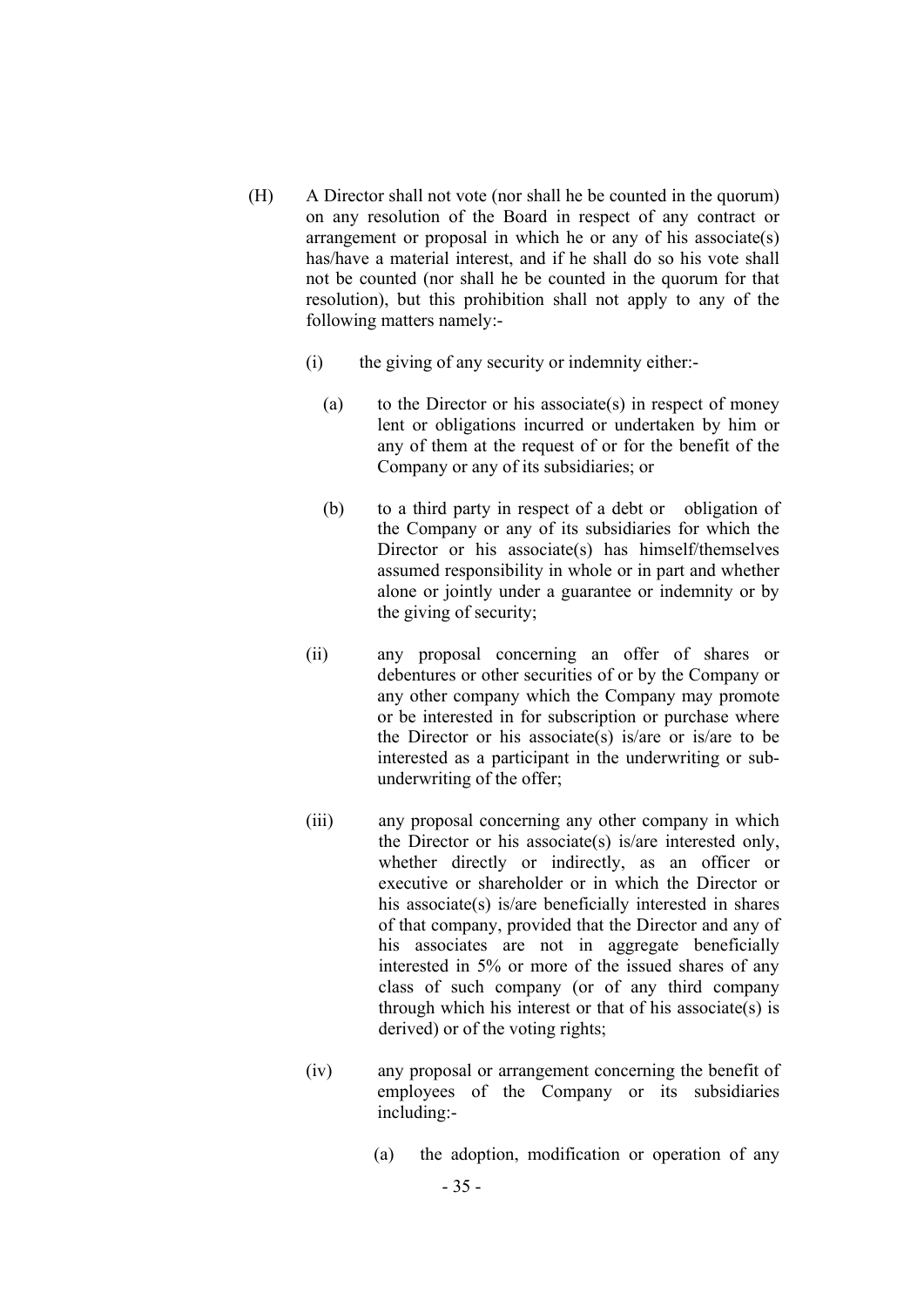- (H) A Director shall not vote (nor shall he be counted in the quorum) on any resolution of the Board in respect of any contract or arrangement or proposal in which he or any of his associate(s) has/have a material interest, and if he shall do so his vote shall not be counted (nor shall he be counted in the quorum for that resolution), but this prohibition shall not apply to any of the following matters namely:-
	- (i) the giving of any security or indemnity either:-
		- (a) to the Director or his associate(s) in respect of money lent or obligations incurred or undertaken by him or any of them at the request of or for the benefit of the Company or any of its subsidiaries; or
		- (b) to a third party in respect of a debt or obligation of the Company or any of its subsidiaries for which the Director or his associate(s) has himself/themselves assumed responsibility in whole or in part and whether alone or jointly under a guarantee or indemnity or by the giving of security;
	- (ii) any proposal concerning an offer of shares or debentures or other securities of or by the Company or any other company which the Company may promote or be interested in for subscription or purchase where the Director or his associate(s) is/are or is/are to be interested as a participant in the underwriting or subunderwriting of the offer;
	- (iii) any proposal concerning any other company in which the Director or his associate(s) is/are interested only, whether directly or indirectly, as an officer or executive or shareholder or in which the Director or his associate(s) is/are beneficially interested in shares of that company, provided that the Director and any of his associates are not in aggregate beneficially interested in 5% or more of the issued shares of any class of such company (or of any third company through which his interest or that of his associate(s) is derived) or of the voting rights;
	- (iv) any proposal or arrangement concerning the benefit of employees of the Company or its subsidiaries including:-
		- (a) the adoption, modification or operation of any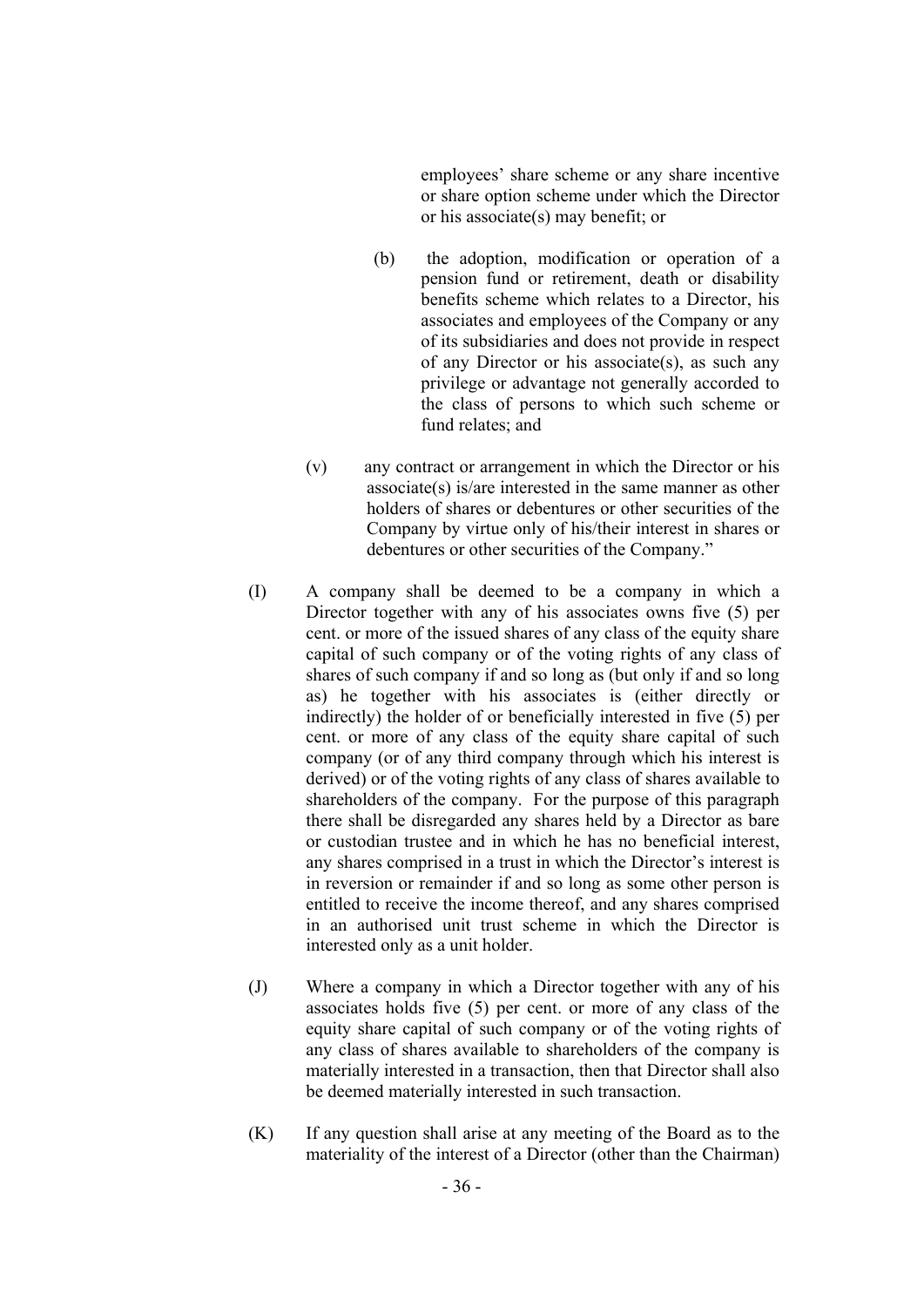employees' share scheme or any share incentive or share option scheme under which the Director or his associate(s) may benefit; or

- (b) the adoption, modification or operation of a pension fund or retirement, death or disability benefits scheme which relates to a Director, his associates and employees of the Company or any of its subsidiaries and does not provide in respect of any Director or his associate(s), as such any privilege or advantage not generally accorded to the class of persons to which such scheme or fund relates; and
- (v) any contract or arrangement in which the Director or his associate(s) is/are interested in the same manner as other holders of shares or debentures or other securities of the Company by virtue only of his/their interest in shares or debentures or other securities of the Company."
- (I) A company shall be deemed to be a company in which a Director together with any of his associates owns five (5) per cent. or more of the issued shares of any class of the equity share capital of such company or of the voting rights of any class of shares of such company if and so long as (but only if and so long as) he together with his associates is (either directly or indirectly) the holder of or beneficially interested in five (5) per cent. or more of any class of the equity share capital of such company (or of any third company through which his interest is derived) or of the voting rights of any class of shares available to shareholders of the company. For the purpose of this paragraph there shall be disregarded any shares held by a Director as bare or custodian trustee and in which he has no beneficial interest, any shares comprised in a trust in which the Director's interest is in reversion or remainder if and so long as some other person is entitled to receive the income thereof, and any shares comprised in an authorised unit trust scheme in which the Director is interested only as a unit holder.
- (J) Where a company in which a Director together with any of his associates holds five (5) per cent. or more of any class of the equity share capital of such company or of the voting rights of any class of shares available to shareholders of the company is materially interested in a transaction, then that Director shall also be deemed materially interested in such transaction.
- (K) If any question shall arise at any meeting of the Board as to the materiality of the interest of a Director (other than the Chairman)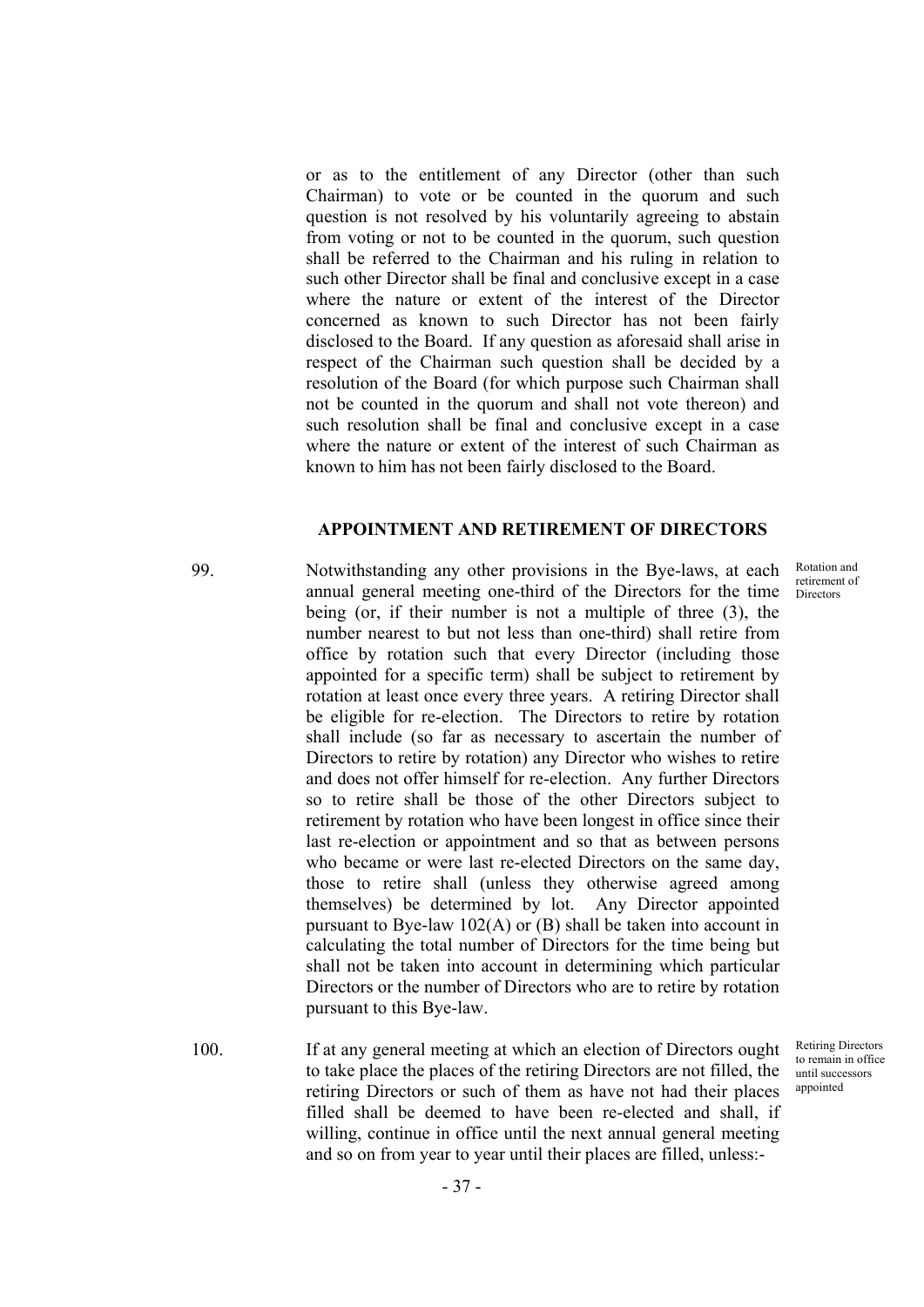or as to the entitlement of any Director (other than such Chairman) to vote or be counted in the quorum and such question is not resolved by his voluntarily agreeing to abstain from voting or not to be counted in the quorum, such question shall be referred to the Chairman and his ruling in relation to such other Director shall be final and conclusive except in a case where the nature or extent of the interest of the Director concerned as known to such Director has not been fairly disclosed to the Board. If any question as aforesaid shall arise in respect of the Chairman such question shall be decided by a resolution of the Board (for which purpose such Chairman shall not be counted in the quorum and shall not vote thereon) and such resolution shall be final and conclusive except in a case where the nature or extent of the interest of such Chairman as known to him has not been fairly disclosed to the Board.

# **APPOINTMENT AND RETIREMENT OF DIRECTORS**

99. Notwithstanding any other provisions in the Bye-laws, at each annual general meeting one-third of the Directors for the time being (or, if their number is not a multiple of three (3), the number nearest to but not less than one-third) shall retire from office by rotation such that every Director (including those appointed for a specific term) shall be subject to retirement by rotation at least once every three years. A retiring Director shall be eligible for re-election. The Directors to retire by rotation shall include (so far as necessary to ascertain the number of Directors to retire by rotation) any Director who wishes to retire and does not offer himself for re-election. Any further Directors so to retire shall be those of the other Directors subject to retirement by rotation who have been longest in office since their last re-election or appointment and so that as between persons who became or were last re-elected Directors on the same day, those to retire shall (unless they otherwise agreed among themselves) be determined by lot. Any Director appointed pursuant to Bye-law 102(A) or (B) shall be taken into account in calculating the total number of Directors for the time being but shall not be taken into account in determining which particular Directors or the number of Directors who are to retire by rotation pursuant to this Bye-law.

100. If at any general meeting at which an election of Directors ought to take place the places of the retiring Directors are not filled, the retiring Directors or such of them as have not had their places filled shall be deemed to have been re-elected and shall, if willing, continue in office until the next annual general meeting and so on from year to year until their places are filled, unless:-

Rotation and retirement of **Directors** 

Retiring Directors to remain in office until successors appointed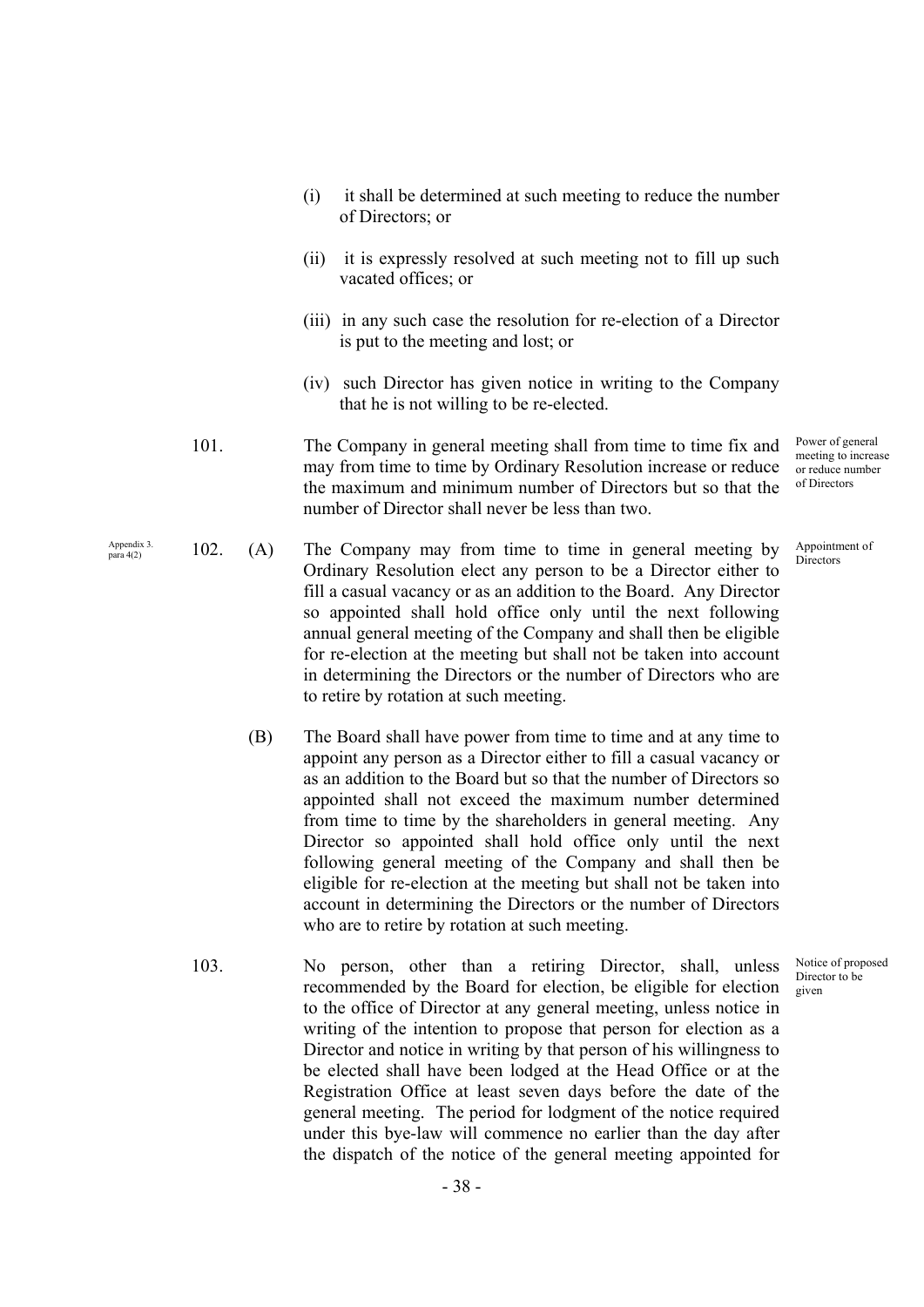- (i) it shall be determined at such meeting to reduce the number of Directors; or
- (ii) it is expressly resolved at such meeting not to fill up such vacated offices; or
- (iii) in any such case the resolution for re-election of a Director is put to the meeting and lost; or
- (iv) such Director has given notice in writing to the Company that he is not willing to be re-elected.
- 101. The Company in general meeting shall from time to time fix and may from time to time by Ordinary Resolution increase or reduce the maximum and minimum number of Directors but so that the number of Director shall never be less than two.
- $(A)$  The Company may from time to time in general meeting by Ordinary Resolution elect any person to be a Director either to fill a casual vacancy or as an addition to the Board. Any Director so appointed shall hold office only until the next following annual general meeting of the Company and shall then be eligible for re-election at the meeting but shall not be taken into account in determining the Directors or the number of Directors who are to retire by rotation at such meeting.
	- (B) The Board shall have power from time to time and at any time to appoint any person as a Director either to fill a casual vacancy or as an addition to the Board but so that the number of Directors so appointed shall not exceed the maximum number determined from time to time by the shareholders in general meeting. Any Director so appointed shall hold office only until the next following general meeting of the Company and shall then be eligible for re-election at the meeting but shall not be taken into account in determining the Directors or the number of Directors who are to retire by rotation at such meeting.
- 103. No person, other than a retiring Director, shall, unless recommended by the Board for election, be eligible for election to the office of Director at any general meeting, unless notice in writing of the intention to propose that person for election as a Director and notice in writing by that person of his willingness to be elected shall have been lodged at the Head Office or at the Registration Office at least seven days before the date of the general meeting. The period for lodgment of the notice required under this bye-law will commence no earlier than the day after the dispatch of the notice of the general meeting appointed for

Power of general meeting to increase or reduce number of Directors

Appointment of **Directors** 

Notice of proposed Director to be given

Appendix 3.  $102$ .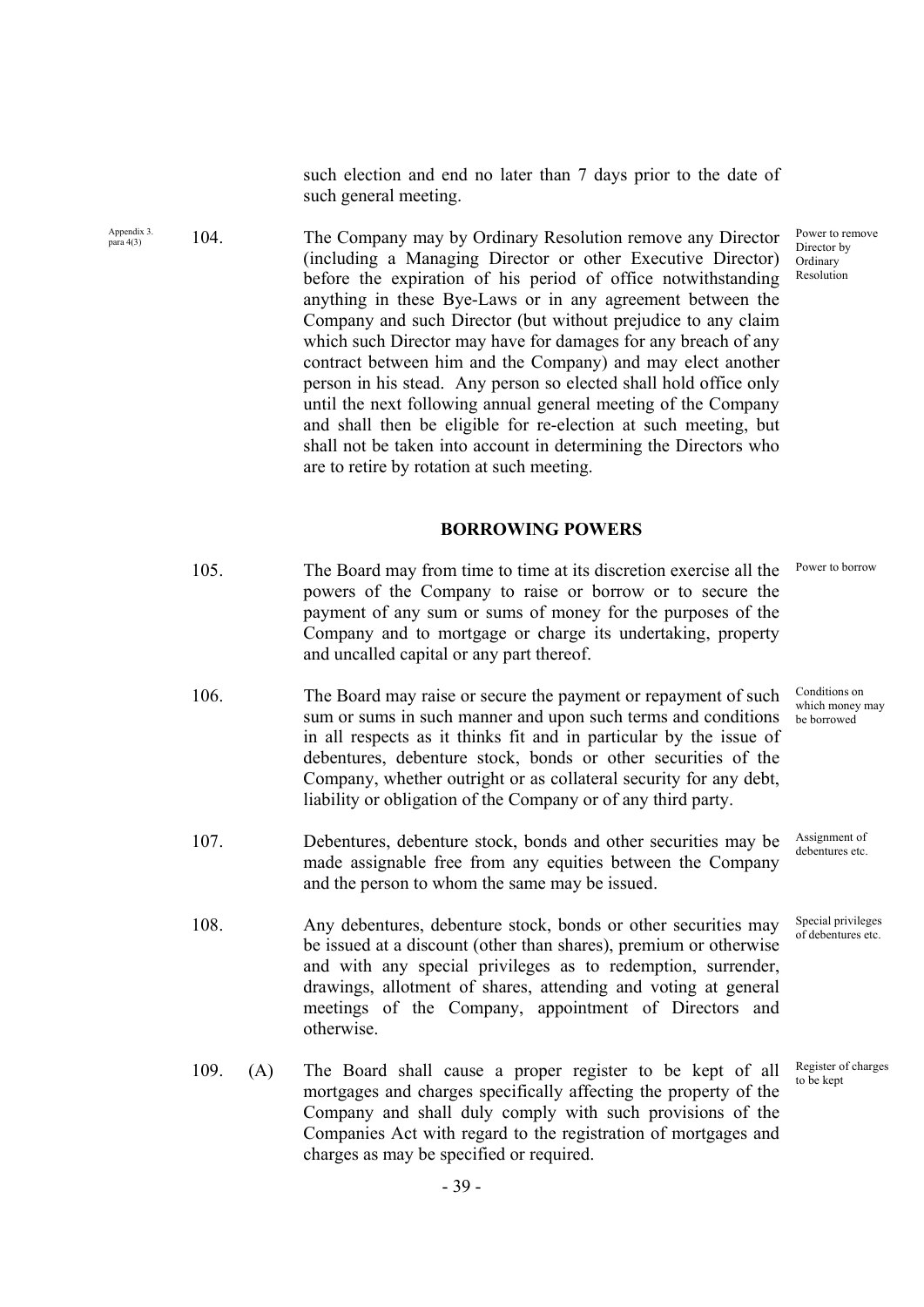such election and end no later than 7 days prior to the date of such general meeting.

Appendix 3.  $104$ . The Company may by Ordinary Resolution remove any Director (including a Managing Director or other Executive Director) before the expiration of his period of office notwithstanding anything in these Bye-Laws or in any agreement between the Company and such Director (but without prejudice to any claim which such Director may have for damages for any breach of any contract between him and the Company) and may elect another person in his stead. Any person so elected shall hold office only until the next following annual general meeting of the Company and shall then be eligible for re-election at such meeting, but shall not be taken into account in determining the Directors who are to retire by rotation at such meeting. Power to remove Director by Ordinary Resolution

# **BORROWING POWERS**

- 105. The Board may from time to time at its discretion exercise all the powers of the Company to raise or borrow or to secure the payment of any sum or sums of money for the purposes of the Company and to mortgage or charge its undertaking, property and uncalled capital or any part thereof. Power to borrow
- 106. The Board may raise or secure the payment or repayment of such sum or sums in such manner and upon such terms and conditions in all respects as it thinks fit and in particular by the issue of debentures, debenture stock, bonds or other securities of the Company, whether outright or as collateral security for any debt, liability or obligation of the Company or of any third party. Conditions on which money may
- 107. Debentures, debenture stock, bonds and other securities may be made assignable free from any equities between the Company and the person to whom the same may be issued.
- 108. Any debentures, debenture stock, bonds or other securities may be issued at a discount (other than shares), premium or otherwise and with any special privileges as to redemption, surrender, drawings, allotment of shares, attending and voting at general meetings of the Company, appointment of Directors and otherwise.
- 109. (A) The Board shall cause a proper register to be kept of all mortgages and charges specifically affecting the property of the Company and shall duly comply with such provisions of the Companies Act with regard to the registration of mortgages and charges as may be specified or required.

be borrowed

Assignment of debentures etc.

Special privileges of debentures etc.

Register of charges to be kept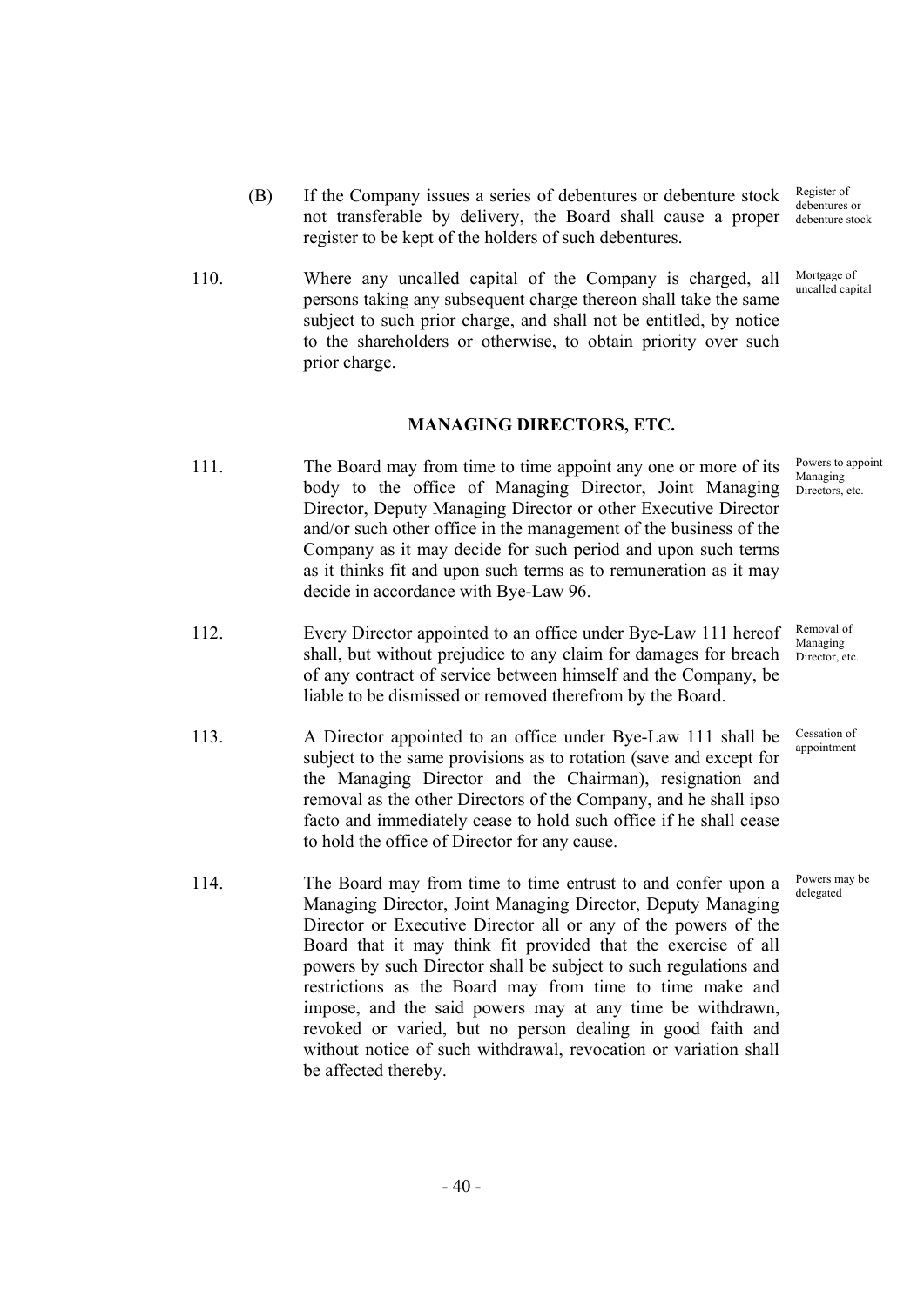- (B) If the Company issues a series of debentures or debenture stock not transferable by delivery, the Board shall cause a proper register to be kept of the holders of such debentures.
- 110. Where any uncalled capital of the Company is charged, all persons taking any subsequent charge thereon shall take the same subject to such prior charge, and shall not be entitled, by notice to the shareholders or otherwise, to obtain priority over such prior charge.

# **MANAGING DIRECTORS, ETC.**

- 111. The Board may from time to time appoint any one or more of its body to the office of Managing Director, Joint Managing Director, Deputy Managing Director or other Executive Director and/or such other office in the management of the business of the Company as it may decide for such period and upon such terms as it thinks fit and upon such terms as to remuneration as it may decide in accordance with Bye-Law 96.
- 112. Every Director appointed to an office under Bye-Law 111 hereof shall, but without prejudice to any claim for damages for breach of any contract of service between himself and the Company, be liable to be dismissed or removed therefrom by the Board.
- 113. A Director appointed to an office under Bye-Law 111 shall be subject to the same provisions as to rotation (save and except for the Managing Director and the Chairman), resignation and removal as the other Directors of the Company, and he shall ipso facto and immediately cease to hold such office if he shall cease to hold the office of Director for any cause.
- 114. The Board may from time to time entrust to and confer upon a Managing Director, Joint Managing Director, Deputy Managing Director or Executive Director all or any of the powers of the Board that it may think fit provided that the exercise of all powers by such Director shall be subject to such regulations and restrictions as the Board may from time to time make and impose, and the said powers may at any time be withdrawn, revoked or varied, but no person dealing in good faith and without notice of such withdrawal, revocation or variation shall be affected thereby.

Register of debentures or debenture stock

Mortgage of uncalled capital

Powers to appoint Managing Directors, etc.

Removal of Managing Director, etc.

Cessation of appointment

Powers may be delegated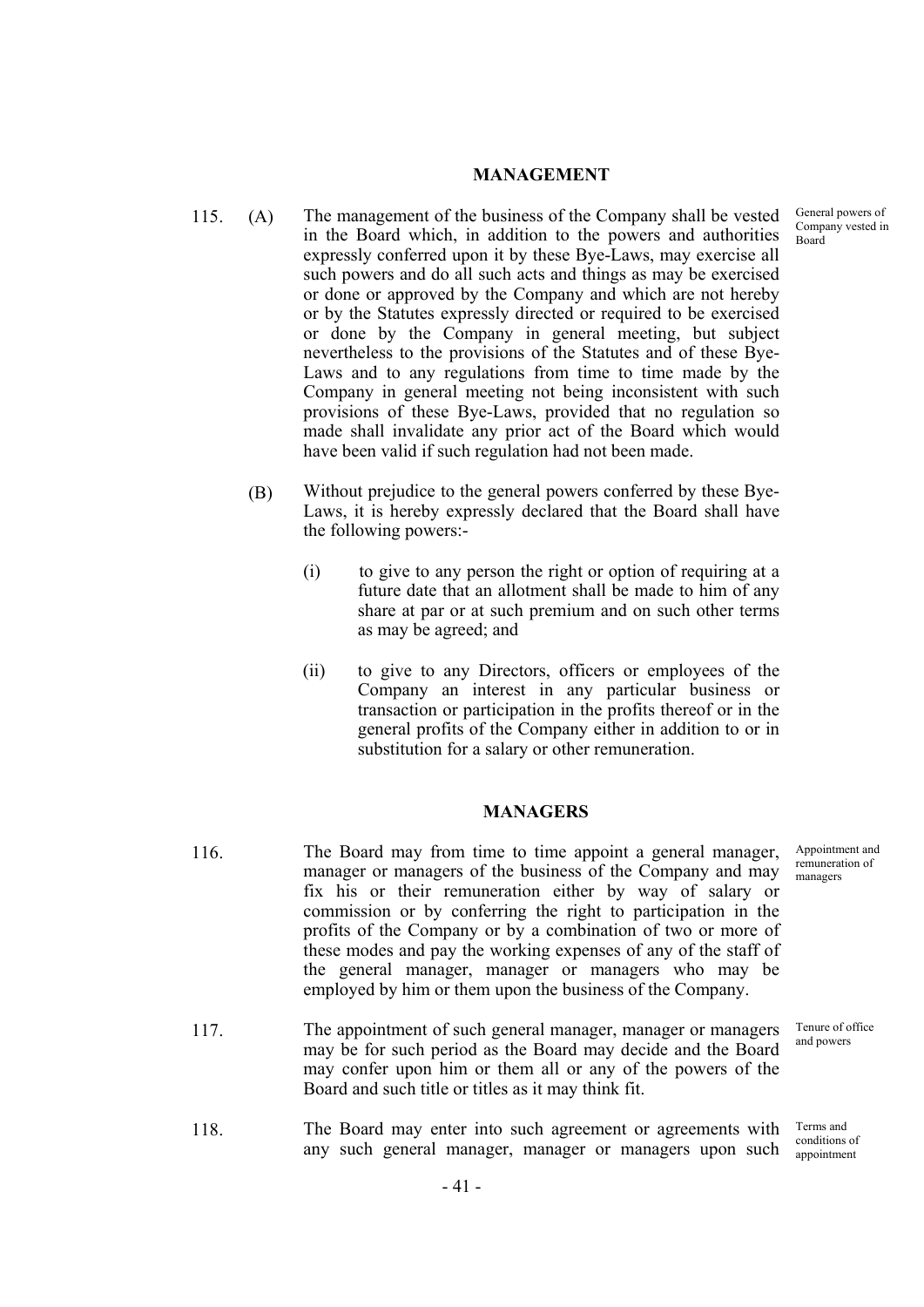# **MANAGEMENT**

- 115. (A) The management of the business of the Company shall be vested in the Board which, in addition to the powers and authorities expressly conferred upon it by these Bye-Laws, may exercise all such powers and do all such acts and things as may be exercised or done or approved by the Company and which are not hereby or by the Statutes expressly directed or required to be exercised or done by the Company in general meeting, but subject nevertheless to the provisions of the Statutes and of these Bye-Laws and to any regulations from time to time made by the Company in general meeting not being inconsistent with such provisions of these Bye-Laws, provided that no regulation so made shall invalidate any prior act of the Board which would have been valid if such regulation had not been made. General powers of Company vested in Board
	- (B) Without prejudice to the general powers conferred by these Bye-Laws, it is hereby expressly declared that the Board shall have the following powers:-
		- (i) to give to any person the right or option of requiring at a future date that an allotment shall be made to him of any share at par or at such premium and on such other terms as may be agreed; and
		- (ii) to give to any Directors, officers or employees of the Company an interest in any particular business or transaction or participation in the profits thereof or in the general profits of the Company either in addition to or in substitution for a salary or other remuneration.

#### **MANAGERS**

- 116. The Board may from time to time appoint a general manager, manager or managers of the business of the Company and may fix his or their remuneration either by way of salary or commission or by conferring the right to participation in the profits of the Company or by a combination of two or more of these modes and pay the working expenses of any of the staff of the general manager, manager or managers who may be employed by him or them upon the business of the Company.
- 117. The appointment of such general manager, manager or managers may be for such period as the Board may decide and the Board may confer upon him or them all or any of the powers of the Board and such title or titles as it may think fit.
- 118. The Board may enter into such agreement or agreements with any such general manager, manager or managers upon such Terms and

Appointment and remuneration of managers

Tenure of office and powers

conditions of appointment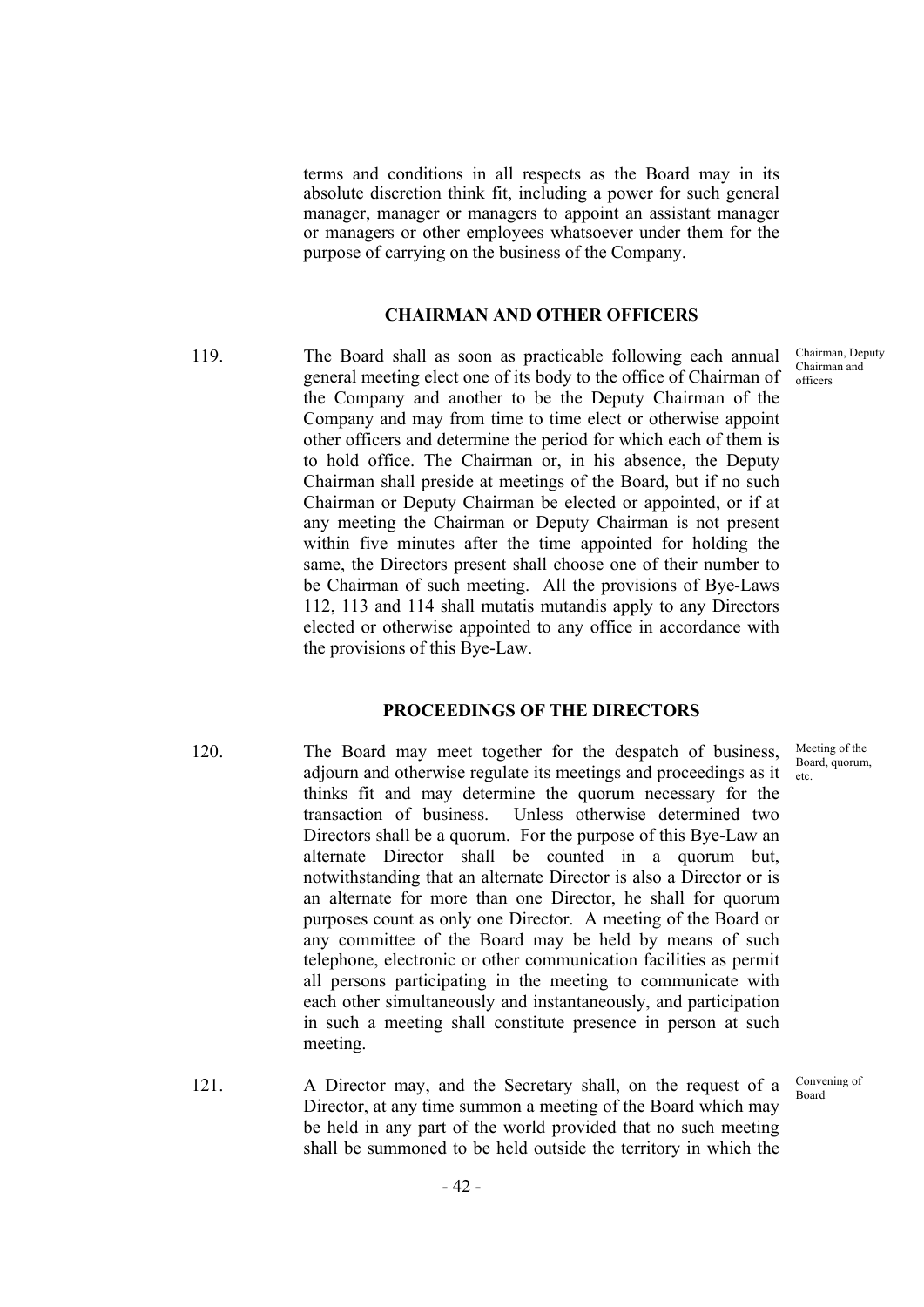terms and conditions in all respects as the Board may in its absolute discretion think fit, including a power for such general manager, manager or managers to appoint an assistant manager or managers or other employees whatsoever under them for the purpose of carrying on the business of the Company.

# **CHAIRMAN AND OTHER OFFICERS**

119. The Board shall as soon as practicable following each annual general meeting elect one of its body to the office of Chairman of the Company and another to be the Deputy Chairman of the Company and may from time to time elect or otherwise appoint other officers and determine the period for which each of them is to hold office. The Chairman or, in his absence, the Deputy Chairman shall preside at meetings of the Board, but if no such Chairman or Deputy Chairman be elected or appointed, or if at any meeting the Chairman or Deputy Chairman is not present within five minutes after the time appointed for holding the same, the Directors present shall choose one of their number to be Chairman of such meeting. All the provisions of Bye-Laws 112, 113 and 114 shall mutatis mutandis apply to any Directors elected or otherwise appointed to any office in accordance with the provisions of this Bye-Law.

# **PROCEEDINGS OF THE DIRECTORS**

- 120. The Board may meet together for the despatch of business, adjourn and otherwise regulate its meetings and proceedings as it thinks fit and may determine the quorum necessary for the transaction of business. Unless otherwise determined two Directors shall be a quorum. For the purpose of this Bye-Law an alternate Director shall be counted in a quorum but, notwithstanding that an alternate Director is also a Director or is an alternate for more than one Director, he shall for quorum purposes count as only one Director. A meeting of the Board or any committee of the Board may be held by means of such telephone, electronic or other communication facilities as permit all persons participating in the meeting to communicate with each other simultaneously and instantaneously, and participation in such a meeting shall constitute presence in person at such meeting.
- 121. A Director may, and the Secretary shall, on the request of a Director, at any time summon a meeting of the Board which may be held in any part of the world provided that no such meeting shall be summoned to be held outside the territory in which the Convening of Board

Chairman, Deputy Chairman and officers

Meeting of the Board, quorum, etc.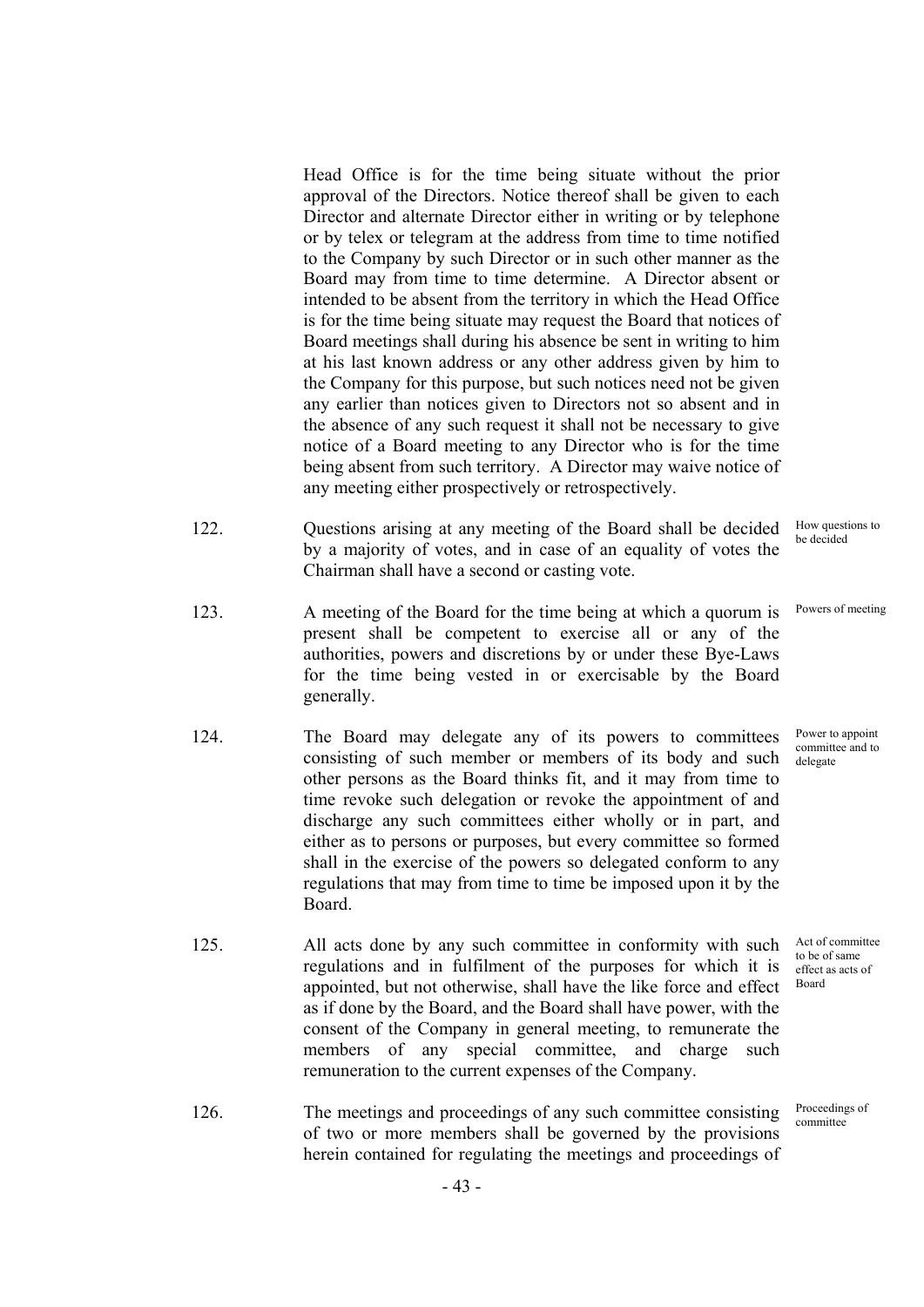Head Office is for the time being situate without the prior approval of the Directors. Notice thereof shall be given to each Director and alternate Director either in writing or by telephone or by telex or telegram at the address from time to time notified to the Company by such Director or in such other manner as the Board may from time to time determine. A Director absent or intended to be absent from the territory in which the Head Office is for the time being situate may request the Board that notices of Board meetings shall during his absence be sent in writing to him at his last known address or any other address given by him to the Company for this purpose, but such notices need not be given any earlier than notices given to Directors not so absent and in the absence of any such request it shall not be necessary to give notice of a Board meeting to any Director who is for the time being absent from such territory. A Director may waive notice of any meeting either prospectively or retrospectively.

- 122. Questions arising at any meeting of the Board shall be decided by a majority of votes, and in case of an equality of votes the Chairman shall have a second or casting vote. be decided
- 123. A meeting of the Board for the time being at which a quorum is present shall be competent to exercise all or any of the authorities, powers and discretions by or under these Bye-Laws for the time being vested in or exercisable by the Board generally.
- 124. The Board may delegate any of its powers to committees consisting of such member or members of its body and such other persons as the Board thinks fit, and it may from time to time revoke such delegation or revoke the appointment of and discharge any such committees either wholly or in part, and either as to persons or purposes, but every committee so formed shall in the exercise of the powers so delegated conform to any regulations that may from time to time be imposed upon it by the Board.
- 125. All acts done by any such committee in conformity with such regulations and in fulfilment of the purposes for which it is appointed, but not otherwise, shall have the like force and effect as if done by the Board, and the Board shall have power, with the consent of the Company in general meeting, to remunerate the members of any special committee, and charge such remuneration to the current expenses of the Company.
- 126. The meetings and proceedings of any such committee consisting of two or more members shall be governed by the provisions herein contained for regulating the meetings and proceedings of

How questions to

Powers of meeting

Power to appoint committee and to delegate

Act of committee to be of same effect as acts of Board

Proceedings of committee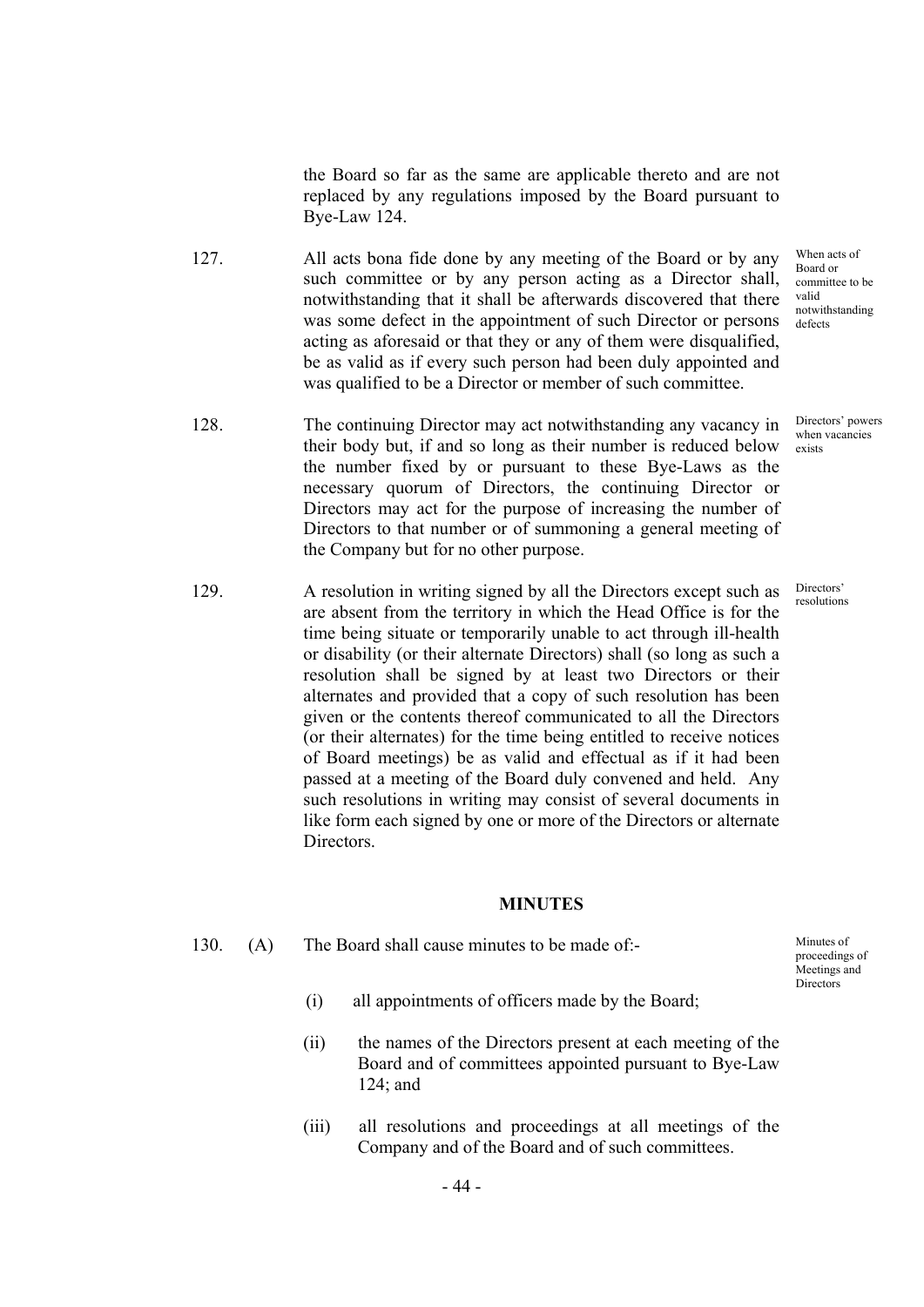the Board so far as the same are applicable thereto and are not replaced by any regulations imposed by the Board pursuant to Bye-Law 124.

- 127. All acts bona fide done by any meeting of the Board or by any such committee or by any person acting as a Director shall, notwithstanding that it shall be afterwards discovered that there was some defect in the appointment of such Director or persons acting as aforesaid or that they or any of them were disqualified, be as valid as if every such person had been duly appointed and was qualified to be a Director or member of such committee.
- 128. The continuing Director may act notwithstanding any vacancy in their body but, if and so long as their number is reduced below the number fixed by or pursuant to these Bye-Laws as the necessary quorum of Directors, the continuing Director or Directors may act for the purpose of increasing the number of Directors to that number or of summoning a general meeting of the Company but for no other purpose.
- 129. A resolution in writing signed by all the Directors except such as are absent from the territory in which the Head Office is for the time being situate or temporarily unable to act through ill-health or disability (or their alternate Directors) shall (so long as such a resolution shall be signed by at least two Directors or their alternates and provided that a copy of such resolution has been given or the contents thereof communicated to all the Directors (or their alternates) for the time being entitled to receive notices of Board meetings) be as valid and effectual as if it had been passed at a meeting of the Board duly convened and held. Any such resolutions in writing may consist of several documents in like form each signed by one or more of the Directors or alternate Directors.

### **MINUTES**

- 130. (A) The Board shall cause minutes to be made of:-
	- (i) all appointments of officers made by the Board;
	- (ii) the names of the Directors present at each meeting of the Board and of committees appointed pursuant to Bye-Law 124; and
	- (iii) all resolutions and proceedings at all meetings of the Company and of the Board and of such committees.

When acts of Board or committee to be valid notwithstanding defects

Directors' powers when vacancies exists

Directors' resolutions

proceedings of Meetings and  $\overline{\text{N}}$ **Directors**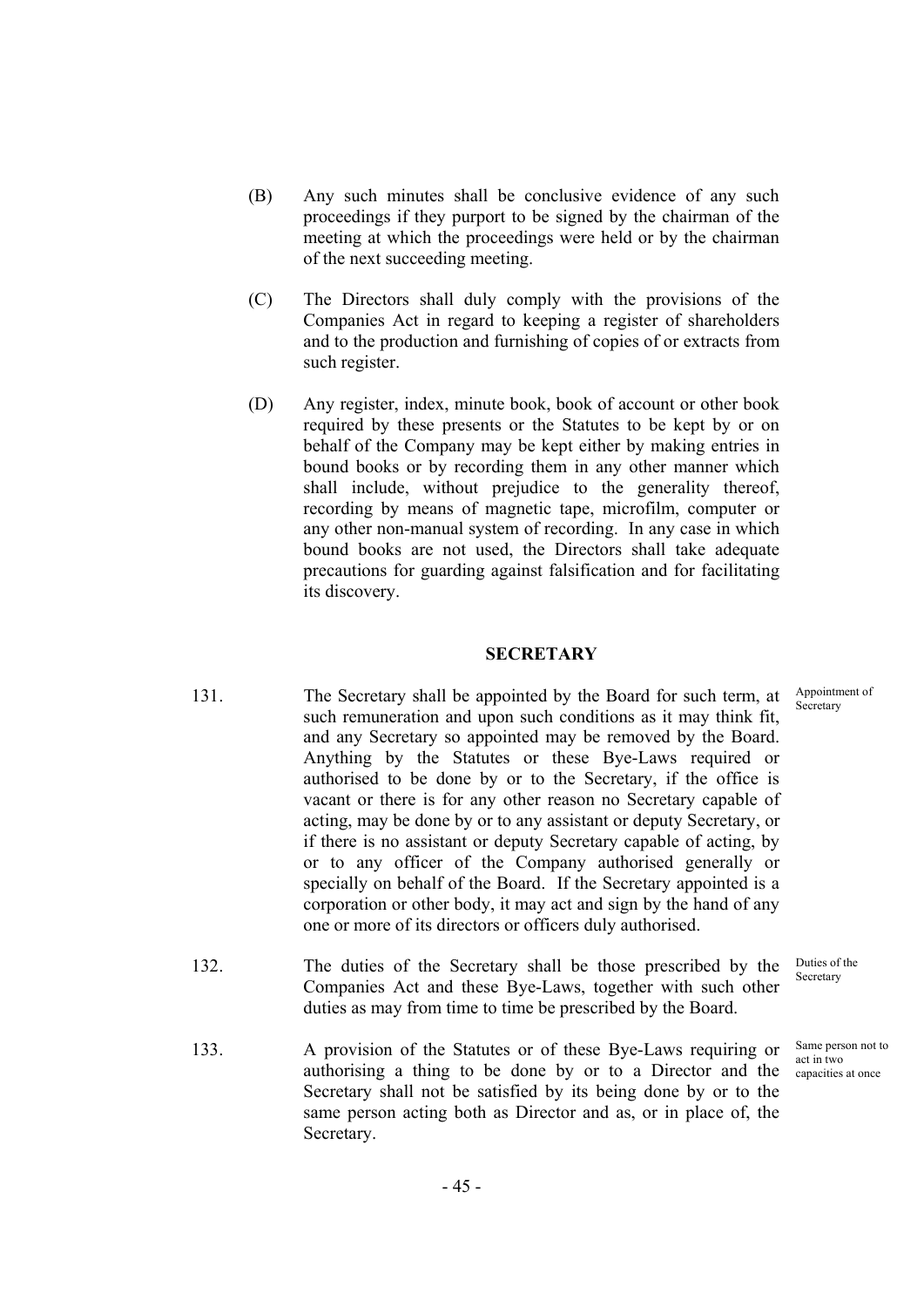- (B) Any such minutes shall be conclusive evidence of any such proceedings if they purport to be signed by the chairman of the meeting at which the proceedings were held or by the chairman of the next succeeding meeting.
- (C) The Directors shall duly comply with the provisions of the Companies Act in regard to keeping a register of shareholders and to the production and furnishing of copies of or extracts from such register.
- (D) Any register, index, minute book, book of account or other book required by these presents or the Statutes to be kept by or on behalf of the Company may be kept either by making entries in bound books or by recording them in any other manner which shall include, without prejudice to the generality thereof, recording by means of magnetic tape, microfilm, computer or any other non-manual system of recording. In any case in which bound books are not used, the Directors shall take adequate precautions for guarding against falsification and for facilitating its discovery.

### **SECRETARY**

- 131. The Secretary shall be appointed by the Board for such term, at such remuneration and upon such conditions as it may think fit, and any Secretary so appointed may be removed by the Board. Anything by the Statutes or these Bye-Laws required or authorised to be done by or to the Secretary, if the office is vacant or there is for any other reason no Secretary capable of acting, may be done by or to any assistant or deputy Secretary, or if there is no assistant or deputy Secretary capable of acting, by or to any officer of the Company authorised generally or specially on behalf of the Board. If the Secretary appointed is a corporation or other body, it may act and sign by the hand of any one or more of its directors or officers duly authorised. Appointment of
- 132. The duties of the Secretary shall be those prescribed by the Companies Act and these Bye-Laws, together with such other duties as may from time to time be prescribed by the Board.
- 133. A provision of the Statutes or of these Bye-Laws requiring or authorising a thing to be done by or to a Director and the Secretary shall not be satisfied by its being done by or to the same person acting both as Director and as, or in place of, the Secretary.

**Secretary** 

Duties of the Secretary

Same person not to act in two capacities at once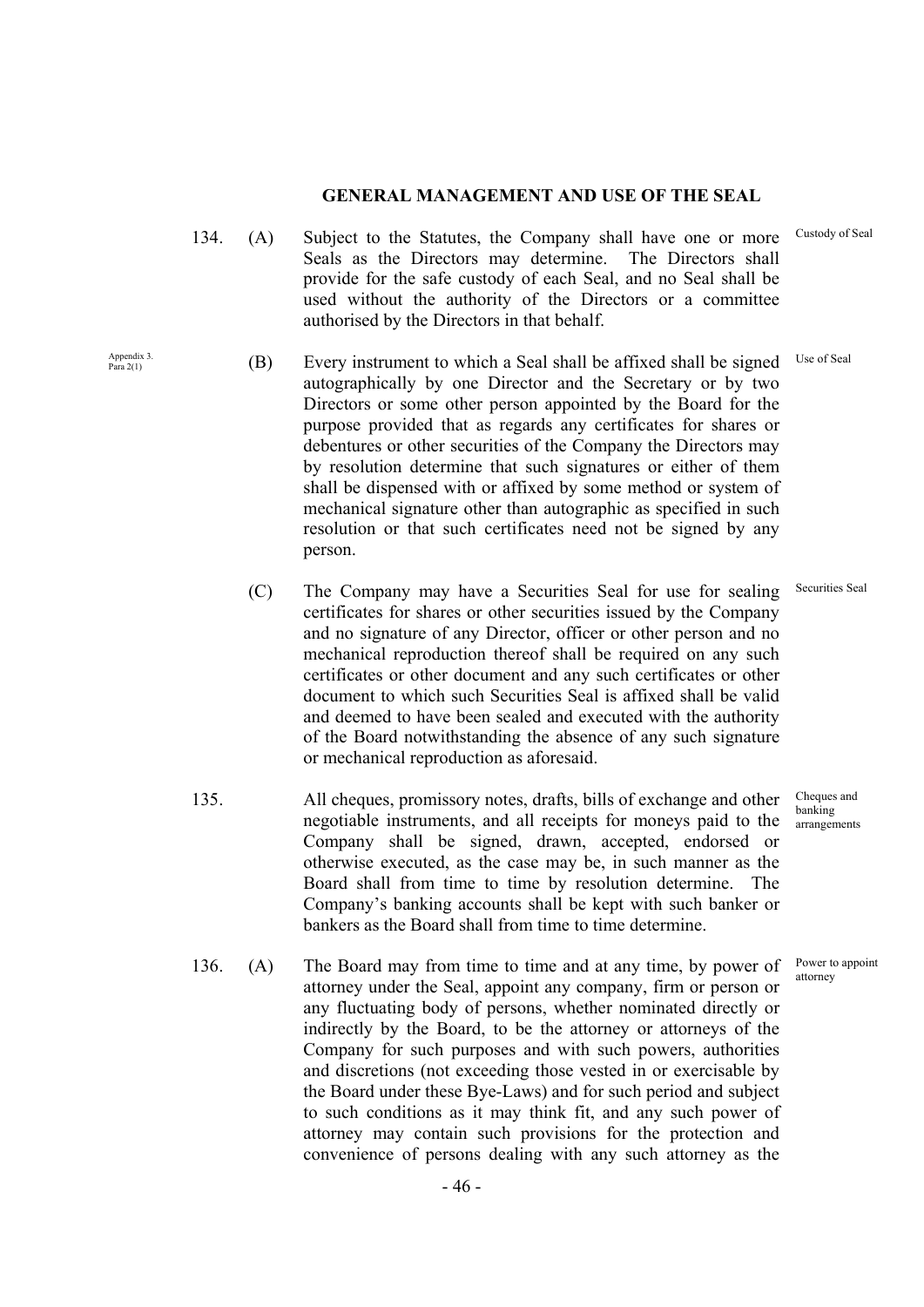# **GENERAL MANAGEMENT AND USE OF THE SEAL**

- 134. (A) Subject to the Statutes, the Company shall have one or more Seals as the Directors may determine. The Directors shall provide for the safe custody of each Seal, and no Seal shall be used without the authority of the Directors or a committee authorised by the Directors in that behalf. Custody of Seal
	- $(B)$  Every instrument to which a Seal shall be affixed shall be signed autographically by one Director and the Secretary or by two Directors or some other person appointed by the Board for the purpose provided that as regards any certificates for shares or debentures or other securities of the Company the Directors may by resolution determine that such signatures or either of them shall be dispensed with or affixed by some method or system of mechanical signature other than autographic as specified in such resolution or that such certificates need not be signed by any person. Use of Seal
		- (C) The Company may have a Securities Seal for use for sealing certificates for shares or other securities issued by the Company and no signature of any Director, officer or other person and no mechanical reproduction thereof shall be required on any such certificates or other document and any such certificates or other document to which such Securities Seal is affixed shall be valid and deemed to have been sealed and executed with the authority of the Board notwithstanding the absence of any such signature or mechanical reproduction as aforesaid. Securities Seal
- 135. All cheques, promissory notes, drafts, bills of exchange and other negotiable instruments, and all receipts for moneys paid to the Company shall be signed, drawn, accepted, endorsed or otherwise executed, as the case may be, in such manner as the Board shall from time to time by resolution determine. The Company's banking accounts shall be kept with such banker or bankers as the Board shall from time to time determine. Cheques and banking arrangements
- 136. (A) The Board may from time to time and at any time, by power of attorney under the Seal, appoint any company, firm or person or any fluctuating body of persons, whether nominated directly or indirectly by the Board, to be the attorney or attorneys of the Company for such purposes and with such powers, authorities and discretions (not exceeding those vested in or exercisable by the Board under these Bye-Laws) and for such period and subject to such conditions as it may think fit, and any such power of attorney may contain such provisions for the protection and convenience of persons dealing with any such attorney as the Power to appoint attorney

Appendix 3<br>Para 2(1)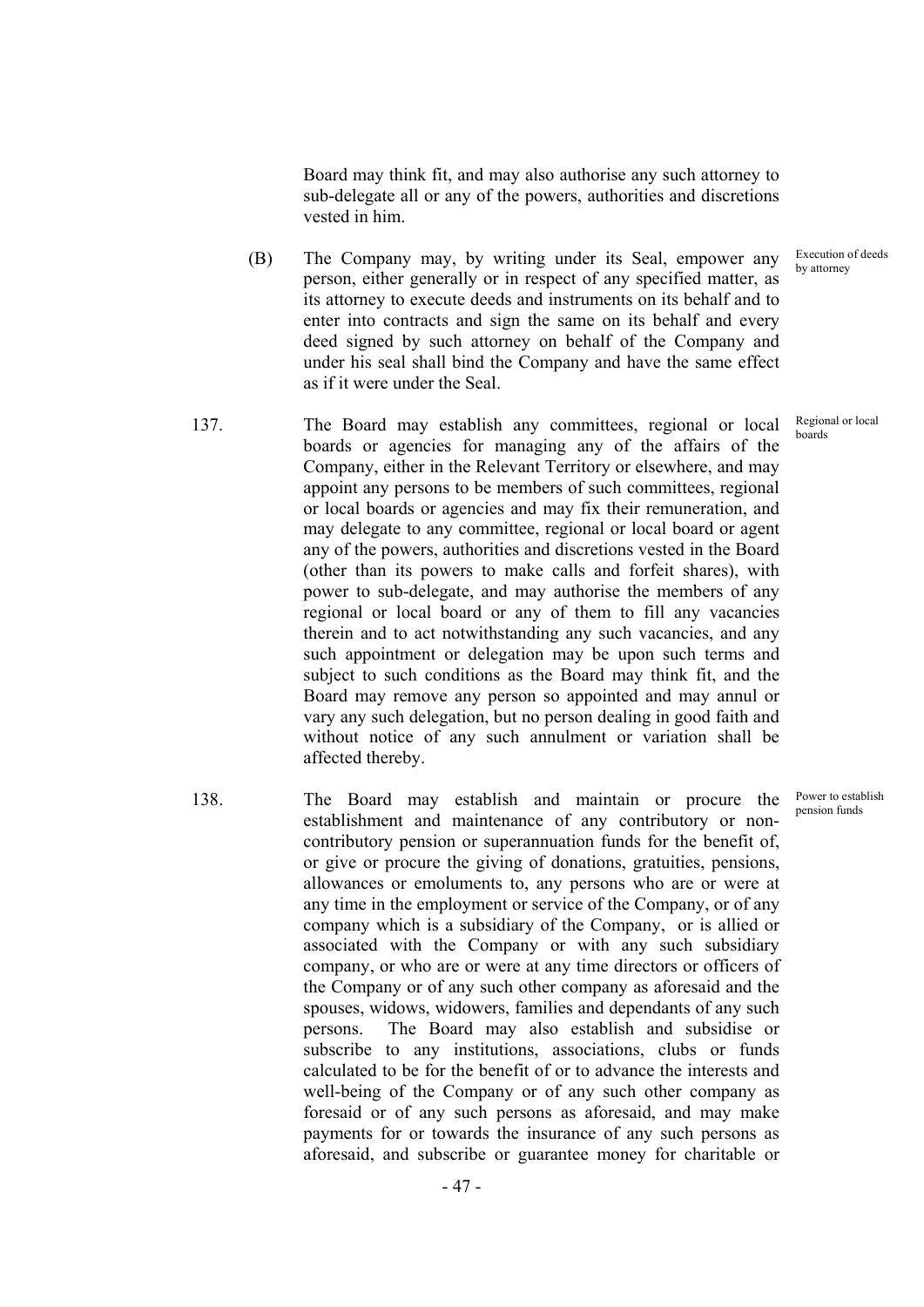Board may think fit, and may also authorise any such attorney to sub-delegate all or any of the powers, authorities and discretions vested in him.

- (B) The Company may, by writing under its Seal, empower any person, either generally or in respect of any specified matter, as its attorney to execute deeds and instruments on its behalf and to enter into contracts and sign the same on its behalf and every deed signed by such attorney on behalf of the Company and under his seal shall bind the Company and have the same effect as if it were under the Seal.
- 137. The Board may establish any committees, regional or local boards or agencies for managing any of the affairs of the Company, either in the Relevant Territory or elsewhere, and may appoint any persons to be members of such committees, regional or local boards or agencies and may fix their remuneration, and may delegate to any committee, regional or local board or agent any of the powers, authorities and discretions vested in the Board (other than its powers to make calls and forfeit shares), with power to sub-delegate, and may authorise the members of any regional or local board or any of them to fill any vacancies therein and to act notwithstanding any such vacancies, and any such appointment or delegation may be upon such terms and subject to such conditions as the Board may think fit, and the Board may remove any person so appointed and may annul or vary any such delegation, but no person dealing in good faith and without notice of any such annulment or variation shall be affected thereby. Regional or local boards
- 138. The Board may establish and maintain or procure the establishment and maintenance of any contributory or noncontributory pension or superannuation funds for the benefit of, or give or procure the giving of donations, gratuities, pensions, allowances or emoluments to, any persons who are or were at any time in the employment or service of the Company, or of any company which is a subsidiary of the Company, or is allied or associated with the Company or with any such subsidiary company, or who are or were at any time directors or officers of the Company or of any such other company as aforesaid and the spouses, widows, widowers, families and dependants of any such persons. The Board may also establish and subsidise or subscribe to any institutions, associations, clubs or funds calculated to be for the benefit of or to advance the interests and well-being of the Company or of any such other company as foresaid or of any such persons as aforesaid, and may make payments for or towards the insurance of any such persons as aforesaid, and subscribe or guarantee money for charitable or

Execution of deeds by attorney

Power to establish pension funds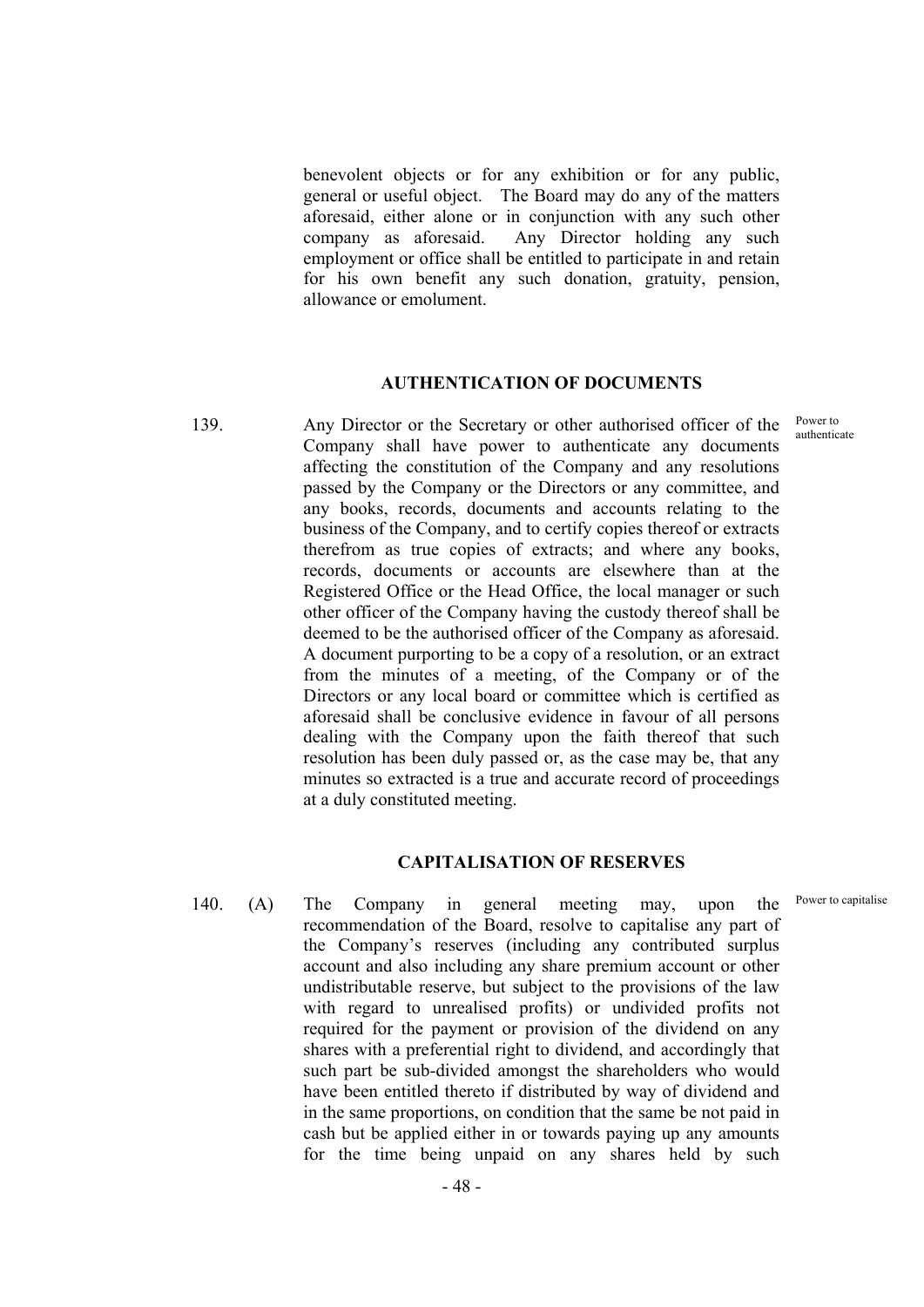benevolent objects or for any exhibition or for any public, general or useful object. The Board may do any of the matters aforesaid, either alone or in conjunction with any such other company as aforesaid. Any Director holding any such employment or office shall be entitled to participate in and retain for his own benefit any such donation, gratuity, pension, allowance or emolument.

# **AUTHENTICATION OF DOCUMENTS**

139. Any Director or the Secretary or other authorised officer of the Company shall have power to authenticate any documents affecting the constitution of the Company and any resolutions passed by the Company or the Directors or any committee, and any books, records, documents and accounts relating to the business of the Company, and to certify copies thereof or extracts therefrom as true copies of extracts; and where any books, records, documents or accounts are elsewhere than at the Registered Office or the Head Office, the local manager or such other officer of the Company having the custody thereof shall be deemed to be the authorised officer of the Company as aforesaid. A document purporting to be a copy of a resolution, or an extract from the minutes of a meeting, of the Company or of the Directors or any local board or committee which is certified as aforesaid shall be conclusive evidence in favour of all persons dealing with the Company upon the faith thereof that such resolution has been duly passed or, as the case may be, that any minutes so extracted is a true and accurate record of proceedings at a duly constituted meeting. Power to authenticate

# **CAPITALISATION OF RESERVES**

Power to capitalise

140. (A) The Company in general meeting may, upon the recommendation of the Board, resolve to capitalise any part of the Company's reserves (including any contributed surplus account and also including any share premium account or other undistributable reserve, but subject to the provisions of the law with regard to unrealised profits) or undivided profits not required for the payment or provision of the dividend on any shares with a preferential right to dividend, and accordingly that such part be sub-divided amongst the shareholders who would have been entitled thereto if distributed by way of dividend and in the same proportions, on condition that the same be not paid in cash but be applied either in or towards paying up any amounts for the time being unpaid on any shares held by such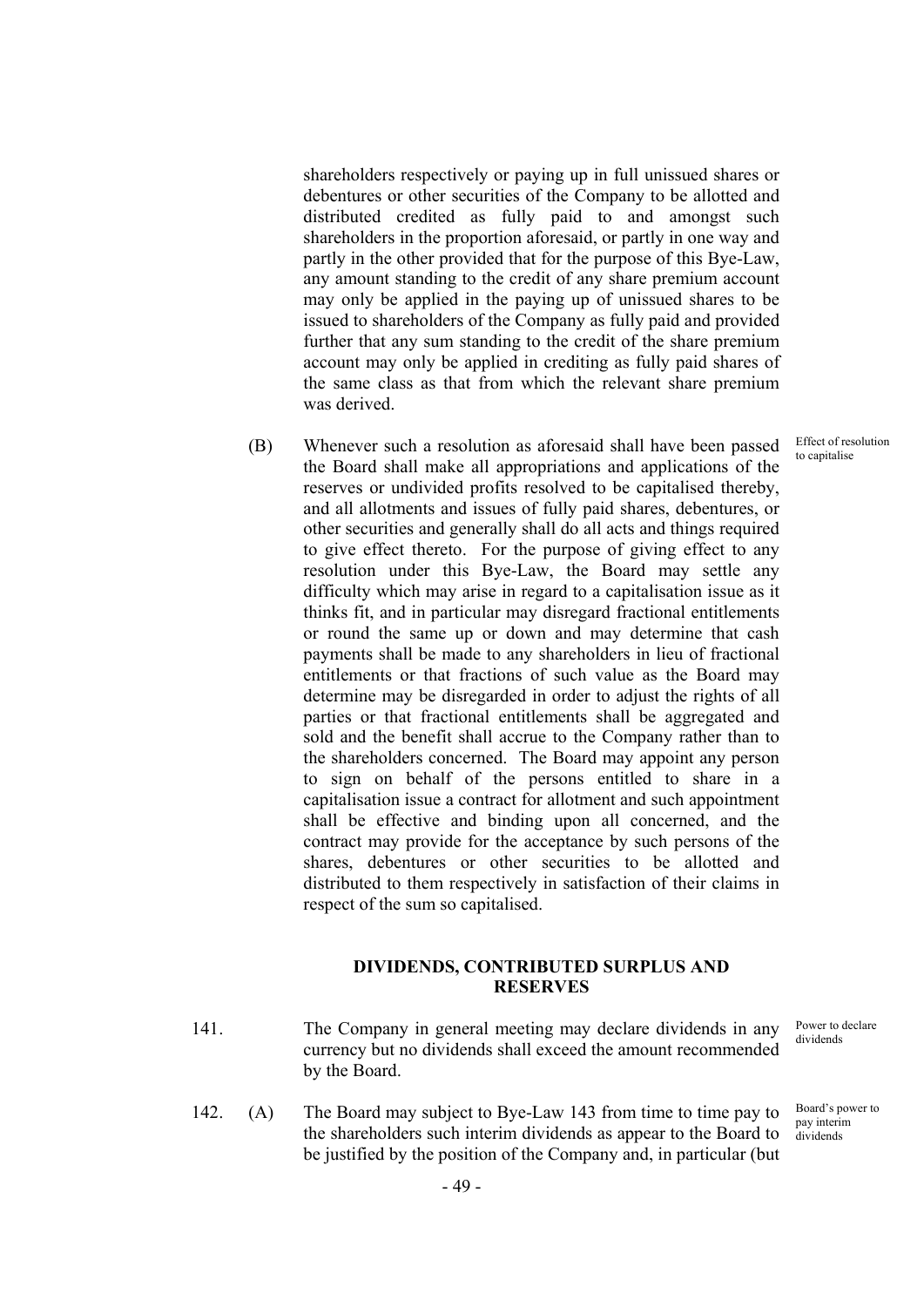shareholders respectively or paying up in full unissued shares or debentures or other securities of the Company to be allotted and distributed credited as fully paid to and amongst such shareholders in the proportion aforesaid, or partly in one way and partly in the other provided that for the purpose of this Bye-Law, any amount standing to the credit of any share premium account may only be applied in the paying up of unissued shares to be issued to shareholders of the Company as fully paid and provided further that any sum standing to the credit of the share premium account may only be applied in crediting as fully paid shares of the same class as that from which the relevant share premium was derived.

 (B) Whenever such a resolution as aforesaid shall have been passed the Board shall make all appropriations and applications of the reserves or undivided profits resolved to be capitalised thereby, and all allotments and issues of fully paid shares, debentures, or other securities and generally shall do all acts and things required to give effect thereto. For the purpose of giving effect to any resolution under this Bye-Law, the Board may settle any difficulty which may arise in regard to a capitalisation issue as it thinks fit, and in particular may disregard fractional entitlements or round the same up or down and may determine that cash payments shall be made to any shareholders in lieu of fractional entitlements or that fractions of such value as the Board may determine may be disregarded in order to adjust the rights of all parties or that fractional entitlements shall be aggregated and sold and the benefit shall accrue to the Company rather than to the shareholders concerned. The Board may appoint any person to sign on behalf of the persons entitled to share in a capitalisation issue a contract for allotment and such appointment shall be effective and binding upon all concerned, and the contract may provide for the acceptance by such persons of the shares, debentures or other securities to be allotted and distributed to them respectively in satisfaction of their claims in respect of the sum so capitalised.

# **DIVIDENDS, CONTRIBUTED SURPLUS AND RESERVES**

- 141. The Company in general meeting may declare dividends in any currency but no dividends shall exceed the amount recommended by the Board.
- 142. (A) The Board may subject to Bye-Law 143 from time to time pay to the shareholders such interim dividends as appear to the Board to be justified by the position of the Company and, in particular (but

Power to declare dividends

Effect of resolution to capitalise

Board's power to pay interim dividends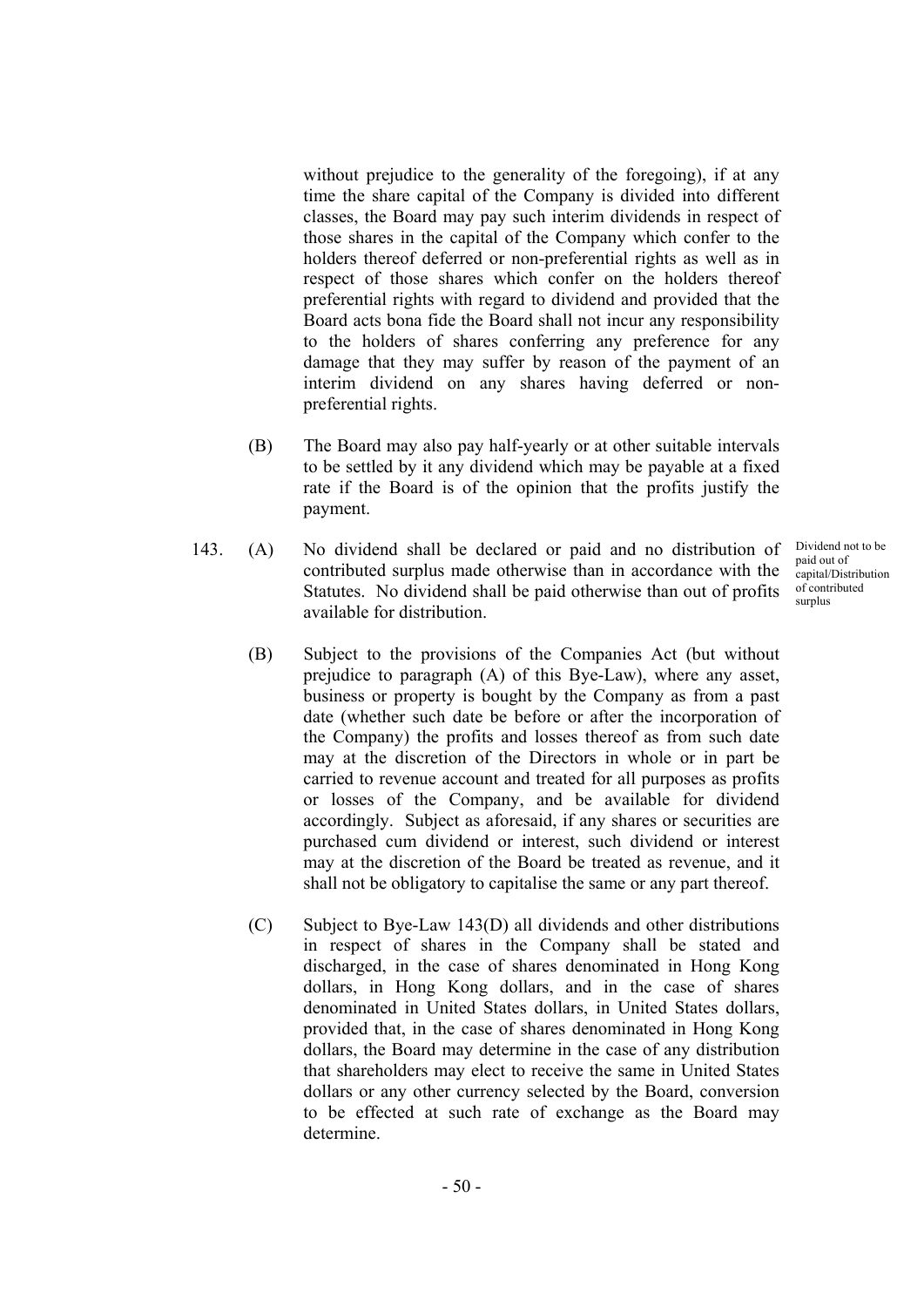without prejudice to the generality of the foregoing), if at any time the share capital of the Company is divided into different classes, the Board may pay such interim dividends in respect of those shares in the capital of the Company which confer to the holders thereof deferred or non-preferential rights as well as in respect of those shares which confer on the holders thereof preferential rights with regard to dividend and provided that the Board acts bona fide the Board shall not incur any responsibility to the holders of shares conferring any preference for any damage that they may suffer by reason of the payment of an interim dividend on any shares having deferred or nonpreferential rights.

- (B) The Board may also pay half-yearly or at other suitable intervals to be settled by it any dividend which may be payable at a fixed rate if the Board is of the opinion that the profits justify the payment.
- 143. (A) No dividend shall be declared or paid and no distribution of contributed surplus made otherwise than in accordance with the Statutes. No dividend shall be paid otherwise than out of profits available for distribution.
	- (B) Subject to the provisions of the Companies Act (but without prejudice to paragraph (A) of this Bye-Law), where any asset, business or property is bought by the Company as from a past date (whether such date be before or after the incorporation of the Company) the profits and losses thereof as from such date may at the discretion of the Directors in whole or in part be carried to revenue account and treated for all purposes as profits or losses of the Company, and be available for dividend accordingly. Subject as aforesaid, if any shares or securities are purchased cum dividend or interest, such dividend or interest may at the discretion of the Board be treated as revenue, and it shall not be obligatory to capitalise the same or any part thereof.
	- (C) Subject to Bye-Law 143(D) all dividends and other distributions in respect of shares in the Company shall be stated and discharged, in the case of shares denominated in Hong Kong dollars, in Hong Kong dollars, and in the case of shares denominated in United States dollars, in United States dollars, provided that, in the case of shares denominated in Hong Kong dollars, the Board may determine in the case of any distribution that shareholders may elect to receive the same in United States dollars or any other currency selected by the Board, conversion to be effected at such rate of exchange as the Board may determine.

Dividend not to be paid out of capital/Distribution of contributed surplus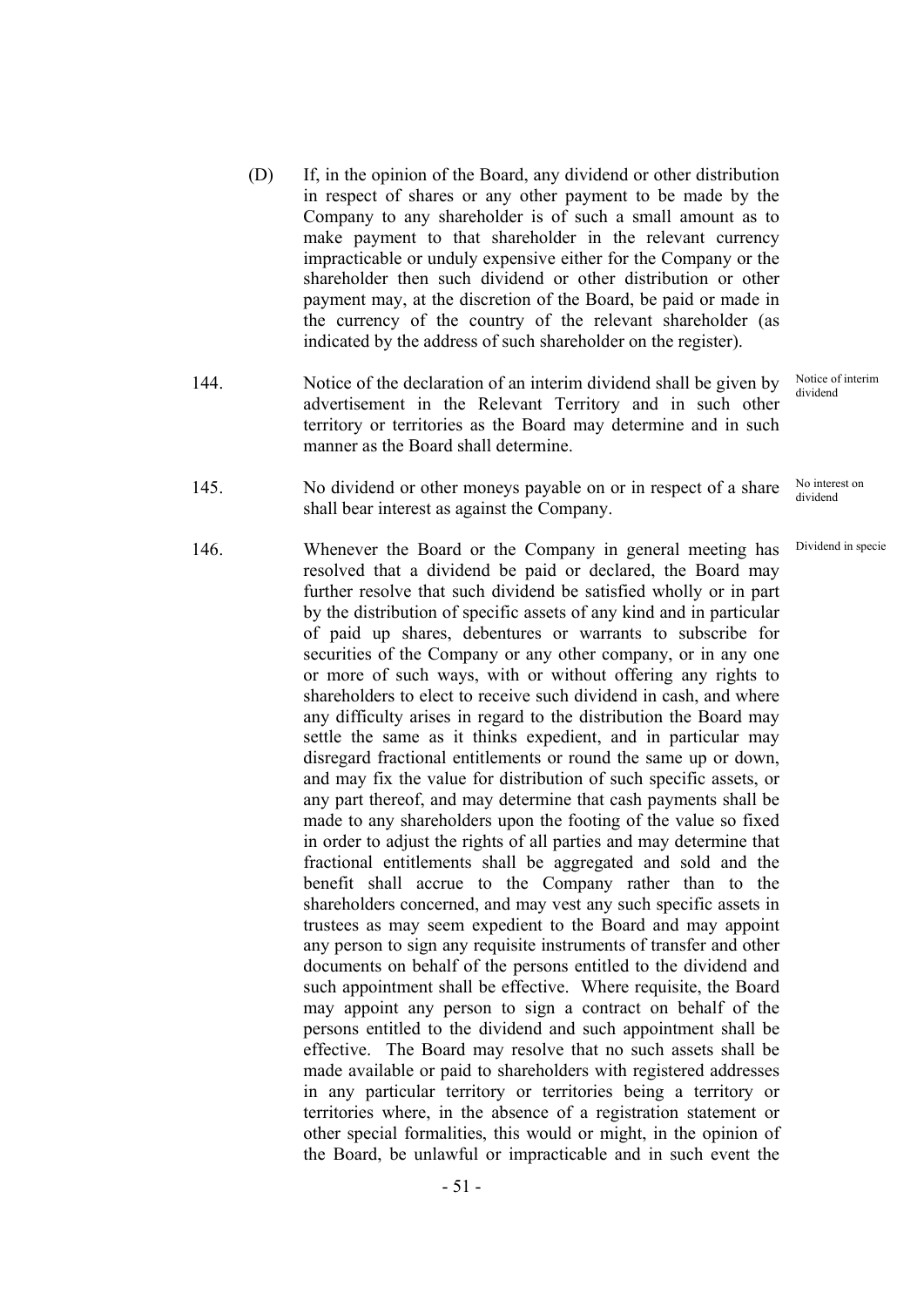- (D) If, in the opinion of the Board, any dividend or other distribution in respect of shares or any other payment to be made by the Company to any shareholder is of such a small amount as to make payment to that shareholder in the relevant currency impracticable or unduly expensive either for the Company or the shareholder then such dividend or other distribution or other payment may, at the discretion of the Board, be paid or made in the currency of the country of the relevant shareholder (as indicated by the address of such shareholder on the register).
- 144. Notice of the declaration of an interim dividend shall be given by advertisement in the Relevant Territory and in such other territory or territories as the Board may determine and in such manner as the Board shall determine.
- 145. No dividend or other moneys payable on or in respect of a share shall bear interest as against the Company.
- 146. Whenever the Board or the Company in general meeting has resolved that a dividend be paid or declared, the Board may further resolve that such dividend be satisfied wholly or in part by the distribution of specific assets of any kind and in particular of paid up shares, debentures or warrants to subscribe for securities of the Company or any other company, or in any one or more of such ways, with or without offering any rights to shareholders to elect to receive such dividend in cash, and where any difficulty arises in regard to the distribution the Board may settle the same as it thinks expedient, and in particular may disregard fractional entitlements or round the same up or down, and may fix the value for distribution of such specific assets, or any part thereof, and may determine that cash payments shall be made to any shareholders upon the footing of the value so fixed in order to adjust the rights of all parties and may determine that fractional entitlements shall be aggregated and sold and the benefit shall accrue to the Company rather than to the shareholders concerned, and may vest any such specific assets in trustees as may seem expedient to the Board and may appoint any person to sign any requisite instruments of transfer and other documents on behalf of the persons entitled to the dividend and such appointment shall be effective. Where requisite, the Board may appoint any person to sign a contract on behalf of the persons entitled to the dividend and such appointment shall be effective. The Board may resolve that no such assets shall be made available or paid to shareholders with registered addresses in any particular territory or territories being a territory or territories where, in the absence of a registration statement or other special formalities, this would or might, in the opinion of the Board, be unlawful or impracticable and in such event the

Notice of interim dividend

No interest on dividend

Dividend in specie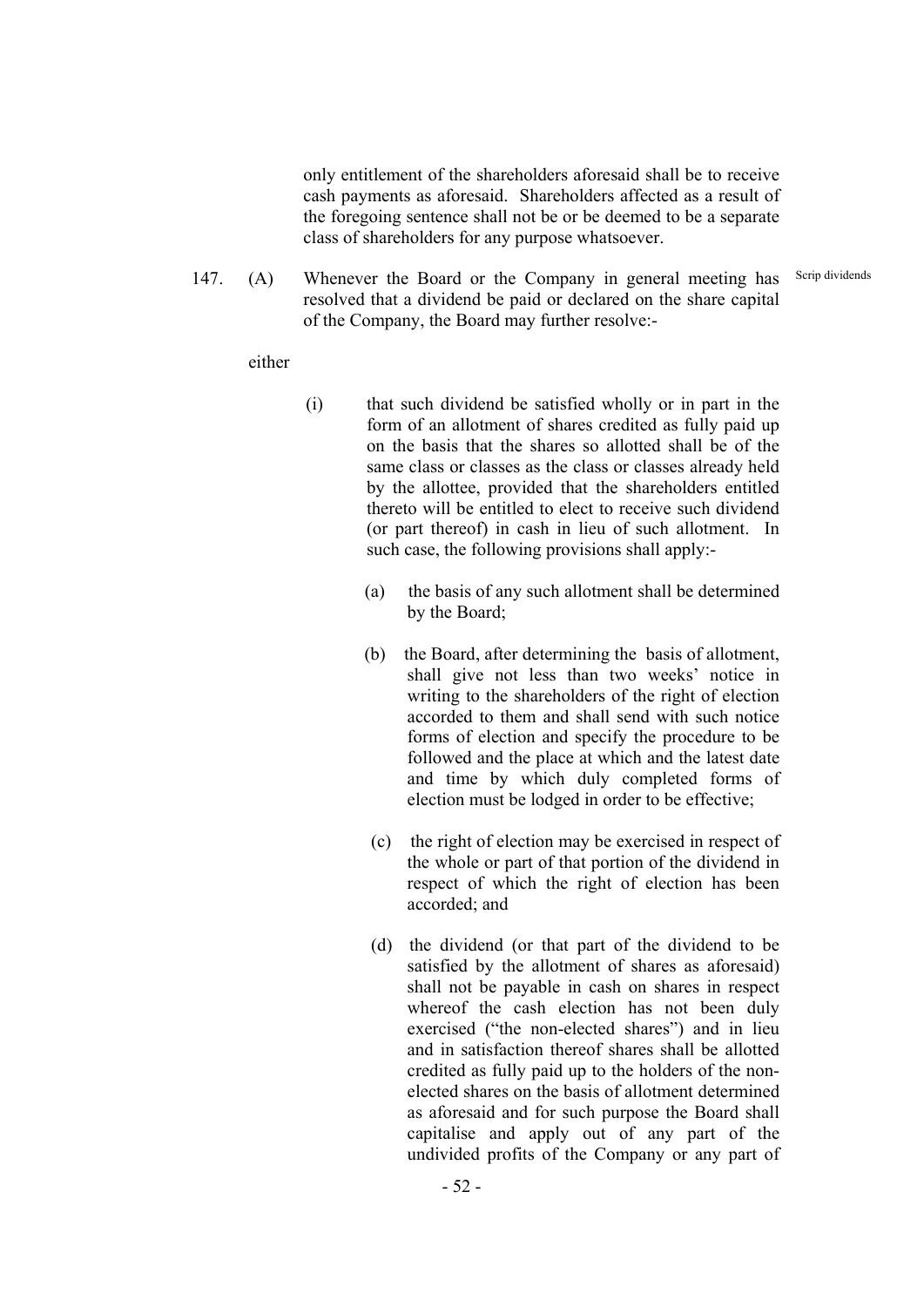only entitlement of the shareholders aforesaid shall be to receive cash payments as aforesaid. Shareholders affected as a result of the foregoing sentence shall not be or be deemed to be a separate class of shareholders for any purpose whatsoever.

147. (A) Whenever the Board or the Company in general meeting has resolved that a dividend be paid or declared on the share capital of the Company, the Board may further resolve:- Scrip dividends

### either

- (i) that such dividend be satisfied wholly or in part in the form of an allotment of shares credited as fully paid up on the basis that the shares so allotted shall be of the same class or classes as the class or classes already held by the allottee, provided that the shareholders entitled thereto will be entitled to elect to receive such dividend (or part thereof) in cash in lieu of such allotment. In such case, the following provisions shall apply:-
	- (a) the basis of any such allotment shall be determined by the Board;
	- (b) the Board, after determining the basis of allotment, shall give not less than two weeks' notice in writing to the shareholders of the right of election accorded to them and shall send with such notice forms of election and specify the procedure to be followed and the place at which and the latest date and time by which duly completed forms of election must be lodged in order to be effective;
	- (c) the right of election may be exercised in respect of the whole or part of that portion of the dividend in respect of which the right of election has been accorded; and
	- (d) the dividend (or that part of the dividend to be satisfied by the allotment of shares as aforesaid) shall not be payable in cash on shares in respect whereof the cash election has not been duly exercised ("the non-elected shares") and in lieu and in satisfaction thereof shares shall be allotted credited as fully paid up to the holders of the nonelected shares on the basis of allotment determined as aforesaid and for such purpose the Board shall capitalise and apply out of any part of the undivided profits of the Company or any part of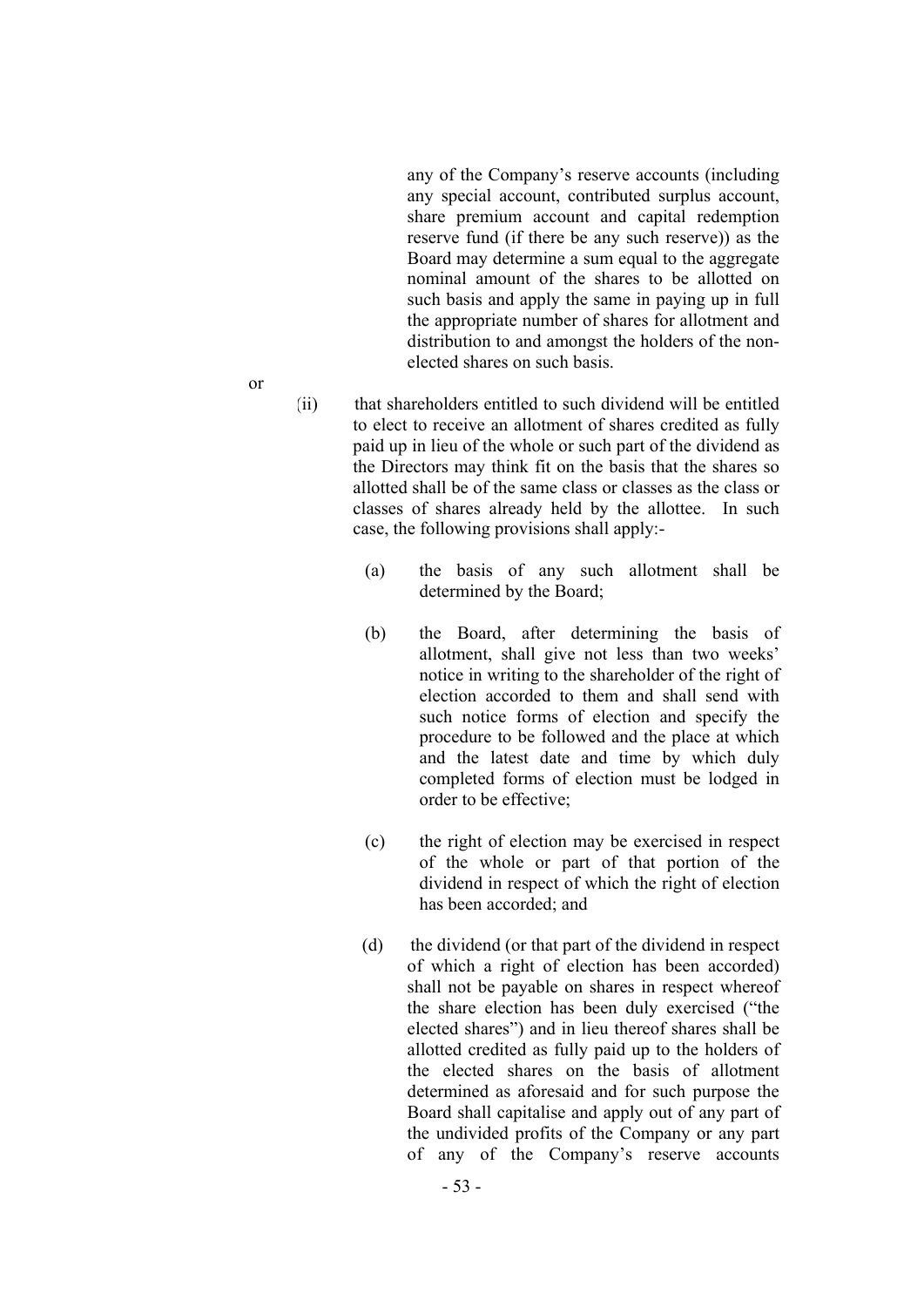any of the Company's reserve accounts (including any special account, contributed surplus account, share premium account and capital redemption reserve fund (if there be any such reserve)) as the Board may determine a sum equal to the aggregate nominal amount of the shares to be allotted on such basis and apply the same in paying up in full the appropriate number of shares for allotment and distribution to and amongst the holders of the nonelected shares on such basis.

- (ii) that shareholders entitled to such dividend will be entitled to elect to receive an allotment of shares credited as fully paid up in lieu of the whole or such part of the dividend as the Directors may think fit on the basis that the shares so allotted shall be of the same class or classes as the class or classes of shares already held by the allottee. In such case, the following provisions shall apply:-
	- (a) the basis of any such allotment shall be determined by the Board;
	- (b) the Board, after determining the basis of allotment, shall give not less than two weeks' notice in writing to the shareholder of the right of election accorded to them and shall send with such notice forms of election and specify the procedure to be followed and the place at which and the latest date and time by which duly completed forms of election must be lodged in order to be effective;
	- (c) the right of election may be exercised in respect of the whole or part of that portion of the dividend in respect of which the right of election has been accorded; and
	- (d) the dividend (or that part of the dividend in respect of which a right of election has been accorded) shall not be payable on shares in respect whereof the share election has been duly exercised ("the elected shares") and in lieu thereof shares shall be allotted credited as fully paid up to the holders of the elected shares on the basis of allotment determined as aforesaid and for such purpose the Board shall capitalise and apply out of any part of the undivided profits of the Company or any part of any of the Company's reserve accounts

or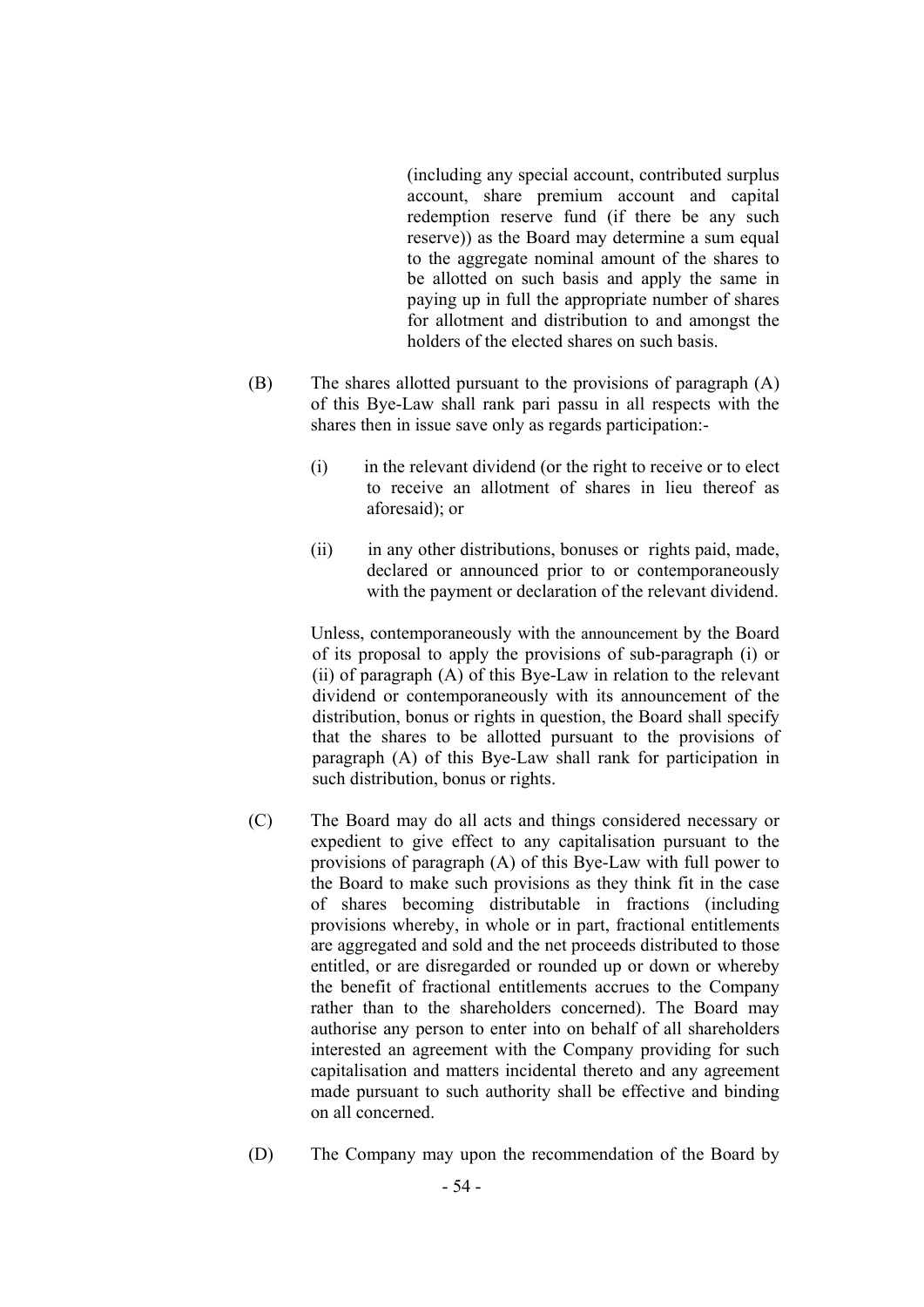(including any special account, contributed surplus account, share premium account and capital redemption reserve fund (if there be any such reserve)) as the Board may determine a sum equal to the aggregate nominal amount of the shares to be allotted on such basis and apply the same in paying up in full the appropriate number of shares for allotment and distribution to and amongst the holders of the elected shares on such basis.

- (B) The shares allotted pursuant to the provisions of paragraph (A) of this Bye-Law shall rank pari passu in all respects with the shares then in issue save only as regards participation:-
	- (i) in the relevant dividend (or the right to receive or to elect to receive an allotment of shares in lieu thereof as aforesaid); or
	- (ii) in any other distributions, bonuses or rights paid, made, declared or announced prior to or contemporaneously with the payment or declaration of the relevant dividend.

 Unless, contemporaneously with the announcement by the Board of its proposal to apply the provisions of sub-paragraph (i) or (ii) of paragraph (A) of this Bye-Law in relation to the relevant dividend or contemporaneously with its announcement of the distribution, bonus or rights in question, the Board shall specify that the shares to be allotted pursuant to the provisions of paragraph (A) of this Bye-Law shall rank for participation in such distribution, bonus or rights.

- (C) The Board may do all acts and things considered necessary or expedient to give effect to any capitalisation pursuant to the provisions of paragraph (A) of this Bye-Law with full power to the Board to make such provisions as they think fit in the case of shares becoming distributable in fractions (including provisions whereby, in whole or in part, fractional entitlements are aggregated and sold and the net proceeds distributed to those entitled, or are disregarded or rounded up or down or whereby the benefit of fractional entitlements accrues to the Company rather than to the shareholders concerned). The Board may authorise any person to enter into on behalf of all shareholders interested an agreement with the Company providing for such capitalisation and matters incidental thereto and any agreement made pursuant to such authority shall be effective and binding on all concerned.
- (D) The Company may upon the recommendation of the Board by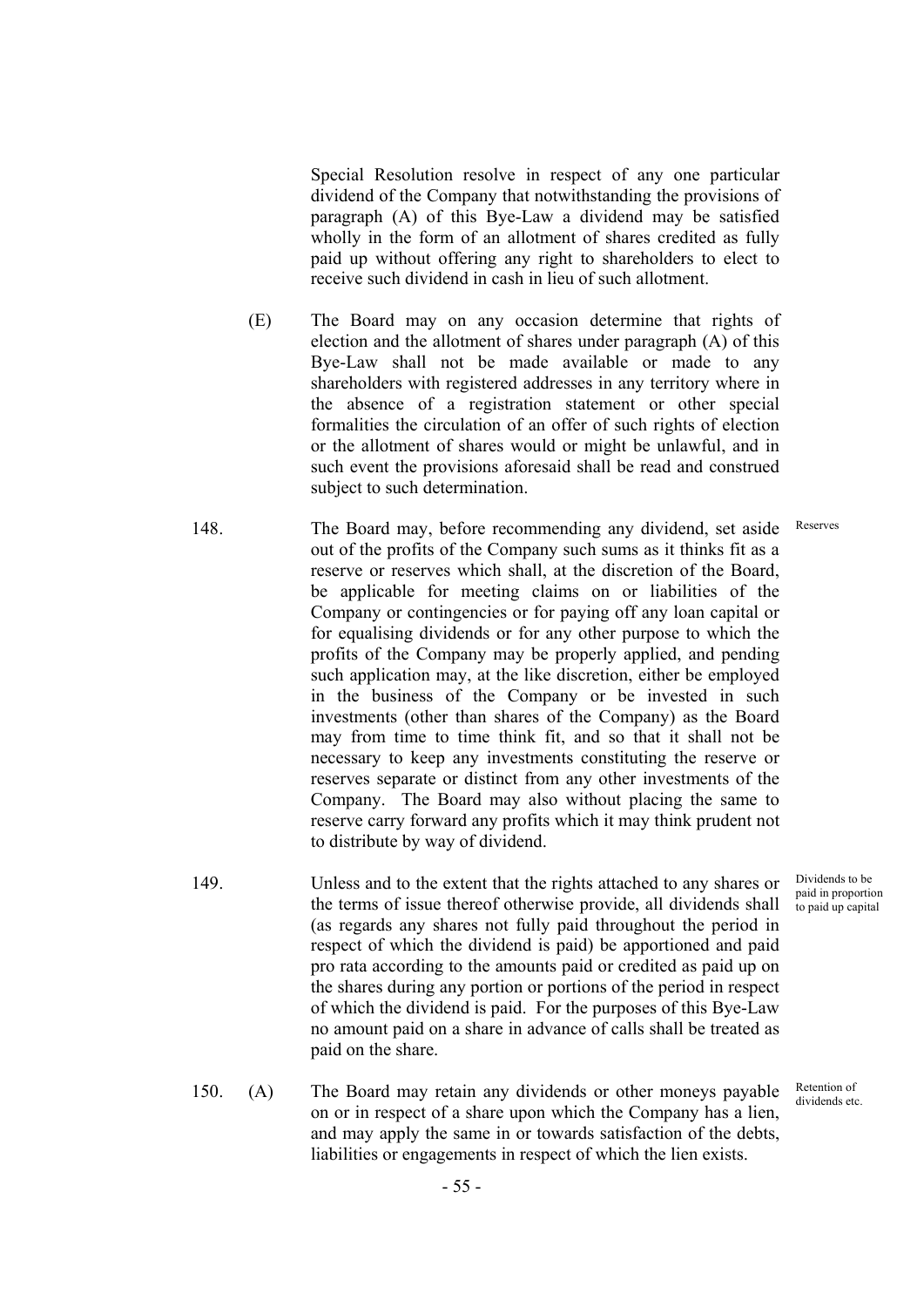Special Resolution resolve in respect of any one particular dividend of the Company that notwithstanding the provisions of paragraph (A) of this Bye-Law a dividend may be satisfied wholly in the form of an allotment of shares credited as fully paid up without offering any right to shareholders to elect to receive such dividend in cash in lieu of such allotment.

- (E) The Board may on any occasion determine that rights of election and the allotment of shares under paragraph (A) of this Bye-Law shall not be made available or made to any shareholders with registered addresses in any territory where in the absence of a registration statement or other special formalities the circulation of an offer of such rights of election or the allotment of shares would or might be unlawful, and in such event the provisions aforesaid shall be read and construed subject to such determination.
- 148. The Board may, before recommending any dividend, set aside out of the profits of the Company such sums as it thinks fit as a reserve or reserves which shall, at the discretion of the Board, be applicable for meeting claims on or liabilities of the Company or contingencies or for paying off any loan capital or for equalising dividends or for any other purpose to which the profits of the Company may be properly applied, and pending such application may, at the like discretion, either be employed in the business of the Company or be invested in such investments (other than shares of the Company) as the Board may from time to time think fit, and so that it shall not be necessary to keep any investments constituting the reserve or reserves separate or distinct from any other investments of the Company. The Board may also without placing the same to reserve carry forward any profits which it may think prudent not to distribute by way of dividend. Reserves
- 149. Unless and to the extent that the rights attached to any shares or the terms of issue thereof otherwise provide, all dividends shall (as regards any shares not fully paid throughout the period in respect of which the dividend is paid) be apportioned and paid pro rata according to the amounts paid or credited as paid up on the shares during any portion or portions of the period in respect of which the dividend is paid. For the purposes of this Bye-Law no amount paid on a share in advance of calls shall be treated as paid on the share.
- 150. (A) The Board may retain any dividends or other moneys payable on or in respect of a share upon which the Company has a lien, and may apply the same in or towards satisfaction of the debts, liabilities or engagements in respect of which the lien exists.

Dividends to be paid in proportion to paid up capital

Retention of dividends etc.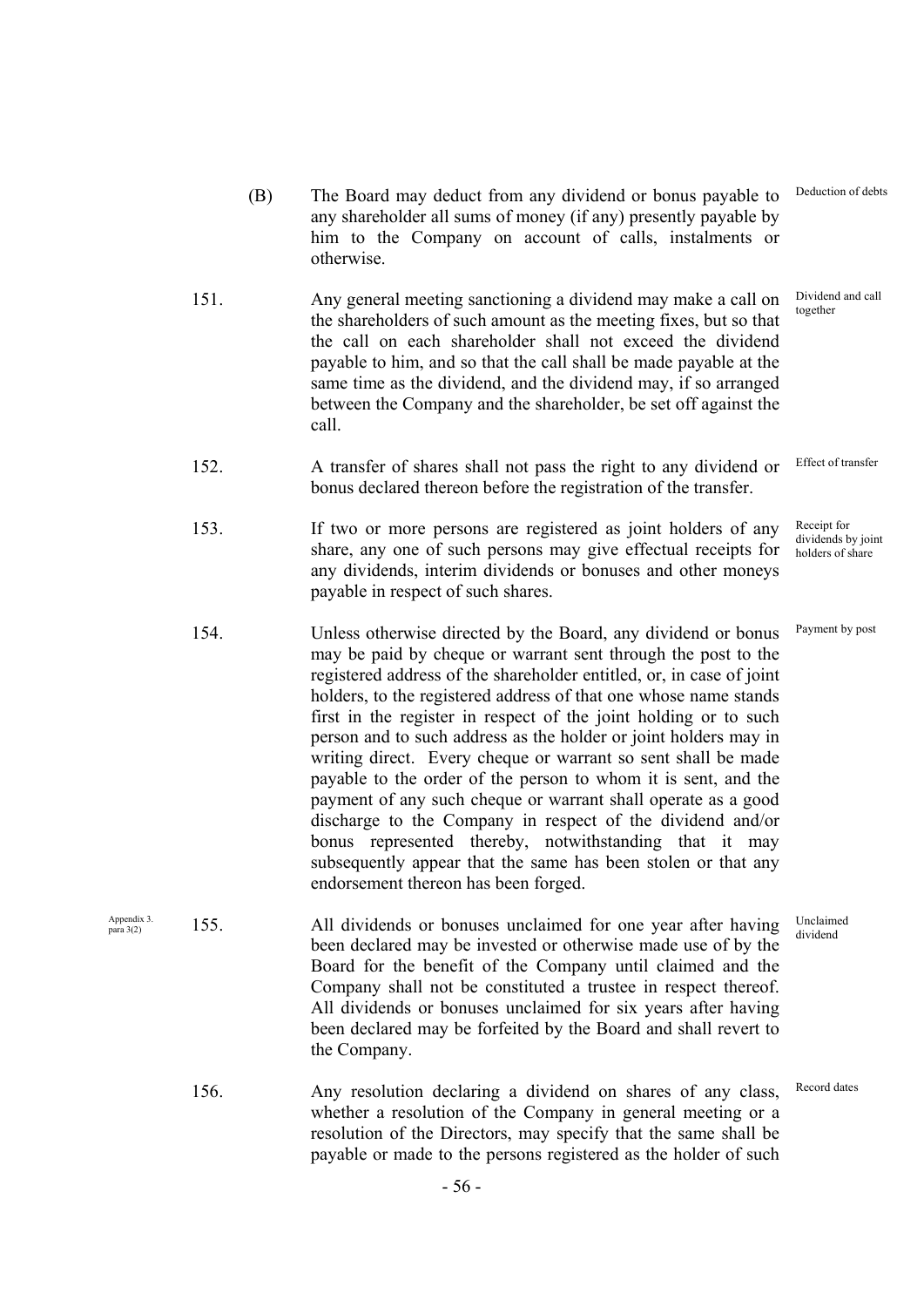|                          |      | (B) | The Board may deduct from any dividend or bonus payable to<br>any shareholder all sums of money (if any) presently payable by<br>him to the Company on account of calls, instalments or<br>otherwise.                                                                                                                                                                                                                                                                                                                                                                                                                                                                                                                                                                                                                                                   | Deduction of debts                                    |
|--------------------------|------|-----|---------------------------------------------------------------------------------------------------------------------------------------------------------------------------------------------------------------------------------------------------------------------------------------------------------------------------------------------------------------------------------------------------------------------------------------------------------------------------------------------------------------------------------------------------------------------------------------------------------------------------------------------------------------------------------------------------------------------------------------------------------------------------------------------------------------------------------------------------------|-------------------------------------------------------|
|                          | 151. |     | Any general meeting sanctioning a dividend may make a call on<br>the shareholders of such amount as the meeting fixes, but so that<br>the call on each shareholder shall not exceed the dividend<br>payable to him, and so that the call shall be made payable at the<br>same time as the dividend, and the dividend may, if so arranged<br>between the Company and the shareholder, be set off against the<br>call.                                                                                                                                                                                                                                                                                                                                                                                                                                    | Dividend and call<br>together                         |
|                          | 152. |     | A transfer of shares shall not pass the right to any dividend or<br>bonus declared thereon before the registration of the transfer.                                                                                                                                                                                                                                                                                                                                                                                                                                                                                                                                                                                                                                                                                                                     | Effect of transfer                                    |
|                          | 153. |     | If two or more persons are registered as joint holders of any<br>share, any one of such persons may give effectual receipts for<br>any dividends, interim dividends or bonuses and other moneys<br>payable in respect of such shares.                                                                                                                                                                                                                                                                                                                                                                                                                                                                                                                                                                                                                   | Receipt for<br>dividends by joint<br>holders of share |
|                          | 154. |     | Unless otherwise directed by the Board, any dividend or bonus<br>may be paid by cheque or warrant sent through the post to the<br>registered address of the shareholder entitled, or, in case of joint<br>holders, to the registered address of that one whose name stands<br>first in the register in respect of the joint holding or to such<br>person and to such address as the holder or joint holders may in<br>writing direct. Every cheque or warrant so sent shall be made<br>payable to the order of the person to whom it is sent, and the<br>payment of any such cheque or warrant shall operate as a good<br>discharge to the Company in respect of the dividend and/or<br>bonus represented thereby, notwithstanding that it may<br>subsequently appear that the same has been stolen or that any<br>endorsement thereon has been forged. | Payment by post                                       |
| Appendix 3.<br>para 3(2) | 155. |     | All dividends or bonuses unclaimed for one year after having<br>been declared may be invested or otherwise made use of by the<br>Board for the benefit of the Company until claimed and the<br>Company shall not be constituted a trustee in respect thereof.<br>All dividends or bonuses unclaimed for six years after having<br>been declared may be forfeited by the Board and shall revert to<br>the Company.                                                                                                                                                                                                                                                                                                                                                                                                                                       | Unclaimed<br>dividend                                 |
|                          | 156. |     | Any resolution declaring a dividend on shares of any class,<br>whether a resolution of the Company in general meeting or a<br>resolution of the Directors, may specify that the same shall be<br>payable or made to the persons registered as the holder of such                                                                                                                                                                                                                                                                                                                                                                                                                                                                                                                                                                                        | Record dates                                          |

Appendix 3.<br>para 3(2)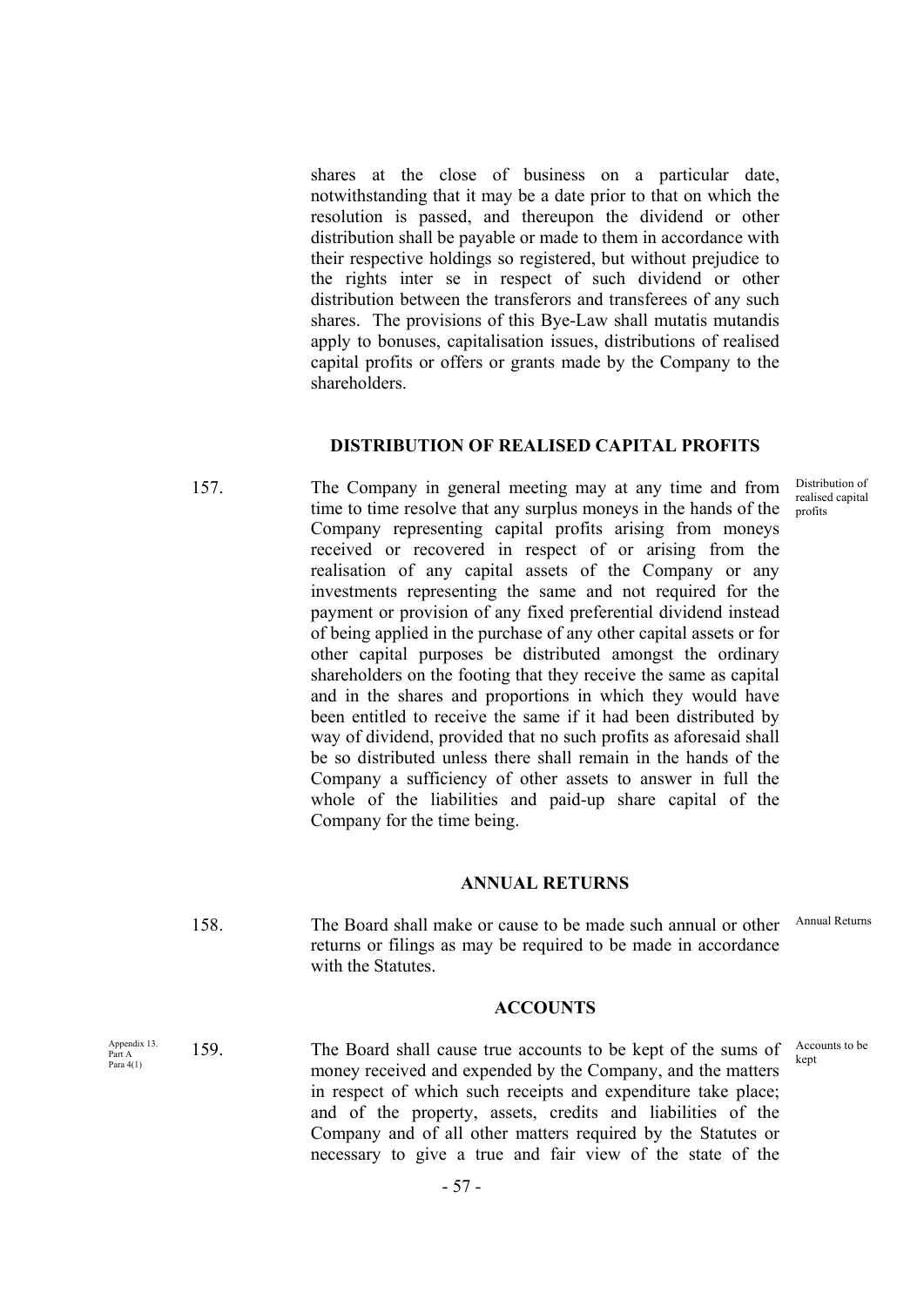shares at the close of business on a particular date, notwithstanding that it may be a date prior to that on which the resolution is passed, and thereupon the dividend or other distribution shall be payable or made to them in accordance with their respective holdings so registered, but without prejudice to the rights inter se in respect of such dividend or other distribution between the transferors and transferees of any such shares. The provisions of this Bye-Law shall mutatis mutandis apply to bonuses, capitalisation issues, distributions of realised capital profits or offers or grants made by the Company to the shareholders.

#### **DISTRIBUTION OF REALISED CAPITAL PROFITS**

157. The Company in general meeting may at any time and from time to time resolve that any surplus moneys in the hands of the Company representing capital profits arising from moneys received or recovered in respect of or arising from the realisation of any capital assets of the Company or any investments representing the same and not required for the payment or provision of any fixed preferential dividend instead of being applied in the purchase of any other capital assets or for other capital purposes be distributed amongst the ordinary shareholders on the footing that they receive the same as capital and in the shares and proportions in which they would have been entitled to receive the same if it had been distributed by way of dividend, provided that no such profits as aforesaid shall be so distributed unless there shall remain in the hands of the Company a sufficiency of other assets to answer in full the whole of the liabilities and paid-up share capital of the Company for the time being.

### **ANNUAL RETURNS**

158. The Board shall make or cause to be made such annual or other returns or filings as may be required to be made in accordance with the Statutes Annual Returns

#### **ACCOUNTS**

 Appendix 13. Part A 159. The Board shall cause true accounts to be kept of the sums of money received and expended by the Company, and the matters in respect of which such receipts and expenditure take place; and of the property, assets, credits and liabilities of the Company and of all other matters required by the Statutes or necessary to give a true and fair view of the state of the kept

Para 4(1)

Distribution of realised capital profits

Accounts to be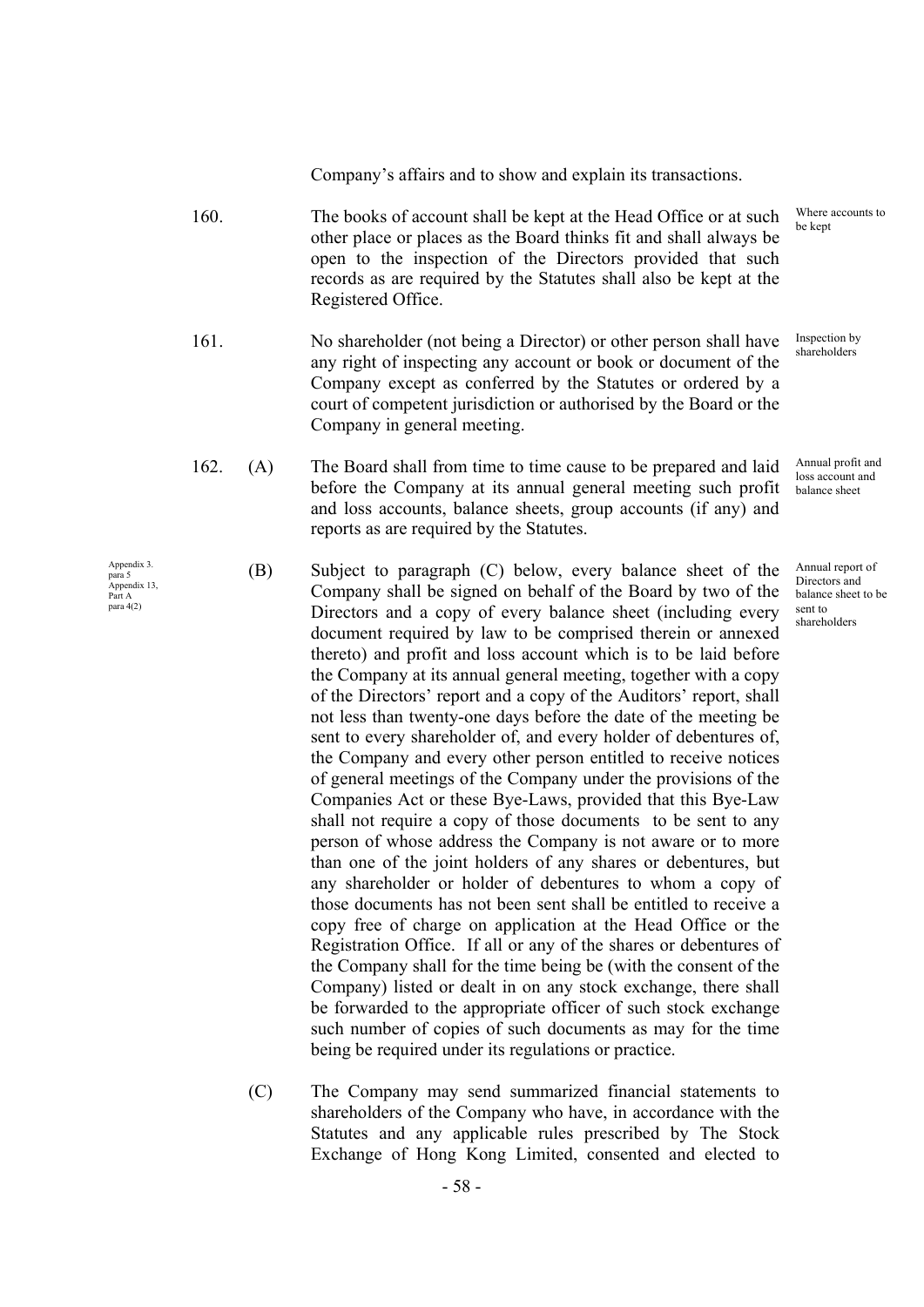Company's affairs and to show and explain its transactions.

- 160. The books of account shall be kept at the Head Office or at such other place or places as the Board thinks fit and shall always be open to the inspection of the Directors provided that such records as are required by the Statutes shall also be kept at the Registered Office. be kept
- 161. No shareholder (not being a Director) or other person shall have any right of inspecting any account or book or document of the Company except as conferred by the Statutes or ordered by a court of competent jurisdiction or authorised by the Board or the Company in general meeting.
- 162. (A) The Board shall from time to time cause to be prepared and laid before the Company at its annual general meeting such profit and loss accounts, balance sheets, group accounts (if any) and reports as are required by the Statutes.
	- (B) Subject to paragraph (C) below, every balance sheet of the Company shall be signed on behalf of the Board by two of the Directors and a copy of every balance sheet (including every document required by law to be comprised therein or annexed thereto) and profit and loss account which is to be laid before the Company at its annual general meeting, together with a copy of the Directors' report and a copy of the Auditors' report, shall not less than twenty-one days before the date of the meeting be sent to every shareholder of, and every holder of debentures of, the Company and every other person entitled to receive notices of general meetings of the Company under the provisions of the Companies Act or these Bye-Laws, provided that this Bye-Law shall not require a copy of those documents to be sent to any person of whose address the Company is not aware or to more than one of the joint holders of any shares or debentures, but any shareholder or holder of debentures to whom a copy of those documents has not been sent shall be entitled to receive a copy free of charge on application at the Head Office or the Registration Office. If all or any of the shares or debentures of the Company shall for the time being be (with the consent of the Company) listed or dealt in on any stock exchange, there shall be forwarded to the appropriate officer of such stock exchange such number of copies of such documents as may for the time being be required under its regulations or practice.
		- (C) The Company may send summarized financial statements to shareholders of the Company who have, in accordance with the Statutes and any applicable rules prescribed by The Stock Exchange of Hong Kong Limited, consented and elected to

 Appendix 3. para 5 Appendix 13, Part A  $para$  4(2)

Where accounts to

Inspection by shareholders

Annual profit and loss account and balance sheet

Annual report of Directors and balance sheet to be sent to shareholders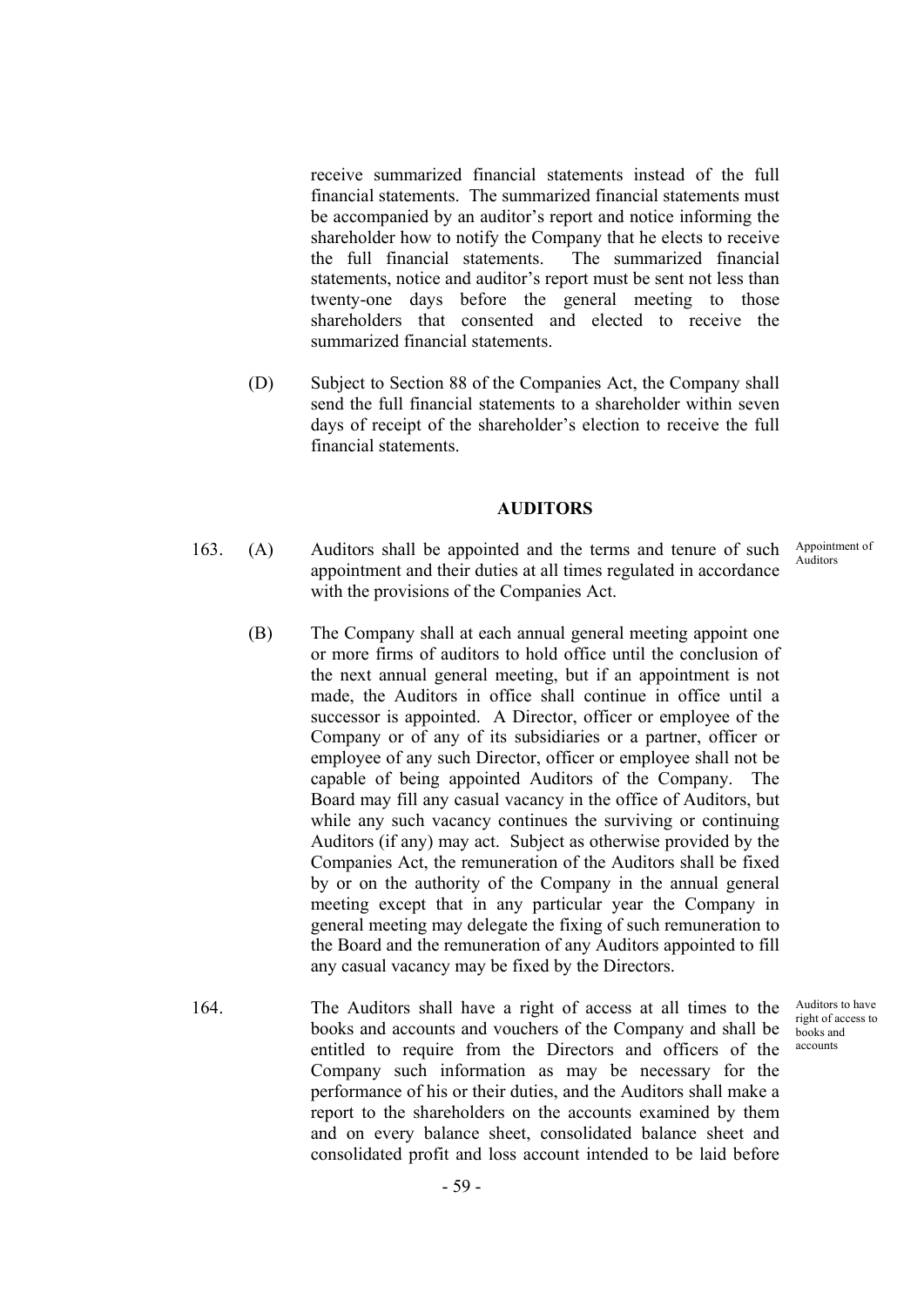receive summarized financial statements instead of the full financial statements. The summarized financial statements must be accompanied by an auditor's report and notice informing the shareholder how to notify the Company that he elects to receive the full financial statements. The summarized financial statements, notice and auditor's report must be sent not less than twenty-one days before the general meeting to those shareholders that consented and elected to receive the summarized financial statements.

 (D) Subject to Section 88 of the Companies Act, the Company shall send the full financial statements to a shareholder within seven days of receipt of the shareholder's election to receive the full financial statements.

### **AUDITORS**

- 163. (A) Auditors shall be appointed and the terms and tenure of such appointment and their duties at all times regulated in accordance with the provisions of the Companies Act. Appointment of Auditors
	- (B) The Company shall at each annual general meeting appoint one or more firms of auditors to hold office until the conclusion of the next annual general meeting, but if an appointment is not made, the Auditors in office shall continue in office until a successor is appointed. A Director, officer or employee of the Company or of any of its subsidiaries or a partner, officer or employee of any such Director, officer or employee shall not be capable of being appointed Auditors of the Company. The Board may fill any casual vacancy in the office of Auditors, but while any such vacancy continues the surviving or continuing Auditors (if any) may act. Subject as otherwise provided by the Companies Act, the remuneration of the Auditors shall be fixed by or on the authority of the Company in the annual general meeting except that in any particular year the Company in general meeting may delegate the fixing of such remuneration to the Board and the remuneration of any Auditors appointed to fill any casual vacancy may be fixed by the Directors.
- 164. The Auditors shall have a right of access at all times to the books and accounts and vouchers of the Company and shall be entitled to require from the Directors and officers of the Company such information as may be necessary for the performance of his or their duties, and the Auditors shall make a report to the shareholders on the accounts examined by them and on every balance sheet, consolidated balance sheet and consolidated profit and loss account intended to be laid before

Auditors to have right of access to books and accounts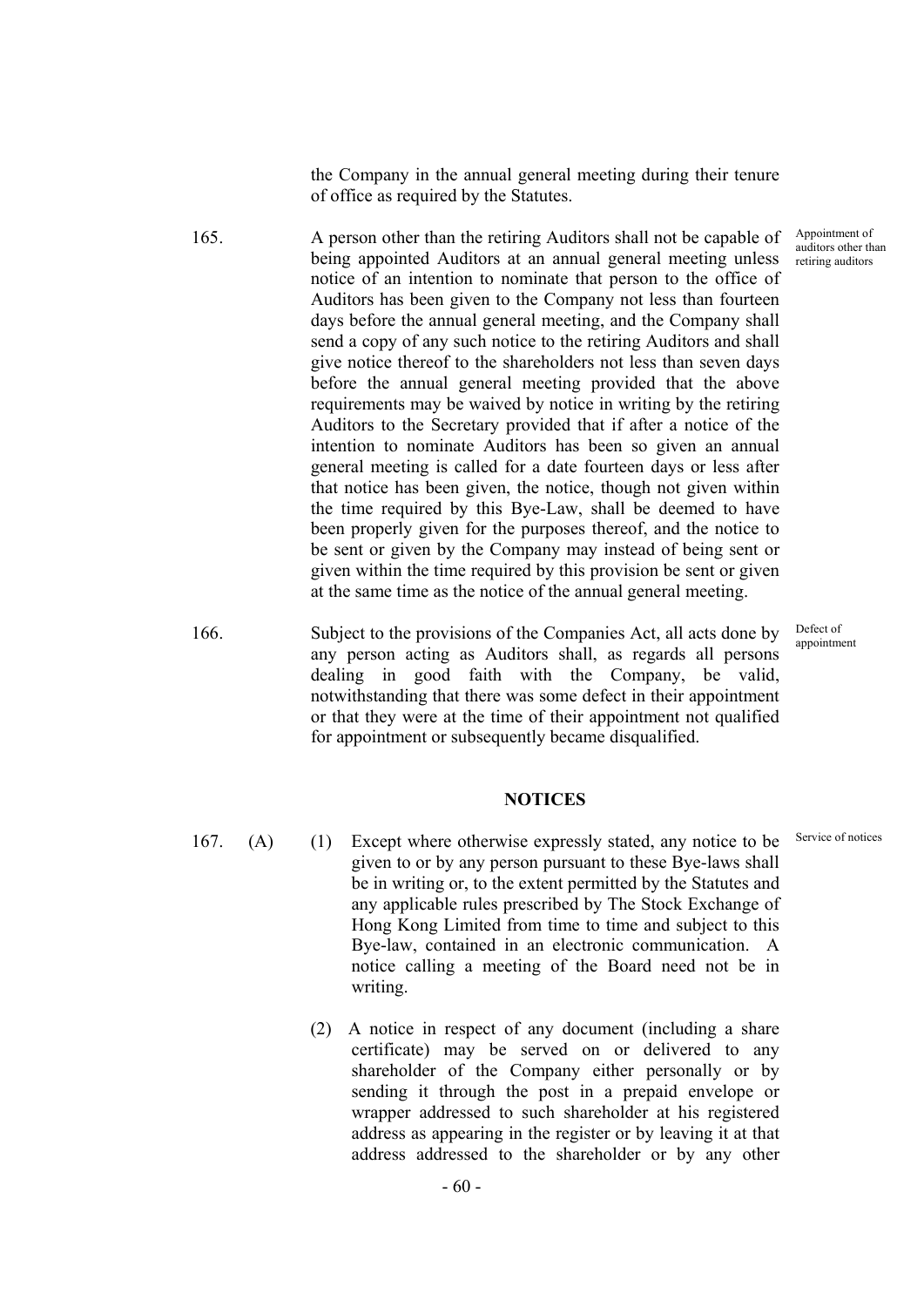the Company in the annual general meeting during their tenure of office as required by the Statutes.

- 165. A person other than the retiring Auditors shall not be capable of being appointed Auditors at an annual general meeting unless notice of an intention to nominate that person to the office of Auditors has been given to the Company not less than fourteen days before the annual general meeting, and the Company shall send a copy of any such notice to the retiring Auditors and shall give notice thereof to the shareholders not less than seven days before the annual general meeting provided that the above requirements may be waived by notice in writing by the retiring Auditors to the Secretary provided that if after a notice of the intention to nominate Auditors has been so given an annual general meeting is called for a date fourteen days or less after that notice has been given, the notice, though not given within the time required by this Bye-Law, shall be deemed to have been properly given for the purposes thereof, and the notice to be sent or given by the Company may instead of being sent or given within the time required by this provision be sent or given at the same time as the notice of the annual general meeting.
- 166. Subject to the provisions of the Companies Act, all acts done by any person acting as Auditors shall, as regards all persons dealing in good faith with the Company, be valid, notwithstanding that there was some defect in their appointment or that they were at the time of their appointment not qualified for appointment or subsequently became disqualified.

Appointment of auditors other than retiring auditors

Defect of appointment

# **NOTICES**

- 167. (A) (1) Except where otherwise expressly stated, any notice to be <sup>Service of notices</sup> given to or by any person pursuant to these Bye-laws shall be in writing or, to the extent permitted by the Statutes and any applicable rules prescribed by The Stock Exchange of Hong Kong Limited from time to time and subject to this Bye-law, contained in an electronic communication. A notice calling a meeting of the Board need not be in writing.
	- (2) A notice in respect of any document (including a share certificate) may be served on or delivered to any shareholder of the Company either personally or by sending it through the post in a prepaid envelope or wrapper addressed to such shareholder at his registered address as appearing in the register or by leaving it at that address addressed to the shareholder or by any other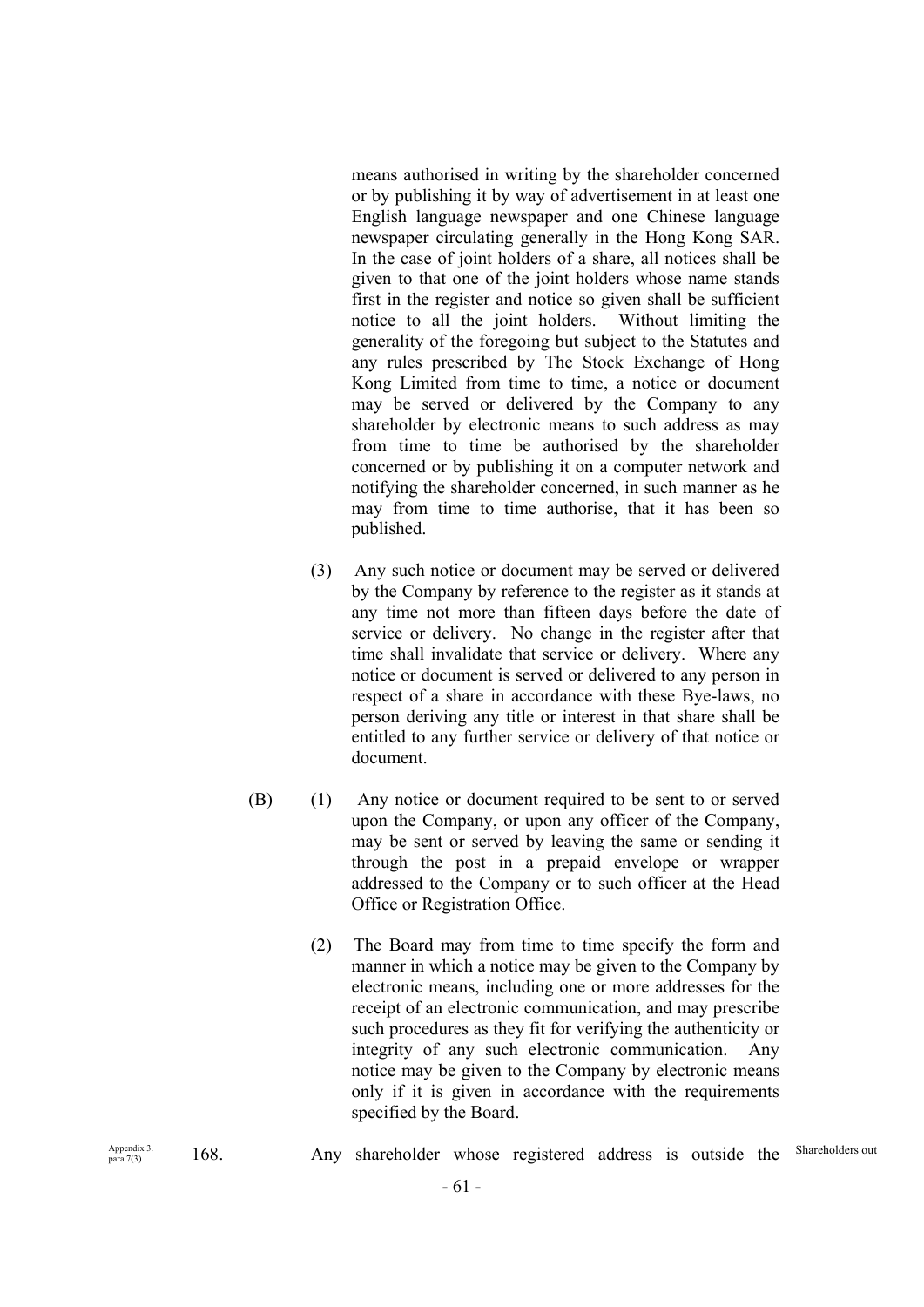means authorised in writing by the shareholder concerned or by publishing it by way of advertisement in at least one English language newspaper and one Chinese language newspaper circulating generally in the Hong Kong SAR. In the case of joint holders of a share, all notices shall be given to that one of the joint holders whose name stands first in the register and notice so given shall be sufficient notice to all the joint holders. Without limiting the generality of the foregoing but subject to the Statutes and any rules prescribed by The Stock Exchange of Hong Kong Limited from time to time, a notice or document may be served or delivered by the Company to any shareholder by electronic means to such address as may from time to time be authorised by the shareholder concerned or by publishing it on a computer network and notifying the shareholder concerned, in such manner as he may from time to time authorise, that it has been so published.

- (3) Any such notice or document may be served or delivered by the Company by reference to the register as it stands at any time not more than fifteen days before the date of service or delivery. No change in the register after that time shall invalidate that service or delivery. Where any notice or document is served or delivered to any person in respect of a share in accordance with these Bye-laws, no person deriving any title or interest in that share shall be entitled to any further service or delivery of that notice or document.
- (B) (1) Any notice or document required to be sent to or served upon the Company, or upon any officer of the Company, may be sent or served by leaving the same or sending it through the post in a prepaid envelope or wrapper addressed to the Company or to such officer at the Head Office or Registration Office.
	- (2) The Board may from time to time specify the form and manner in which a notice may be given to the Company by electronic means, including one or more addresses for the receipt of an electronic communication, and may prescribe such procedures as they fit for verifying the authenticity or integrity of any such electronic communication. Any notice may be given to the Company by electronic means only if it is given in accordance with the requirements specified by the Board.

| Appendix 3. $168$ .<br>para $7(3)$ |  | Any shareholder whose registered address is outside the Shareholders out |  |  |  |  |
|------------------------------------|--|--------------------------------------------------------------------------|--|--|--|--|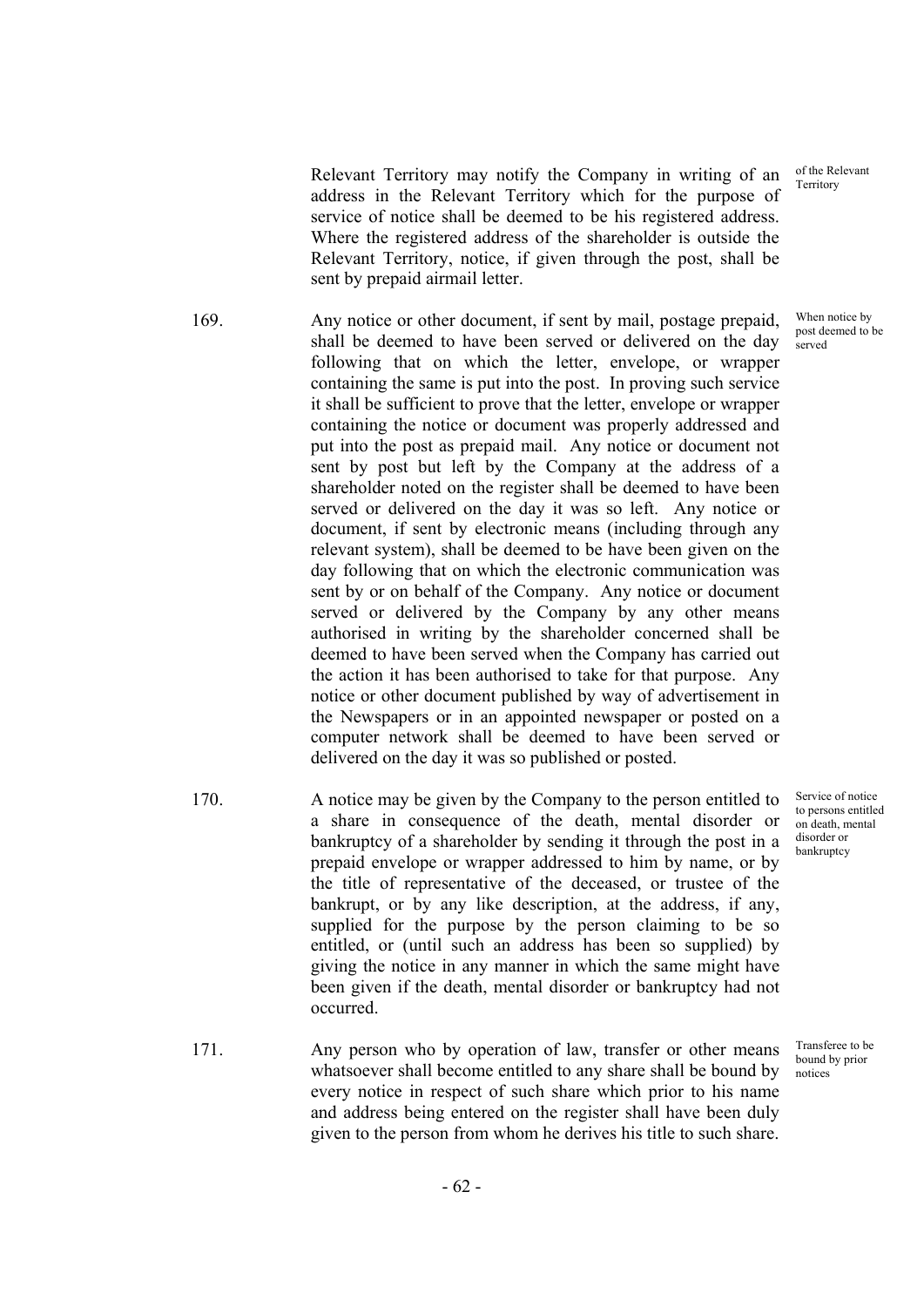Relevant Territory may notify the Company in writing of an address in the Relevant Territory which for the purpose of service of notice shall be deemed to be his registered address. Where the registered address of the shareholder is outside the Relevant Territory, notice, if given through the post, shall be sent by prepaid airmail letter.

169. Any notice or other document, if sent by mail, postage prepaid, shall be deemed to have been served or delivered on the day following that on which the letter, envelope, or wrapper containing the same is put into the post. In proving such service it shall be sufficient to prove that the letter, envelope or wrapper containing the notice or document was properly addressed and put into the post as prepaid mail. Any notice or document not sent by post but left by the Company at the address of a shareholder noted on the register shall be deemed to have been served or delivered on the day it was so left. Any notice or document, if sent by electronic means (including through any relevant system), shall be deemed to be have been given on the day following that on which the electronic communication was sent by or on behalf of the Company. Any notice or document served or delivered by the Company by any other means authorised in writing by the shareholder concerned shall be deemed to have been served when the Company has carried out the action it has been authorised to take for that purpose. Any notice or other document published by way of advertisement in the Newspapers or in an appointed newspaper or posted on a computer network shall be deemed to have been served or delivered on the day it was so published or posted.

- 170. A notice may be given by the Company to the person entitled to a share in consequence of the death, mental disorder or bankruptcy of a shareholder by sending it through the post in a prepaid envelope or wrapper addressed to him by name, or by the title of representative of the deceased, or trustee of the bankrupt, or by any like description, at the address, if any, supplied for the purpose by the person claiming to be so entitled, or (until such an address has been so supplied) by giving the notice in any manner in which the same might have been given if the death, mental disorder or bankruptcy had not occurred.
- 171. Any person who by operation of law, transfer or other means whatsoever shall become entitled to any share shall be bound by every notice in respect of such share which prior to his name and address being entered on the register shall have been duly given to the person from whom he derives his title to such share.

of the Relevant Territory

When notice by post deemed to be served

Service of notice to persons entitled on death, mental disorder or bankruptcy

Transferee to be bound by prior notices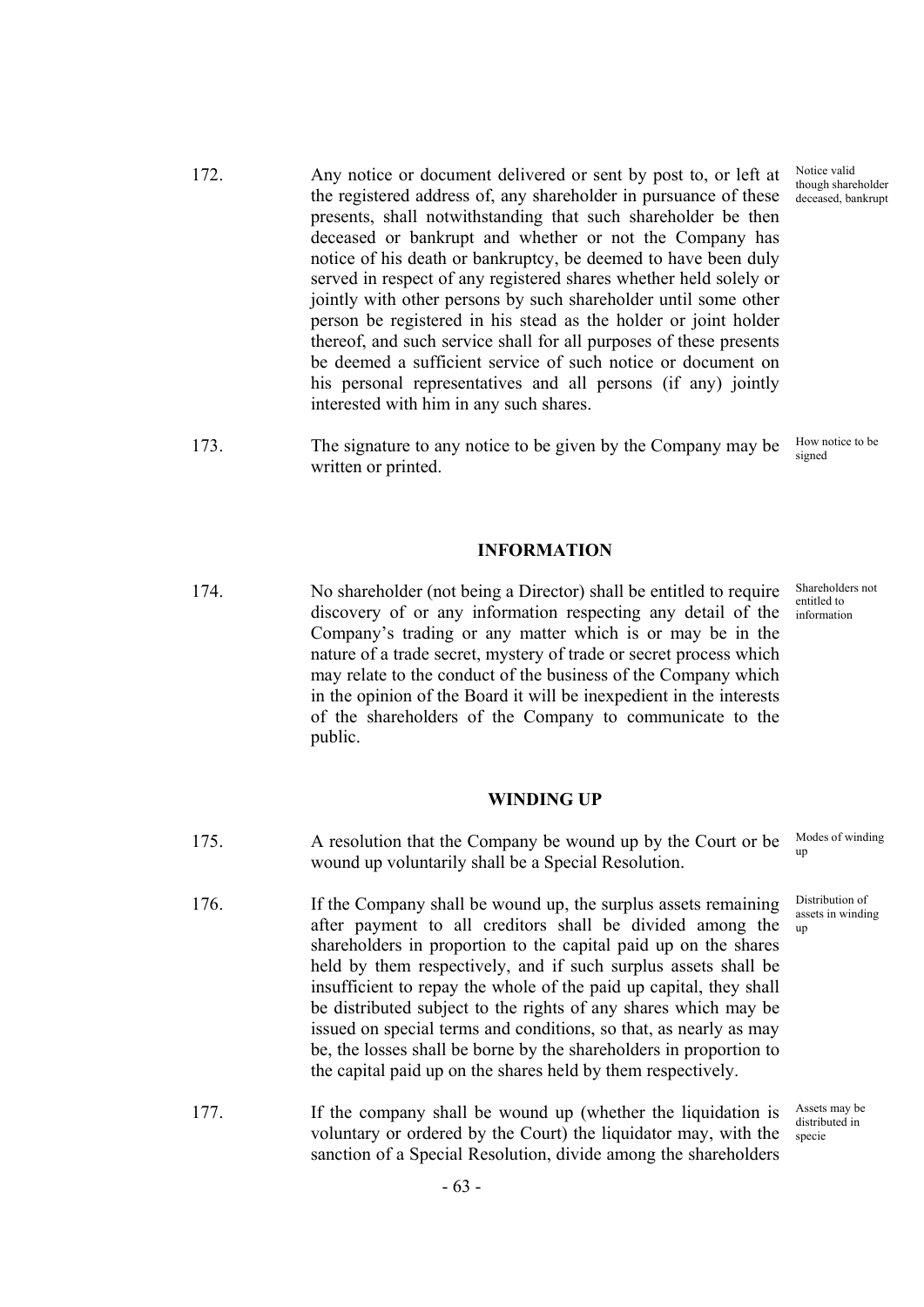- 172. Any notice or document delivered or sent by post to, or left at the registered address of, any shareholder in pursuance of these presents, shall notwithstanding that such shareholder be then deceased or bankrupt and whether or not the Company has notice of his death or bankruptcy, be deemed to have been duly served in respect of any registered shares whether held solely or jointly with other persons by such shareholder until some other person be registered in his stead as the holder or joint holder thereof, and such service shall for all purposes of these presents be deemed a sufficient service of such notice or document on his personal representatives and all persons (if any) jointly interested with him in any such shares.
- 173. The signature to any notice to be given by the Company may be written or printed. How notice to be signed

#### **INFORMATION**

174. No shareholder (not being a Director) shall be entitled to require discovery of or any information respecting any detail of the Company's trading or any matter which is or may be in the nature of a trade secret, mystery of trade or secret process which may relate to the conduct of the business of the Company which in the opinion of the Board it will be inexpedient in the interests of the shareholders of the Company to communicate to the public. Shareholders not entitled to

# **WINDING UP**

- 175. A resolution that the Company be wound up by the Court or be wound up voluntarily shall be a Special Resolution. up
- 176. If the Company shall be wound up, the surplus assets remaining after payment to all creditors shall be divided among the shareholders in proportion to the capital paid up on the shares held by them respectively, and if such surplus assets shall be insufficient to repay the whole of the paid up capital, they shall be distributed subject to the rights of any shares which may be issued on special terms and conditions, so that, as nearly as may be, the losses shall be borne by the shareholders in proportion to the capital paid up on the shares held by them respectively. up
- 177. If the company shall be wound up (whether the liquidation is voluntary or ordered by the Court) the liquidator may, with the sanction of a Special Resolution, divide among the shareholders

information

Notice valid though shareholder deceased, bankrupt

Modes of winding

Distribution of assets in winding

Assets may be distributed in specie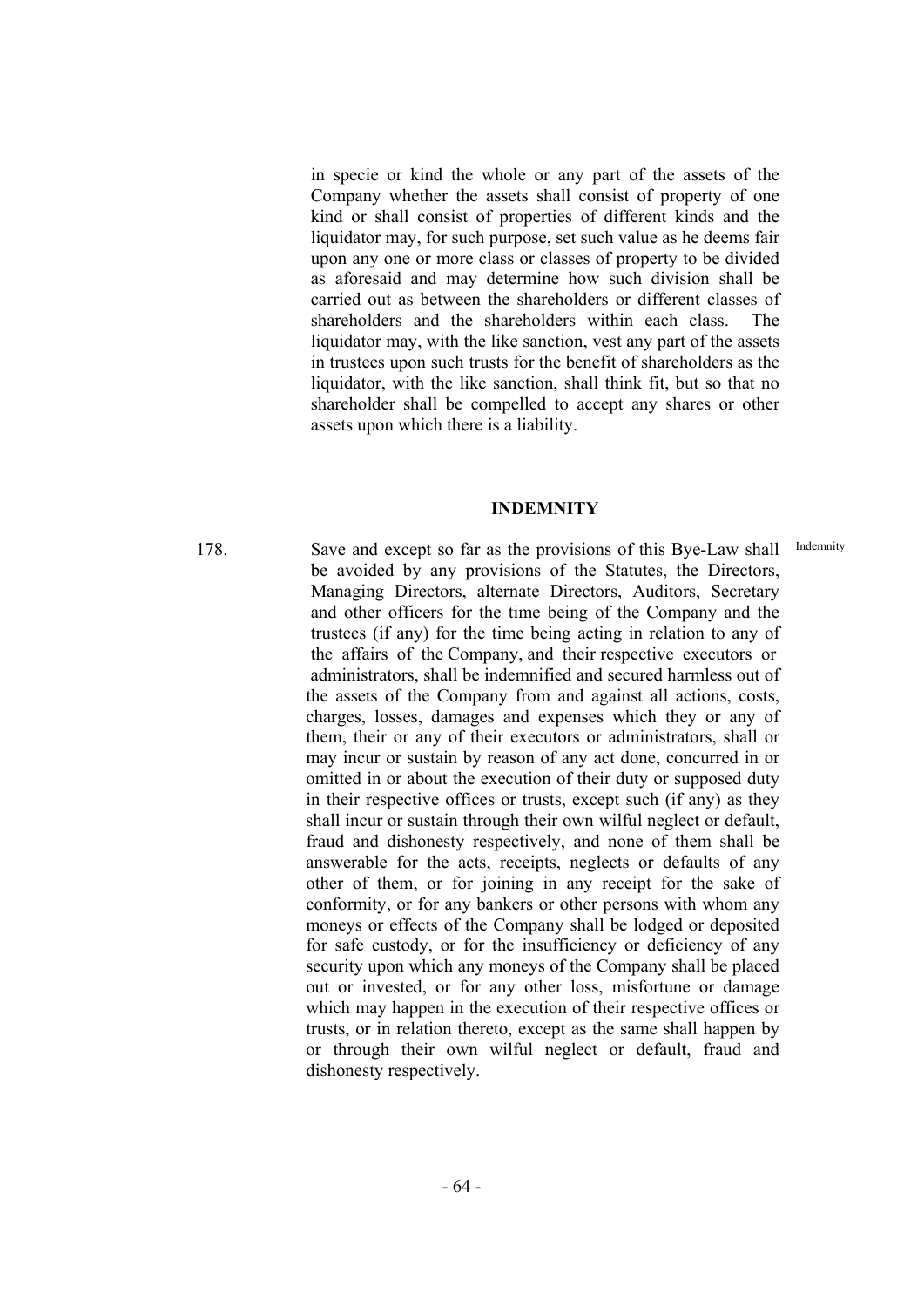in specie or kind the whole or any part of the assets of the Company whether the assets shall consist of property of one kind or shall consist of properties of different kinds and the liquidator may, for such purpose, set such value as he deems fair upon any one or more class or classes of property to be divided as aforesaid and may determine how such division shall be carried out as between the shareholders or different classes of shareholders and the shareholders within each class. The liquidator may, with the like sanction, vest any part of the assets in trustees upon such trusts for the benefit of shareholders as the liquidator, with the like sanction, shall think fit, but so that no shareholder shall be compelled to accept any shares or other assets upon which there is a liability.

#### **INDEMNITY**

178. Save and except so far as the provisions of this Bye-Law shall be avoided by any provisions of the Statutes, the Directors, Managing Directors, alternate Directors, Auditors, Secretary and other officers for the time being of the Company and the trustees (if any) for the time being acting in relation to any of the affairs of the Company, and their respective executors or Indemnity administrators, shall be indemnified and secured harmless out of the assets of the Company from and against all actions, costs, charges, losses, damages and expenses which they or any of them, their or any of their executors or administrators, shall or may incur or sustain by reason of any act done, concurred in or omitted in or about the execution of their duty or supposed duty in their respective offices or trusts, except such (if any) as they shall incur or sustain through their own wilful neglect or default, fraud and dishonesty respectively, and none of them shall be answerable for the acts, receipts, neglects or defaults of any other of them, or for joining in any receipt for the sake of conformity, or for any bankers or other persons with whom any moneys or effects of the Company shall be lodged or deposited for safe custody, or for the insufficiency or deficiency of any security upon which any moneys of the Company shall be placed out or invested, or for any other loss, misfortune or damage which may happen in the execution of their respective offices or trusts, or in relation thereto, except as the same shall happen by or through their own wilful neglect or default, fraud and dishonesty respectively.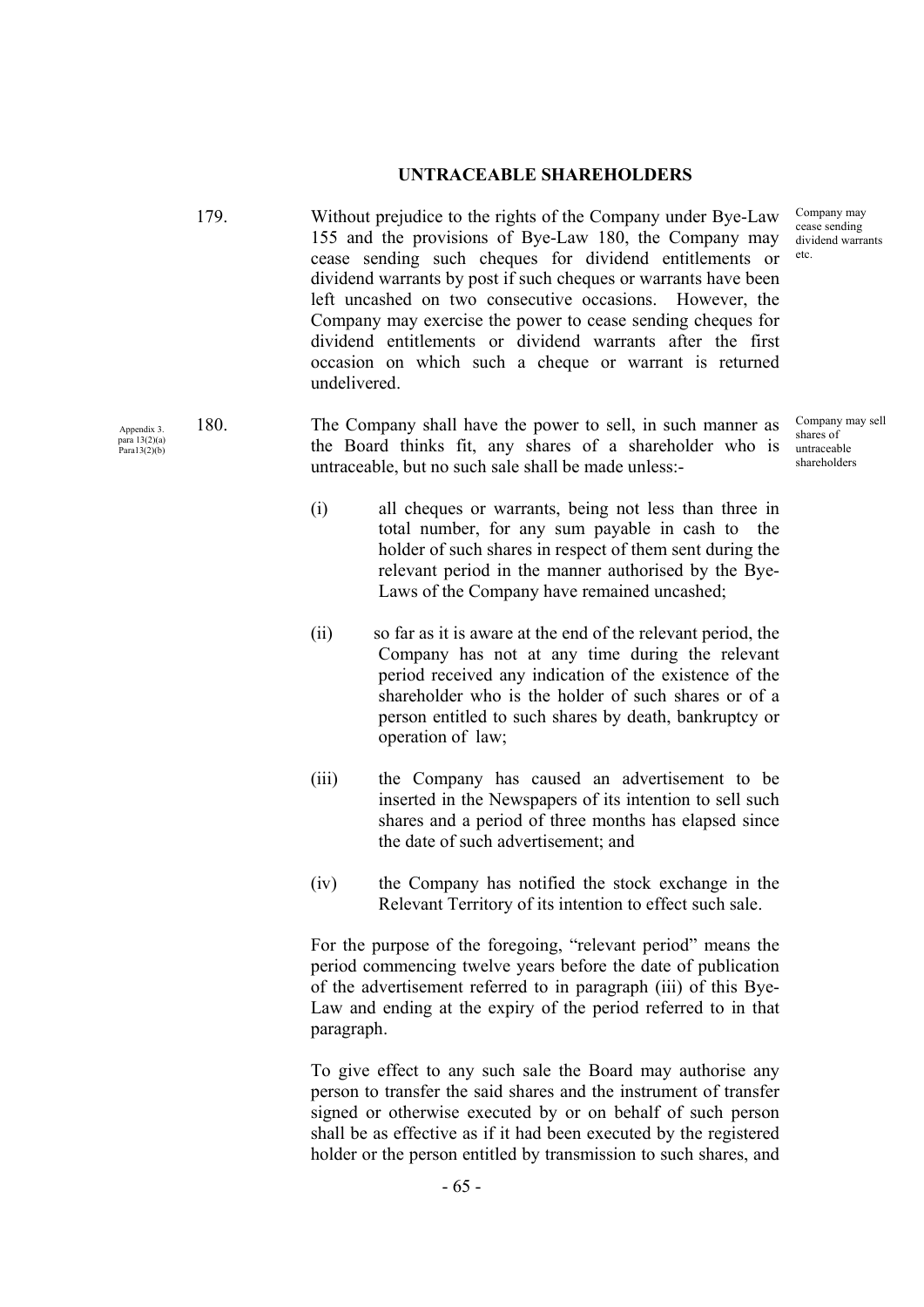#### **UNTRACEABLE SHAREHOLDERS**

179. Without prejudice to the rights of the Company under Bye-Law 155 and the provisions of Bye-Law 180, the Company may cease sending such cheques for dividend entitlements or dividend warrants by post if such cheques or warrants have been left uncashed on two consecutive occasions. However, the Company may exercise the power to cease sending cheques for dividend entitlements or dividend warrants after the first occasion on which such a cheque or warrant is returned undelivered. etc.

- 180. The Company shall have the power to sell, in such manner as the Board thinks fit, any shares of a shareholder who is untraceable, but no such sale shall be made unless:- Company may sell shares of untraceable shareholders
	- (i) all cheques or warrants, being not less than three in total number, for any sum payable in cash to the holder of such shares in respect of them sent during the relevant period in the manner authorised by the Bye-Laws of the Company have remained uncashed;
	- (ii) so far as it is aware at the end of the relevant period, the Company has not at any time during the relevant period received any indication of the existence of the shareholder who is the holder of such shares or of a person entitled to such shares by death, bankruptcy or operation of law;
	- (iii) the Company has caused an advertisement to be inserted in the Newspapers of its intention to sell such shares and a period of three months has elapsed since the date of such advertisement; and
	- (iv) the Company has notified the stock exchange in the Relevant Territory of its intention to effect such sale.

For the purpose of the foregoing, "relevant period" means the period commencing twelve years before the date of publication of the advertisement referred to in paragraph (iii) of this Bye-Law and ending at the expiry of the period referred to in that paragraph.

To give effect to any such sale the Board may authorise any person to transfer the said shares and the instrument of transfer signed or otherwise executed by or on behalf of such person shall be as effective as if it had been executed by the registered holder or the person entitled by transmission to such shares, and

Appendix 3. para 13(2)(a) Para13(2)(b)

Company may cease sending dividend warrants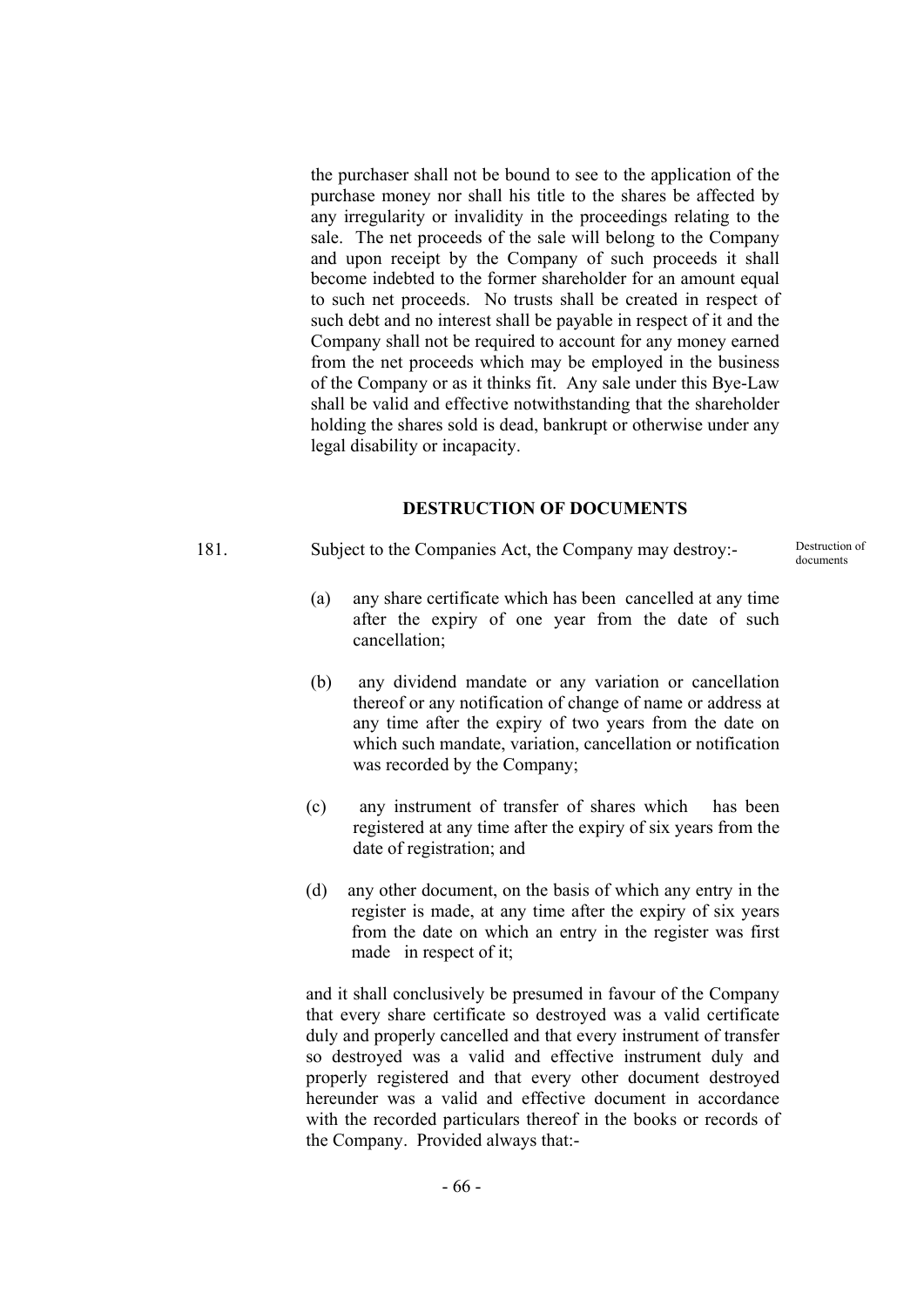the purchaser shall not be bound to see to the application of the purchase money nor shall his title to the shares be affected by any irregularity or invalidity in the proceedings relating to the sale. The net proceeds of the sale will belong to the Company and upon receipt by the Company of such proceeds it shall become indebted to the former shareholder for an amount equal to such net proceeds. No trusts shall be created in respect of such debt and no interest shall be payable in respect of it and the Company shall not be required to account for any money earned from the net proceeds which may be employed in the business of the Company or as it thinks fit. Any sale under this Bye-Law shall be valid and effective notwithstanding that the shareholder holding the shares sold is dead, bankrupt or otherwise under any legal disability or incapacity.

# **DESTRUCTION OF DOCUMENTS**

181. Subject to the Companies Act, the Company may destroy:- Destruction of

documents

- (a) any share certificate which has been cancelled at any time after the expiry of one year from the date of such cancellation;
- (b) any dividend mandate or any variation or cancellation thereof or any notification of change of name or address at any time after the expiry of two years from the date on which such mandate, variation, cancellation or notification was recorded by the Company;
- (c) any instrument of transfer of shares which has been registered at any time after the expiry of six years from the date of registration; and
- (d) any other document, on the basis of which any entry in the register is made, at any time after the expiry of six years from the date on which an entry in the register was first made in respect of it;

and it shall conclusively be presumed in favour of the Company that every share certificate so destroyed was a valid certificate duly and properly cancelled and that every instrument of transfer so destroyed was a valid and effective instrument duly and properly registered and that every other document destroyed hereunder was a valid and effective document in accordance with the recorded particulars thereof in the books or records of the Company. Provided always that:-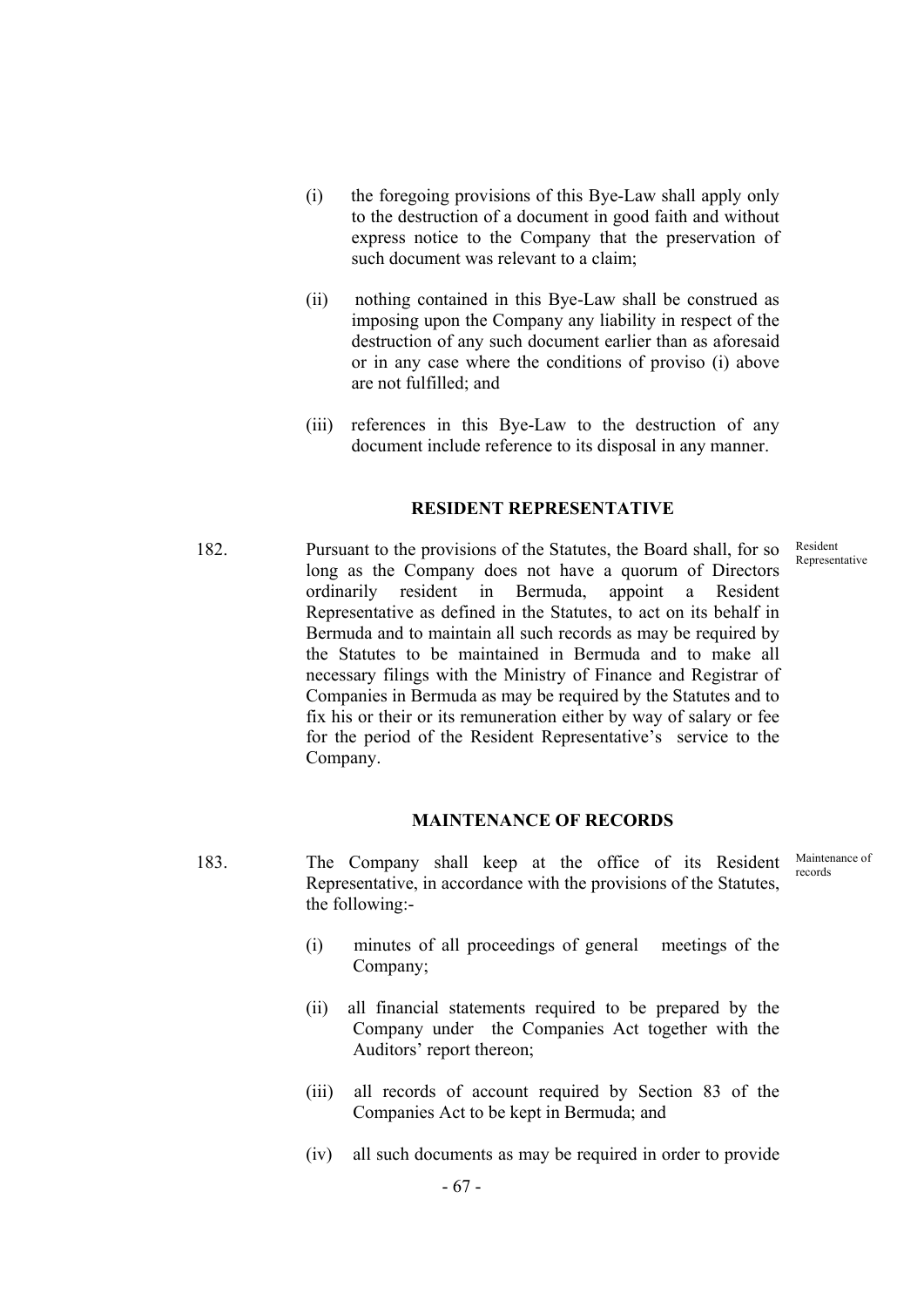- (i) the foregoing provisions of this Bye-Law shall apply only to the destruction of a document in good faith and without express notice to the Company that the preservation of such document was relevant to a claim;
- (ii) nothing contained in this Bye-Law shall be construed as imposing upon the Company any liability in respect of the destruction of any such document earlier than as aforesaid or in any case where the conditions of proviso (i) above are not fulfilled; and
- (iii) references in this Bye-Law to the destruction of any document include reference to its disposal in any manner.

### **RESIDENT REPRESENTATIVE**

182. Pursuant to the provisions of the Statutes, the Board shall, for so long as the Company does not have a quorum of Directors ordinarily resident in Bermuda, appoint a Resident Representative as defined in the Statutes, to act on its behalf in Bermuda and to maintain all such records as may be required by the Statutes to be maintained in Bermuda and to make all necessary filings with the Ministry of Finance and Registrar of Companies in Bermuda as may be required by the Statutes and to fix his or their or its remuneration either by way of salary or fee for the period of the Resident Representative's service to the Company.

### **MAINTENANCE OF RECORDS**

- 183. The Company shall keep at the office of its Resident Maintenance of Representative, in accordance with the provisions of the Statutes, the following: records
	- (i) minutes of all proceedings of general meetings of the Company;
	- (ii) all financial statements required to be prepared by the Company under the Companies Act together with the Auditors' report thereon;
	- (iii) all records of account required by Section 83 of the Companies Act to be kept in Bermuda; and
	- (iv) all such documents as may be required in order to provide

Resident Representative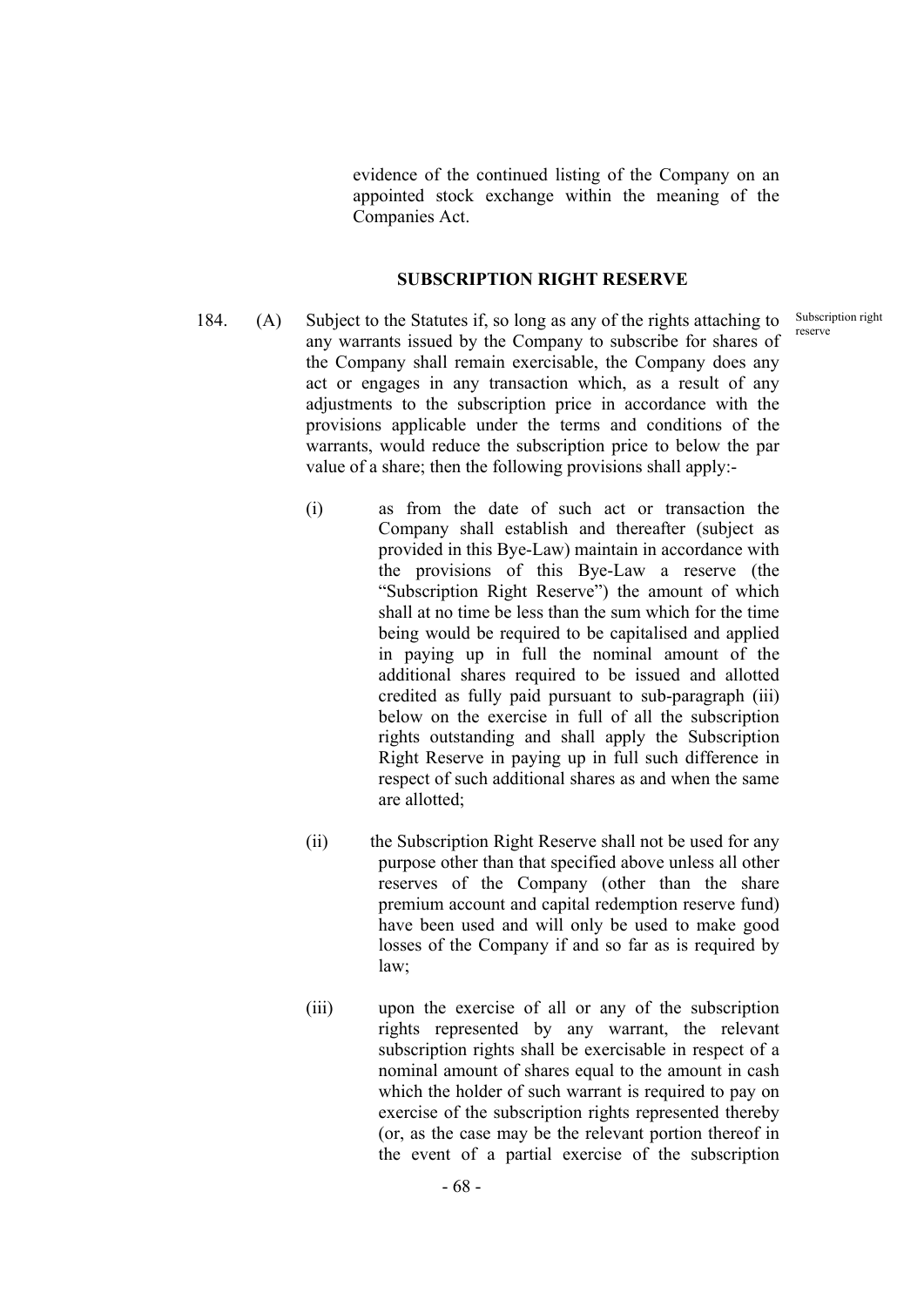evidence of the continued listing of the Company on an appointed stock exchange within the meaning of the Companies Act.

### **SUBSCRIPTION RIGHT RESERVE**

- 184. (A) Subject to the Statutes if, so long as any of the rights attaching to any warrants issued by the Company to subscribe for shares of the Company shall remain exercisable, the Company does any act or engages in any transaction which, as a result of any adjustments to the subscription price in accordance with the provisions applicable under the terms and conditions of the warrants, would reduce the subscription price to below the par value of a share; then the following provisions shall apply:- Subscription right reserve
	- (i) as from the date of such act or transaction the Company shall establish and thereafter (subject as provided in this Bye-Law) maintain in accordance with the provisions of this Bye-Law a reserve (the "Subscription Right Reserve") the amount of which shall at no time be less than the sum which for the time being would be required to be capitalised and applied in paying up in full the nominal amount of the additional shares required to be issued and allotted credited as fully paid pursuant to sub-paragraph (iii) below on the exercise in full of all the subscription rights outstanding and shall apply the Subscription Right Reserve in paying up in full such difference in respect of such additional shares as and when the same are allotted;
	- (ii) the Subscription Right Reserve shall not be used for any purpose other than that specified above unless all other reserves of the Company (other than the share premium account and capital redemption reserve fund) have been used and will only be used to make good losses of the Company if and so far as is required by law;
	- (iii) upon the exercise of all or any of the subscription rights represented by any warrant, the relevant subscription rights shall be exercisable in respect of a nominal amount of shares equal to the amount in cash which the holder of such warrant is required to pay on exercise of the subscription rights represented thereby (or, as the case may be the relevant portion thereof in the event of a partial exercise of the subscription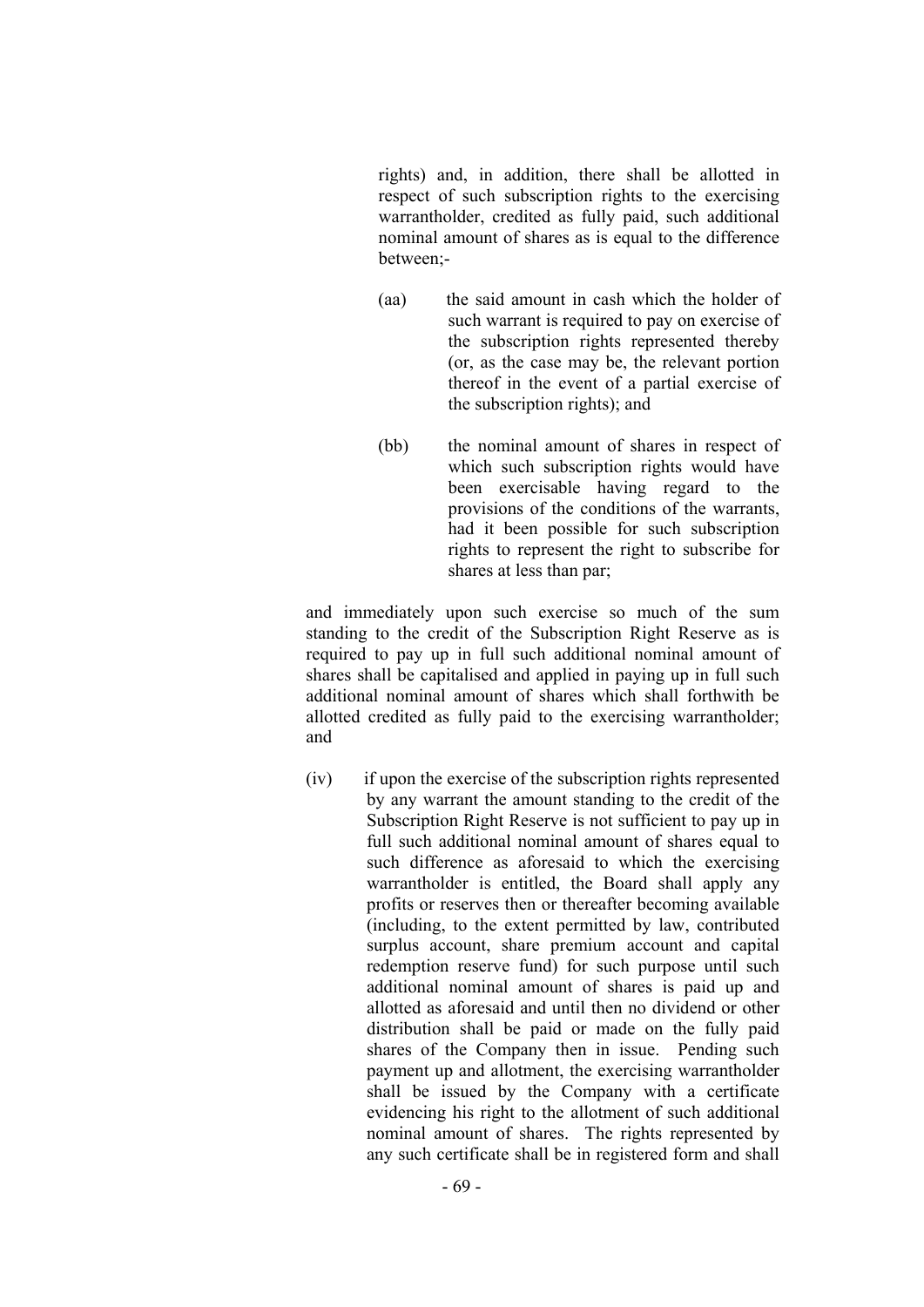rights) and, in addition, there shall be allotted in respect of such subscription rights to the exercising warrantholder, credited as fully paid, such additional nominal amount of shares as is equal to the difference between;-

- (aa) the said amount in cash which the holder of such warrant is required to pay on exercise of the subscription rights represented thereby (or, as the case may be, the relevant portion thereof in the event of a partial exercise of the subscription rights); and
- (bb) the nominal amount of shares in respect of which such subscription rights would have been exercisable having regard to the provisions of the conditions of the warrants, had it been possible for such subscription rights to represent the right to subscribe for shares at less than par;

 and immediately upon such exercise so much of the sum standing to the credit of the Subscription Right Reserve as is required to pay up in full such additional nominal amount of shares shall be capitalised and applied in paying up in full such additional nominal amount of shares which shall forthwith be allotted credited as fully paid to the exercising warrantholder; and

 (iv) if upon the exercise of the subscription rights represented by any warrant the amount standing to the credit of the Subscription Right Reserve is not sufficient to pay up in full such additional nominal amount of shares equal to such difference as aforesaid to which the exercising warrantholder is entitled, the Board shall apply any profits or reserves then or thereafter becoming available (including, to the extent permitted by law, contributed surplus account, share premium account and capital redemption reserve fund) for such purpose until such additional nominal amount of shares is paid up and allotted as aforesaid and until then no dividend or other distribution shall be paid or made on the fully paid shares of the Company then in issue. Pending such payment up and allotment, the exercising warrantholder shall be issued by the Company with a certificate evidencing his right to the allotment of such additional nominal amount of shares. The rights represented by any such certificate shall be in registered form and shall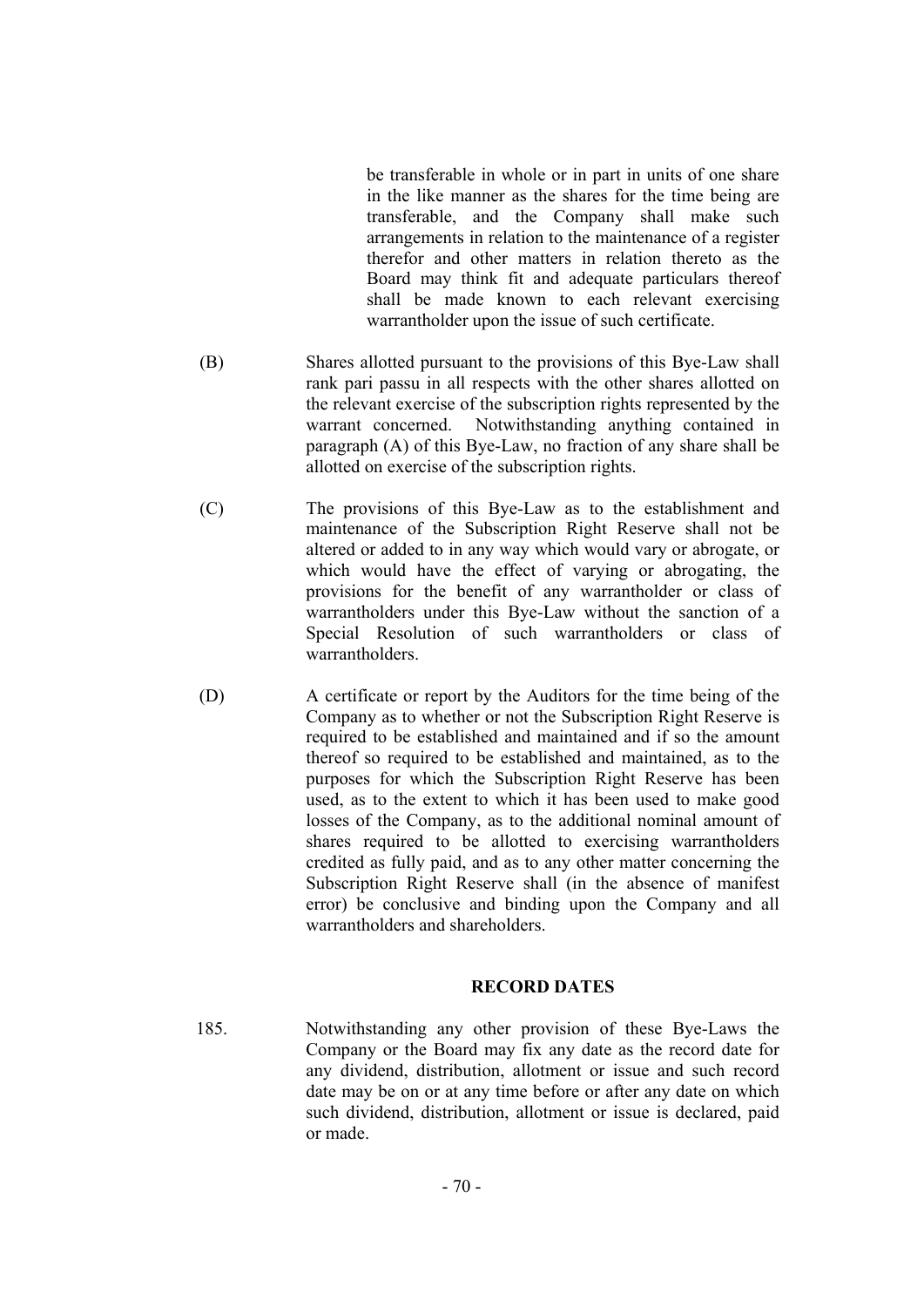be transferable in whole or in part in units of one share in the like manner as the shares for the time being are transferable, and the Company shall make such arrangements in relation to the maintenance of a register therefor and other matters in relation thereto as the Board may think fit and adequate particulars thereof shall be made known to each relevant exercising warrantholder upon the issue of such certificate.

- (B) Shares allotted pursuant to the provisions of this Bye-Law shall rank pari passu in all respects with the other shares allotted on the relevant exercise of the subscription rights represented by the warrant concerned. Notwithstanding anything contained in paragraph (A) of this Bye-Law, no fraction of any share shall be allotted on exercise of the subscription rights.
- (C) The provisions of this Bye-Law as to the establishment and maintenance of the Subscription Right Reserve shall not be altered or added to in any way which would vary or abrogate, or which would have the effect of varying or abrogating, the provisions for the benefit of any warrantholder or class of warrantholders under this Bye-Law without the sanction of a Special Resolution of such warrantholders or class of warrantholders.
- (D) A certificate or report by the Auditors for the time being of the Company as to whether or not the Subscription Right Reserve is required to be established and maintained and if so the amount thereof so required to be established and maintained, as to the purposes for which the Subscription Right Reserve has been used, as to the extent to which it has been used to make good losses of the Company, as to the additional nominal amount of shares required to be allotted to exercising warrantholders credited as fully paid, and as to any other matter concerning the Subscription Right Reserve shall (in the absence of manifest error) be conclusive and binding upon the Company and all warrantholders and shareholders.

# **RECORD DATES**

185. Notwithstanding any other provision of these Bye-Laws the Company or the Board may fix any date as the record date for any dividend, distribution, allotment or issue and such record date may be on or at any time before or after any date on which such dividend, distribution, allotment or issue is declared, paid or made.